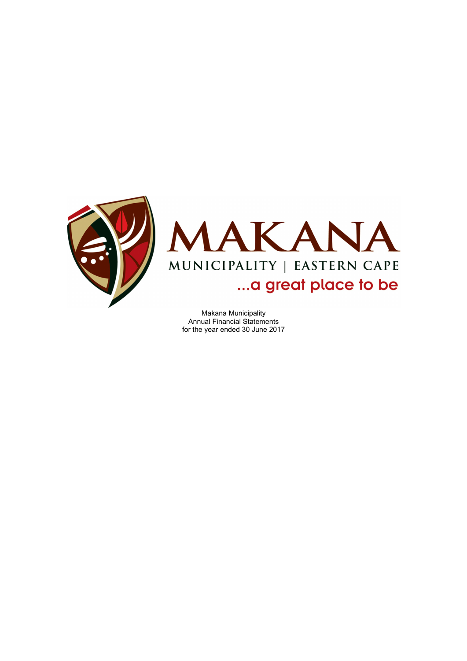



Makana Municipality Annual Financial Statements for the year ended 30 June 2017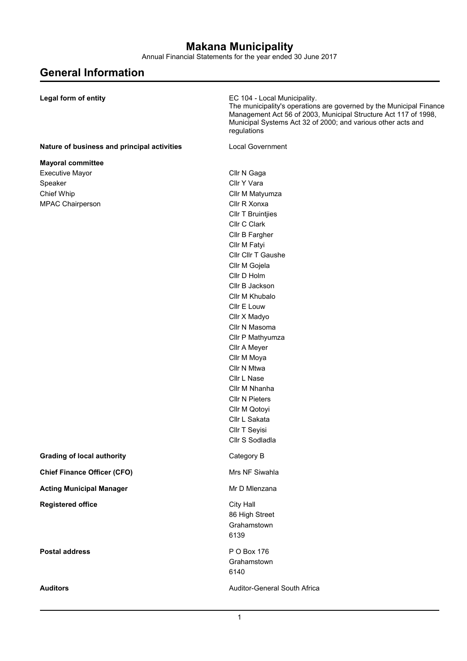Annual Financial Statements for the year ended 30 June 2017

# **General Information**

| Legal form of entity                        | EC 104 - Local Municipality.<br>The municipality's operations are governed by the Municipal Finance<br>Management Act 56 of 2003, Municipal Structure Act 117 of 1998,<br>Municipal Systems Act 32 of 2000; and various other acts and<br>regulations |
|---------------------------------------------|-------------------------------------------------------------------------------------------------------------------------------------------------------------------------------------------------------------------------------------------------------|
| Nature of business and principal activities | <b>Local Government</b>                                                                                                                                                                                                                               |
| <b>Mayoral committee</b>                    |                                                                                                                                                                                                                                                       |
| <b>Executive Mayor</b>                      | Cllr N Gaga                                                                                                                                                                                                                                           |
| Speaker                                     | Cllr Y Vara                                                                                                                                                                                                                                           |
| Chief Whip                                  | Cllr M Matyumza                                                                                                                                                                                                                                       |
| MPAC Chairperson                            | Cllr R Xonxa                                                                                                                                                                                                                                          |
|                                             | <b>CIIr T Bruintjies</b>                                                                                                                                                                                                                              |
|                                             | Cllr C Clark                                                                                                                                                                                                                                          |
|                                             | Cllr B Fargher                                                                                                                                                                                                                                        |
|                                             | Cllr M Fatyi                                                                                                                                                                                                                                          |
|                                             | Cllr Cllr T Gaushe                                                                                                                                                                                                                                    |
|                                             | Cllr M Gojela                                                                                                                                                                                                                                         |
|                                             | Cllr D Holm                                                                                                                                                                                                                                           |
|                                             | Cllr B Jackson                                                                                                                                                                                                                                        |
|                                             | Cllr M Khubalo                                                                                                                                                                                                                                        |
|                                             | Cllr E Louw                                                                                                                                                                                                                                           |
|                                             | Cllr X Madyo                                                                                                                                                                                                                                          |
|                                             | Cllr N Masoma                                                                                                                                                                                                                                         |
|                                             | Cllr P Mathyumza                                                                                                                                                                                                                                      |
|                                             | Cllr A Meyer<br>Cllr M Moya                                                                                                                                                                                                                           |
|                                             | Cllr N Mtwa                                                                                                                                                                                                                                           |
|                                             | Cllr L Nase                                                                                                                                                                                                                                           |
|                                             | Cllr M Nhanha                                                                                                                                                                                                                                         |
|                                             | <b>Cllr N Pieters</b>                                                                                                                                                                                                                                 |
|                                             | Cllr M Qotoyi                                                                                                                                                                                                                                         |
|                                             | Cllr L Sakata                                                                                                                                                                                                                                         |
|                                             | Cllr T Seyisi                                                                                                                                                                                                                                         |
|                                             | Cllr S Sodladla                                                                                                                                                                                                                                       |
| <b>Grading of local authority</b>           | Category B                                                                                                                                                                                                                                            |
| <b>Chief Finance Officer (CFO)</b>          | Mrs NF Siwahla                                                                                                                                                                                                                                        |
| <b>Acting Municipal Manager</b>             | Mr D Mlenzana                                                                                                                                                                                                                                         |
| <b>Registered office</b>                    | City Hall                                                                                                                                                                                                                                             |
|                                             | 86 High Street                                                                                                                                                                                                                                        |
|                                             | Grahamstown                                                                                                                                                                                                                                           |
|                                             | 6139                                                                                                                                                                                                                                                  |
| <b>Postal address</b>                       | P O Box 176                                                                                                                                                                                                                                           |
|                                             | Grahamstown                                                                                                                                                                                                                                           |
|                                             | 6140                                                                                                                                                                                                                                                  |
| <b>Auditors</b>                             | Auditor-General South Africa                                                                                                                                                                                                                          |
|                                             |                                                                                                                                                                                                                                                       |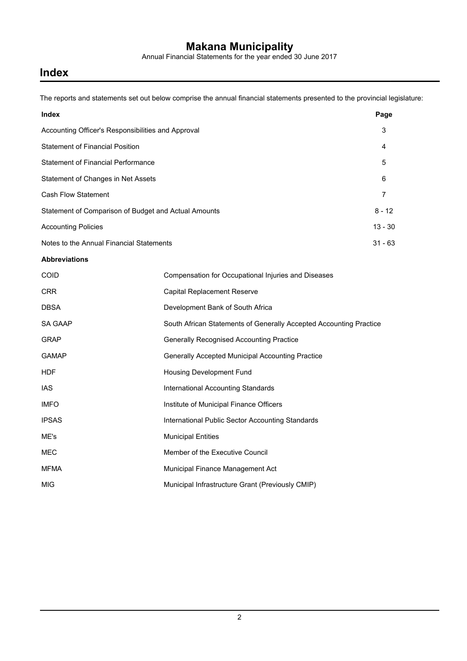Annual Financial Statements for the year ended 30 June 2017

## **Index**

The reports and statements set out below comprise the annual financial statements presented to the provincial legislature:

| <b>Index</b>                                         | Page      |
|------------------------------------------------------|-----------|
| Accounting Officer's Responsibilities and Approval   | 3         |
| <b>Statement of Financial Position</b>               | 4         |
| <b>Statement of Financial Performance</b>            | 5         |
| Statement of Changes in Net Assets                   | 6         |
| <b>Cash Flow Statement</b>                           | 7         |
| Statement of Comparison of Budget and Actual Amounts | $8 - 12$  |
| <b>Accounting Policies</b>                           | $13 - 30$ |
| Notes to the Annual Financial Statements             | $31 - 63$ |
| .                                                    |           |

#### **Abbreviations**

| <b>COID</b>  | Compensation for Occupational Injuries and Diseases                |
|--------------|--------------------------------------------------------------------|
| <b>CRR</b>   | Capital Replacement Reserve                                        |
| <b>DBSA</b>  | Development Bank of South Africa                                   |
| SA GAAP      | South African Statements of Generally Accepted Accounting Practice |
| <b>GRAP</b>  | <b>Generally Recognised Accounting Practice</b>                    |
| <b>GAMAP</b> | Generally Accepted Municipal Accounting Practice                   |
| <b>HDF</b>   | Housing Development Fund                                           |
| IAS.         | International Accounting Standards                                 |
| <b>IMFO</b>  | Institute of Municipal Finance Officers                            |
| <b>IPSAS</b> | International Public Sector Accounting Standards                   |
| ME's         | <b>Municipal Entities</b>                                          |
| <b>MEC</b>   | Member of the Executive Council                                    |
| MFMA         | Municipal Finance Management Act                                   |
| <b>MIG</b>   | Municipal Infrastructure Grant (Previously CMIP)                   |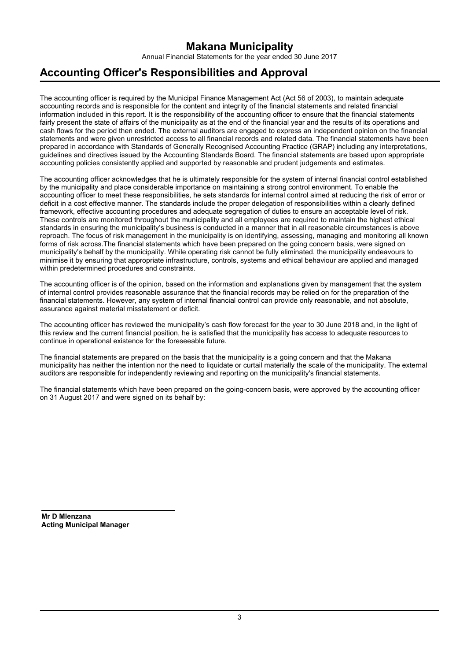Annual Financial Statements for the year ended 30 June 2017

## **Accounting Officer's Responsibilities and Approval**

The accounting officer is required by the Municipal Finance Management Act (Act 56 of 2003), to maintain adequate accounting records and is responsible for the content and integrity of the financial statements and related financial information included in this report. It is the responsibility of the accounting officer to ensure that the financial statements fairly present the state of affairs of the municipality as at the end of the financial year and the results of its operations and cash flows for the period then ended. The external auditors are engaged to express an independent opinion on the financial statements and were given unrestricted access to all financial records and related data. The financial statements have been prepared in accordance with Standards of Generally Recognised Accounting Practice (GRAP) including any interpretations, guidelines and directives issued by the Accounting Standards Board. The financial statements are based upon appropriate accounting policies consistently applied and supported by reasonable and prudent judgements and estimates.

The accounting officer acknowledges that he is ultimately responsible for the system of internal financial control established by the municipality and place considerable importance on maintaining a strong control environment. To enable the accounting officer to meet these responsibilities, he sets standards for internal control aimed at reducing the risk of error or deficit in a cost effective manner. The standards include the proper delegation of responsibilities within a clearly defined framework, effective accounting procedures and adequate segregation of duties to ensure an acceptable level of risk. These controls are monitored throughout the municipality and all employees are required to maintain the highest ethical standards in ensuring the municipality's business is conducted in a manner that in all reasonable circumstances is above reproach. The focus of risk management in the municipality is on identifying, assessing, managing and monitoring all known forms of risk across.The financial statements which have been prepared on the going concern basis, were signed on municipality's behalf by the municipality. While operating risk cannot be fully eliminated, the municipality endeavours to minimise it by ensuring that appropriate infrastructure, controls, systems and ethical behaviour are applied and managed within predetermined procedures and constraints.

The accounting officer is of the opinion, based on the information and explanations given by management that the system of internal control provides reasonable assurance that the financial records may be relied on for the preparation of the financial statements. However, any system of internal financial control can provide only reasonable, and not absolute, assurance against material misstatement or deficit.

The accounting officer has reviewed the municipality's cash flow forecast for the year to 30 June 2018 and, in the light of this review and the current financial position, he is satisfied that the municipality has access to adequate resources to continue in operational existence for the foreseeable future.

The financial statements are prepared on the basis that the municipality is a going concern and that the Makana municipality has neither the intention nor the need to liquidate or curtail materially the scale of the municipality. The external auditors are responsible for independently reviewing and reporting on the municipality's financial statements.

The financial statements which have been prepared on the going-concern basis, were approved by the accounting officer on 31 August 2017 and were signed on its behalf by:

**Mr D Mlenzana Acting Municipal Manager**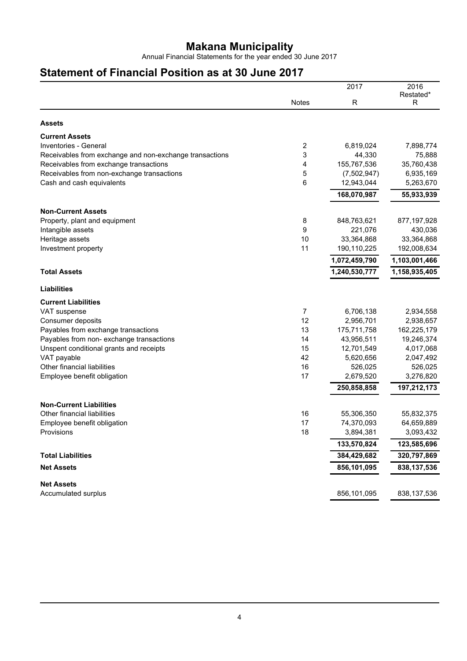Annual Financial Statements for the year ended 30 June 2017

## **Statement of Financial Position as at 30 June 2017**

|                                                         |                | 2017          | 2016           |
|---------------------------------------------------------|----------------|---------------|----------------|
|                                                         | <b>Notes</b>   | R             | Restated*<br>R |
|                                                         |                |               |                |
| <b>Assets</b>                                           |                |               |                |
| <b>Current Assets</b>                                   |                |               |                |
| Inventories - General                                   | $\overline{c}$ | 6,819,024     | 7,898,774      |
| Receivables from exchange and non-exchange transactions | 3              | 44,330        | 75,888         |
| Receivables from exchange transactions                  | 4              | 155,767,536   | 35,760,438     |
| Receivables from non-exchange transactions              | 5              | (7,502,947)   | 6,935,169      |
| Cash and cash equivalents                               | 6              | 12,943,044    | 5,263,670      |
|                                                         |                | 168,070,987   | 55,933,939     |
| <b>Non-Current Assets</b>                               |                |               |                |
| Property, plant and equipment                           | 8              | 848,763,621   | 877,197,928    |
| Intangible assets                                       | 9              | 221,076       | 430,036        |
| Heritage assets                                         | 10             | 33,364,868    | 33,364,868     |
| Investment property                                     | 11             | 190,110,225   | 192,008,634    |
|                                                         |                | 1,072,459,790 | 1,103,001,466  |
| <b>Total Assets</b>                                     |                | 1,240,530,777 | 1,158,935,405  |
| <b>Liabilities</b>                                      |                |               |                |
| <b>Current Liabilities</b>                              |                |               |                |
| VAT suspense                                            | 7              | 6,706,138     | 2,934,558      |
| Consumer deposits                                       | 12             | 2,956,701     | 2,938,657      |
| Payables from exchange transactions                     | 13             | 175,711,758   | 162,225,179    |
| Payables from non- exchange transactions                | 14             | 43,956,511    | 19,246,374     |
| Unspent conditional grants and receipts                 | 15             | 12,701,549    | 4,017,068      |
| VAT payable                                             | 42             | 5,620,656     | 2,047,492      |
| Other financial liabilities                             | 16             | 526,025       | 526,025        |
| Employee benefit obligation                             | 17             | 2,679,520     | 3,276,820      |
|                                                         |                | 250,858,858   | 197,212,173    |
| <b>Non-Current Liabilities</b>                          |                |               |                |
| Other financial liabilities                             | 16             | 55,306,350    | 55,832,375     |
| Employee benefit obligation                             | 17             | 74,370,093    | 64,659,889     |
| Provisions                                              | 18             | 3,894,381     | 3,093,432      |
|                                                         |                | 133,570,824   | 123,585,696    |
| <b>Total Liabilities</b>                                |                | 384,429,682   | 320,797,869    |
| <b>Net Assets</b>                                       |                | 856,101,095   | 838,137,536    |
| <b>Net Assets</b>                                       |                |               |                |
| Accumulated surplus                                     |                | 856,101,095   | 838,137,536    |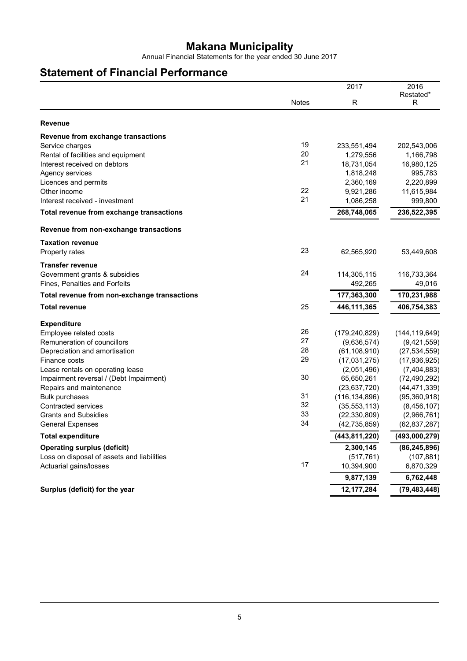Annual Financial Statements for the year ended 30 June 2017

## **Statement of Financial Performance**

|                                              |              | 2017            | 2016            |
|----------------------------------------------|--------------|-----------------|-----------------|
|                                              | <b>Notes</b> | R               | Restated*<br>R  |
|                                              |              |                 |                 |
| <b>Revenue</b>                               |              |                 |                 |
| Revenue from exchange transactions           |              |                 |                 |
| Service charges                              | 19           | 233,551,494     | 202,543,006     |
| Rental of facilities and equipment           | 20           | 1,279,556       | 1,166,798       |
| Interest received on debtors                 | 21           | 18,731,054      | 16,980,125      |
| Agency services                              |              | 1,818,248       | 995,783         |
| Licences and permits                         |              | 2,360,169       | 2,220,899       |
| Other income                                 | 22           | 9,921,286       | 11,615,984      |
| Interest received - investment               | 21           | 1,086,258       | 999,800         |
| Total revenue from exchange transactions     |              | 268,748,065     | 236,522,395     |
| Revenue from non-exchange transactions       |              |                 |                 |
| <b>Taxation revenue</b>                      |              |                 |                 |
| Property rates                               | 23           | 62,565,920      | 53,449,608      |
| <b>Transfer revenue</b>                      |              |                 |                 |
| Government grants & subsidies                | 24           | 114,305,115     | 116,733,364     |
| Fines, Penalties and Forfeits                |              | 492,265         | 49,016          |
| Total revenue from non-exchange transactions |              | 177,363,300     | 170,231,988     |
| <b>Total revenue</b>                         | 25           | 446, 111, 365   | 406,754,383     |
| <b>Expenditure</b>                           |              |                 |                 |
| Employee related costs                       | 26           | (179, 240, 829) | (144, 119, 649) |
| Remuneration of councillors                  | 27           | (9,636,574)     | (9,421,559)     |
| Depreciation and amortisation                | 28           | (61, 108, 910)  | (27, 534, 559)  |
| Finance costs                                | 29           | (17,031,275)    | (17, 936, 925)  |
| Lease rentals on operating lease             |              | (2,051,496)     | (7,404,883)     |
| Impairment reversal / (Debt Impairment)      | 30           | 65,650,261      | (72, 490, 292)  |
| Repairs and maintenance                      |              | (23, 637, 720)  | (44, 471, 339)  |
| <b>Bulk purchases</b>                        | 31           | (116, 134, 896) | (95, 360, 918)  |
| Contracted services                          | 32           | (35, 553, 113)  | (8,456,107)     |
| <b>Grants and Subsidies</b>                  | 33           | (22, 330, 809)  | (2,966,761)     |
| <b>General Expenses</b>                      | 34           | (42, 735, 859)  | (62, 837, 287)  |
| Total expenditure                            |              | (443, 811, 220) | (493,000,279)   |
| <b>Operating surplus (deficit)</b>           |              | 2,300,145       | (86, 245, 896)  |
| Loss on disposal of assets and liabilities   |              | (517, 761)      | (107, 881)      |
| Actuarial gains/losses                       | 17           | 10,394,900      | 6,870,329       |
|                                              |              | 9,877,139       | 6,762,448       |
| Surplus (deficit) for the year               |              | 12, 177, 284    | (79, 483, 448)  |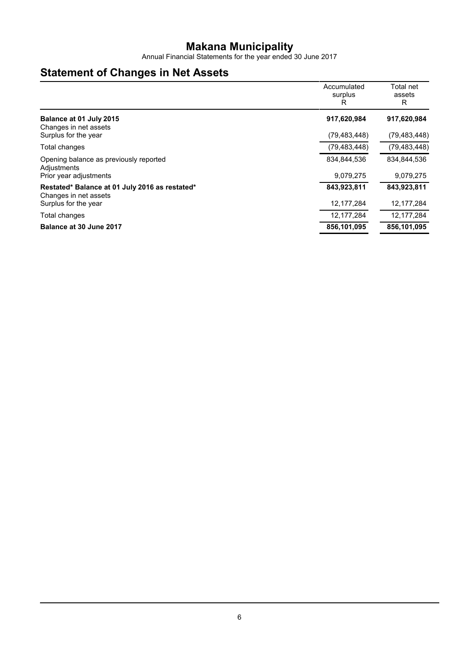Annual Financial Statements for the year ended 30 June 2017

## **Statement of Changes in Net Assets**

|                                                                         | Accumulated<br>surplus<br>R | Total net<br>assets<br>R |
|-------------------------------------------------------------------------|-----------------------------|--------------------------|
| Balance at 01 July 2015<br>Changes in net assets                        | 917,620,984                 | 917,620,984              |
| Surplus for the year                                                    | (79, 483, 448)              | (79, 483, 448)           |
| Total changes                                                           | (79, 483, 448)              | (79, 483, 448)           |
| Opening balance as previously reported<br>Adjustments                   | 834,844,536                 | 834,844,536              |
| Prior year adjustments                                                  | 9,079,275                   | 9,079,275                |
| Restated* Balance at 01 July 2016 as restated*<br>Changes in net assets | 843,923,811                 | 843,923,811              |
| Surplus for the year                                                    | 12, 177, 284                | 12, 177, 284             |
| Total changes                                                           | 12, 177, 284                | 12, 177, 284             |
| Balance at 30 June 2017                                                 | 856,101,095                 | 856,101,095              |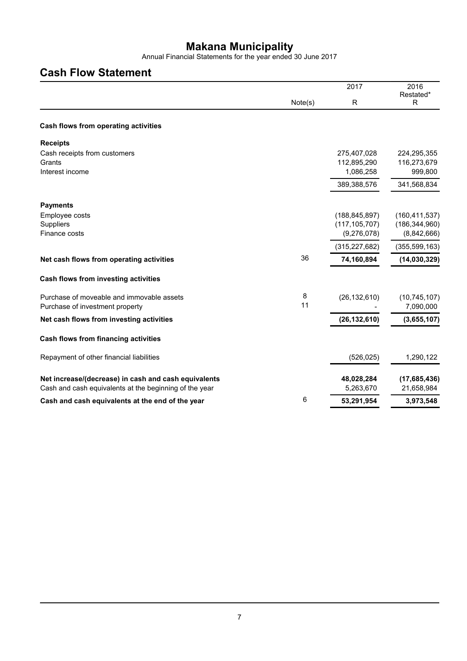Annual Financial Statements for the year ended 30 June 2017

## **Cash Flow Statement**

|                                                        |         | 2017            | 2016<br>Restated* |
|--------------------------------------------------------|---------|-----------------|-------------------|
|                                                        | Note(s) | R               | R                 |
| Cash flows from operating activities                   |         |                 |                   |
| <b>Receipts</b>                                        |         |                 |                   |
| Cash receipts from customers                           |         | 275,407,028     | 224,295,355       |
| Grants                                                 |         | 112,895,290     | 116,273,679       |
| Interest income                                        |         | 1,086,258       | 999,800           |
|                                                        |         | 389,388,576     | 341,568,834       |
| <b>Payments</b>                                        |         |                 |                   |
| Employee costs                                         |         | (188, 845, 897) | (160, 411, 537)   |
| Suppliers                                              |         | (117, 105, 707) | (186, 344, 960)   |
| Finance costs                                          |         | (9,276,078)     | (8,842,666)       |
|                                                        |         | (315, 227, 682) | (355, 599, 163)   |
| Net cash flows from operating activities               | 36      | 74,160,894      | (14,030,329)      |
| Cash flows from investing activities                   |         |                 |                   |
| Purchase of moveable and immovable assets              | 8       | (26, 132, 610)  | (10, 745, 107)    |
| Purchase of investment property                        | 11      |                 | 7,090,000         |
| Net cash flows from investing activities               |         | (26, 132, 610)  | (3,655,107)       |
| Cash flows from financing activities                   |         |                 |                   |
| Repayment of other financial liabilities               |         | (526, 025)      | 1,290,122         |
| Net increase/(decrease) in cash and cash equivalents   |         | 48,028,284      | (17,685,436)      |
| Cash and cash equivalents at the beginning of the year |         | 5,263,670       | 21,658,984        |
| Cash and cash equivalents at the end of the year       | 6       | 53,291,954      | 3,973,548         |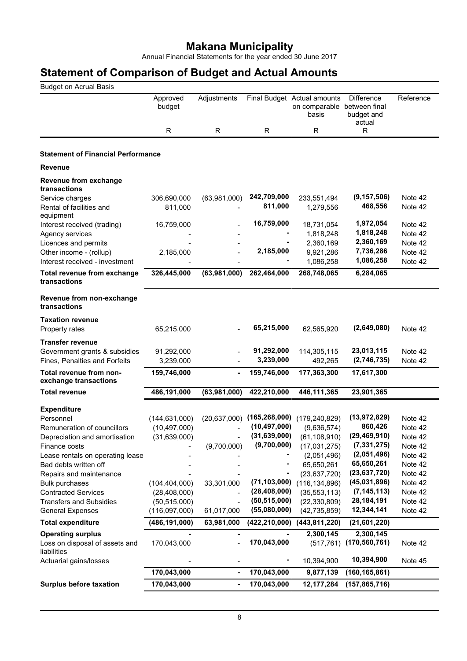Annual Financial Statements for the year ended 30 June 2017

| <b>Budget on Acrual Basis</b>                                                     |                          |                              |                                  |                                                                     |                                           |                               |
|-----------------------------------------------------------------------------------|--------------------------|------------------------------|----------------------------------|---------------------------------------------------------------------|-------------------------------------------|-------------------------------|
|                                                                                   | Approved<br>budget       | Adjustments                  |                                  | Final Budget Actual amounts<br>on comparable between final<br>basis | <b>Difference</b><br>budget and<br>actual | Reference                     |
|                                                                                   | R                        | $\mathsf{R}$                 | R                                | R                                                                   | R                                         |                               |
| <b>Statement of Financial Performance</b>                                         |                          |                              |                                  |                                                                     |                                           |                               |
| <b>Revenue</b>                                                                    |                          |                              |                                  |                                                                     |                                           |                               |
| Revenue from exchange<br>transactions                                             |                          |                              |                                  |                                                                     |                                           |                               |
| Service charges<br>Rental of facilities and<br>equipment                          | 306,690,000<br>811,000   | (63,981,000)                 | 242,709,000<br>811,000           | 233,551,494<br>1,279,556                                            | (9, 157, 506)<br>468,556                  | Note 42<br>Note 42            |
| Interest received (trading)<br>Agency services                                    | 16,759,000               |                              | 16,759,000                       | 18,731,054<br>1,818,248                                             | 1,972,054<br>1,818,248                    | Note 42<br>Note 42            |
| Licences and permits<br>Other income - (rollup)<br>Interest received - investment | 2,185,000                |                              | 2,185,000                        | 2,360,169<br>9,921,286<br>1,086,258                                 | 2,360,169<br>7,736,286<br>1,086,258       | Note 42<br>Note 42<br>Note 42 |
| Total revenue from exchange<br>transactions                                       | 326,445,000              | (63,981,000)                 | 262,464,000                      | 268,748,065                                                         | 6,284,065                                 |                               |
| Revenue from non-exchange<br>transactions                                         |                          |                              |                                  |                                                                     |                                           |                               |
| <b>Taxation revenue</b><br>Property rates                                         | 65,215,000               |                              | 65,215,000                       | 62,565,920                                                          | (2,649,080)                               | Note 42                       |
| Transfer revenue<br>Government grants & subsidies                                 | 91,292,000               |                              | 91,292,000                       | 114,305,115                                                         | 23,013,115                                | Note 42                       |
| Fines, Penalties and Forfeits<br>Total revenue from non-                          | 3,239,000<br>159,746,000 |                              | 3,239,000<br>159,746,000         | 492,265<br>177,363,300                                              | (2,746,735)<br>17,617,300                 | Note 42                       |
| exchange transactions<br><b>Total revenue</b>                                     | 486,191,000              | (63,981,000)                 | 422,210,000                      | 446,111,365                                                         | 23,901,365                                |                               |
|                                                                                   |                          |                              |                                  |                                                                     |                                           |                               |
| <b>Expenditure</b>                                                                |                          |                              |                                  |                                                                     |                                           |                               |
| Personnel                                                                         | (144, 631, 000)          | (20, 637, 000)               | (165, 268, 000)                  | (179, 240, 829)                                                     | (13,972,829)                              | Note 42                       |
| Remuneration of councillors                                                       | (10, 497, 000)           |                              | (10, 497, 000)<br>(31, 639, 000) | (9,636,574)                                                         | 860,426<br>(29, 469, 910)                 | Note 42                       |
| Depreciation and amortisation                                                     | (31,639,000)             |                              | (9,700,000)                      | (61, 108, 910)                                                      | (7, 331, 275)                             | Note 42<br>Note 42            |
| Finance costs                                                                     |                          | (9,700,000)                  |                                  | (17,031,275)                                                        | (2,051,496)                               |                               |
| Lease rentals on operating lease                                                  |                          |                              |                                  | (2,051,496)                                                         | 65,650,261                                | Note 42                       |
| Bad debts written off                                                             |                          |                              |                                  | 65,650,261<br>(23, 637, 720)                                        | (23, 637, 720)                            | Note 42<br>Note 42            |
| Repairs and maintenance<br><b>Bulk purchases</b>                                  | (104, 404, 000)          | 33,301,000                   | (71, 103, 000)                   | (116, 134, 896)                                                     | (45,031,896)                              | Note 42                       |
| <b>Contracted Services</b>                                                        | (28, 408, 000)           | $\overline{a}$               | (28, 408, 000)                   | (35, 553, 113)                                                      | (7, 145, 113)                             | Note 42                       |
| <b>Transfers and Subsidies</b>                                                    | (50, 515, 000)           | -                            | (50, 515, 000)                   | (22, 330, 809)                                                      | 28, 184, 191                              | Note 42                       |
| <b>General Expenses</b>                                                           | (116,097,000)            | 61,017,000                   | (55,080,000)                     | (42, 735, 859)                                                      | 12,344,141                                | Note 42                       |
| <b>Total expenditure</b>                                                          | (486,191,000)            | 63,981,000                   | (422, 210, 000)                  | (443, 811, 220)                                                     | (21,601,220)                              |                               |
|                                                                                   |                          |                              |                                  |                                                                     |                                           |                               |
| <b>Operating surplus</b><br>Loss on disposal of assets and<br>liabilities         | 170,043,000              |                              | 170,043,000                      | 2,300,145                                                           | 2,300,145<br>$(517,761)$ (170,560,761)    | Note 42                       |
| Actuarial gains/losses                                                            |                          |                              |                                  | 10,394,900                                                          | 10,394,900                                | Note 45                       |
|                                                                                   | 170,043,000              | $\qquad \qquad \blacksquare$ | 170,043,000                      | 9,877,139                                                           | (160, 165, 861)                           |                               |
| <b>Surplus before taxation</b>                                                    | 170,043,000              |                              | 170,043,000                      | 12, 177, 284                                                        | (157, 865, 716)                           |                               |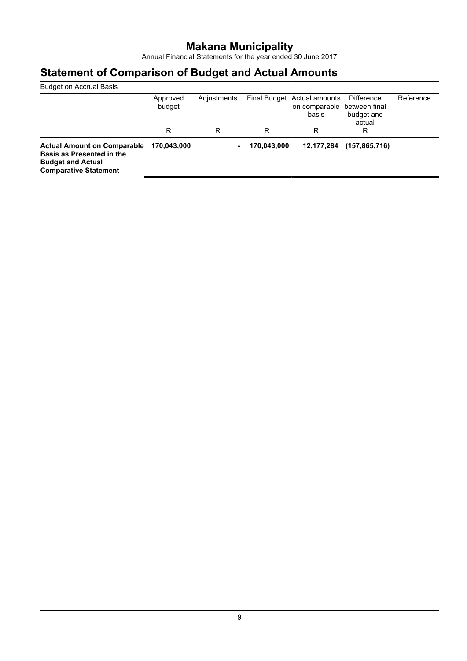Annual Financial Statements for the year ended 30 June 2017

| <b>Budget on Accrual Basis</b>                                                                                              |                    |             |             |                                                                     |                                    |           |
|-----------------------------------------------------------------------------------------------------------------------------|--------------------|-------------|-------------|---------------------------------------------------------------------|------------------------------------|-----------|
|                                                                                                                             | Approved<br>budget | Adjustments |             | Final Budget Actual amounts<br>on comparable between final<br>basis | Difference<br>budget and<br>actual | Reference |
|                                                                                                                             | R                  | R           | R           | R                                                                   | R                                  |           |
| <b>Actual Amount on Comparable</b><br>Basis as Presented in the<br><b>Budget and Actual</b><br><b>Comparative Statement</b> | 170.043.000        | ٠           | 170,043,000 | 12,177,284                                                          | (157, 865, 716)                    |           |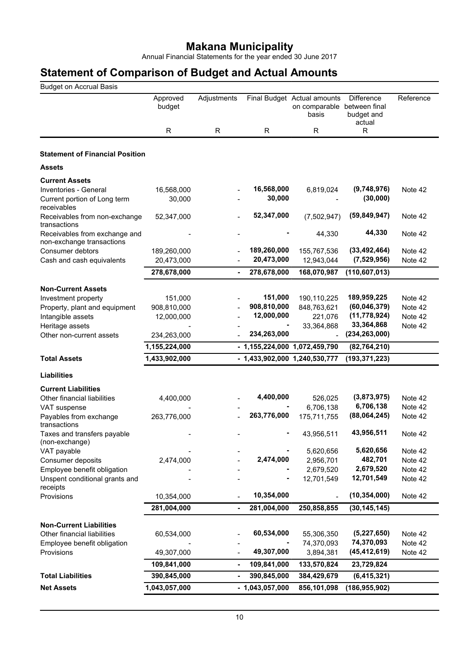Annual Financial Statements for the year ended 30 June 2017

| <b>Budget on Accrual Basis</b>                             |                    |                              |                  |                                                                     |                                           |           |
|------------------------------------------------------------|--------------------|------------------------------|------------------|---------------------------------------------------------------------|-------------------------------------------|-----------|
|                                                            | Approved<br>budget | Adjustments                  |                  | Final Budget Actual amounts<br>on comparable between final<br>basis | <b>Difference</b><br>budget and<br>actual | Reference |
|                                                            | R                  | R                            | R                | R                                                                   | $\mathsf{R}$                              |           |
| <b>Statement of Financial Position</b>                     |                    |                              |                  |                                                                     |                                           |           |
| <b>Assets</b>                                              |                    |                              |                  |                                                                     |                                           |           |
| <b>Current Assets</b>                                      |                    |                              |                  |                                                                     |                                           |           |
| Inventories - General                                      | 16,568,000         |                              | 16,568,000       | 6,819,024                                                           | (9,748,976)                               | Note 42   |
| Current portion of Long term<br>receivables                | 30,000             |                              | 30,000           |                                                                     | (30,000)                                  |           |
| Receivables from non-exchange<br>transactions              | 52,347,000         |                              | 52,347,000       | (7,502,947)                                                         | (59, 849, 947)                            | Note 42   |
| Receivables from exchange and<br>non-exchange transactions |                    |                              |                  | 44,330                                                              | 44,330                                    | Note 42   |
| Consumer debtors                                           | 189,260,000        |                              | 189,260,000      | 155,767,536                                                         | (33, 492, 464)                            | Note 42   |
| Cash and cash equivalents                                  | 20,473,000         |                              | 20,473,000       | 12,943,044                                                          | (7,529,956)                               | Note 42   |
|                                                            | 278,678,000        | $\blacksquare$               | 278,678,000      | 168,070,987                                                         | (110, 607, 013)                           |           |
| <b>Non-Current Assets</b>                                  |                    |                              |                  |                                                                     |                                           |           |
| Investment property                                        | 151,000            |                              | 151,000          | 190,110,225                                                         | 189,959,225                               | Note 42   |
| Property, plant and equipment                              | 908,810,000        |                              | 908,810,000      | 848,763,621                                                         | (60, 046, 379)                            | Note 42   |
| Intangible assets                                          | 12,000,000         |                              | 12,000,000       | 221,076                                                             | (11, 778, 924)                            | Note 42   |
| Heritage assets                                            |                    |                              |                  | 33,364,868                                                          | 33,364,868                                | Note 42   |
| Other non-current assets                                   | 234,263,000        |                              | 234,263,000      |                                                                     | (234, 263, 000)                           |           |
|                                                            | 1,155,224,000      |                              |                  | - 1,155,224,000 1,072,459,790                                       | (82, 764, 210)                            |           |
| <b>Total Assets</b>                                        | 1,433,902,000      |                              |                  | - 1,433,902,000 1,240,530,777                                       | (193, 371, 223)                           |           |
| <b>Liabilities</b>                                         |                    |                              |                  |                                                                     |                                           |           |
| <b>Current Liabilities</b>                                 |                    |                              |                  |                                                                     |                                           |           |
| Other financial liabilities                                | 4,400,000          |                              | 4,400,000        | 526,025                                                             | (3,873,975)                               | Note 42   |
| VAT suspense                                               |                    |                              |                  | 6,706,138                                                           | 6,706,138                                 | Note 42   |
| Payables from exchange<br>transactions                     | 263,776,000        |                              | 263,776,000      | 175,711,755                                                         | (88,064,245)                              | Note 42   |
| Taxes and transfers payable                                |                    |                              |                  | 43,956,511                                                          | 43,956,511                                | Note 42   |
| (non-exchange)<br>VAT payable                              |                    |                              |                  | 5,620,656                                                           | 5,620,656                                 | Note 42   |
| Consumer deposits                                          | 2,474,000          |                              | 2,474,000        | 2,956,701                                                           | 482,701                                   | Note 42   |
| Employee benefit obligation                                |                    |                              |                  | 2,679,520                                                           | 2,679,520                                 | Note 42   |
| Unspent conditional grants and<br>receipts                 |                    |                              |                  | 12,701,549                                                          | 12,701,549                                | Note 42   |
| Provisions                                                 | 10,354,000         |                              | 10,354,000       |                                                                     | (10, 354, 000)                            | Note 42   |
|                                                            | 281,004,000        | $\qquad \qquad \blacksquare$ | 281,004,000      | 250,858,855                                                         | (30, 145, 145)                            |           |
| <b>Non-Current Liabilities</b>                             |                    |                              |                  |                                                                     |                                           |           |
| Other financial liabilities                                | 60,534,000         |                              | 60,534,000       | 55,306,350                                                          | (5,227,650)                               | Note 42   |
| Employee benefit obligation                                |                    |                              |                  | 74,370,093                                                          | 74,370,093                                | Note 42   |
| Provisions                                                 | 49,307,000         |                              | 49,307,000       | 3,894,381                                                           | (45, 412, 619)                            | Note 42   |
|                                                            | 109,841,000        | ٠                            | 109,841,000      | 133,570,824                                                         | 23,729,824                                |           |
| <b>Total Liabilities</b>                                   | 390,845,000        |                              | 390,845,000      | 384,429,679                                                         | (6, 415, 321)                             |           |
| <b>Net Assets</b>                                          | 1,043,057,000      |                              | $-1,043,057,000$ | 856,101,098                                                         | (186, 955, 902)                           |           |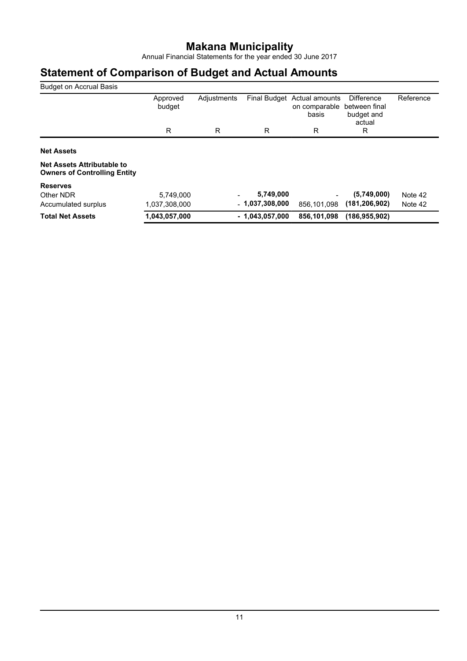Annual Financial Statements for the year ended 30 June 2017

| <b>Budget on Accrual Basis</b>                                           |                    |             |                     |                                          |                                                     |           |
|--------------------------------------------------------------------------|--------------------|-------------|---------------------|------------------------------------------|-----------------------------------------------------|-----------|
|                                                                          | Approved<br>budget | Adjustments | <b>Final Budget</b> | Actual amounts<br>on comparable<br>basis | Difference<br>between final<br>budget and<br>actual | Reference |
|                                                                          | R                  | R           | R                   | R                                        | R                                                   |           |
| <b>Net Assets</b>                                                        |                    |             |                     |                                          |                                                     |           |
| <b>Net Assets Attributable to</b><br><b>Owners of Controlling Entity</b> |                    |             |                     |                                          |                                                     |           |
| <b>Reserves</b>                                                          |                    |             |                     |                                          |                                                     |           |
| Other NDR                                                                | 5,749,000          |             | 5,749,000           |                                          | (5,749,000)                                         | Note 42   |
| Accumulated surplus                                                      | 1,037,308,000      |             | $-1,037,308,000$    | 856,101,098                              | (181, 206, 902)                                     | Note 42   |
| <b>Total Net Assets</b>                                                  | 1,043,057,000      |             | $-1,043,057,000$    | 856,101,098                              | (186, 955, 902)                                     |           |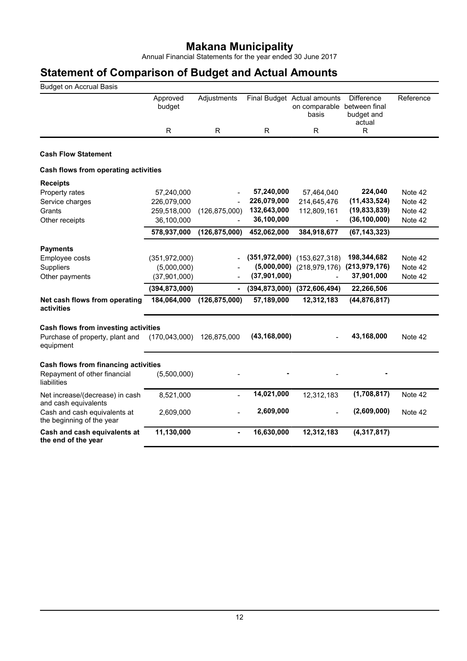Annual Financial Statements for the year ended 30 June 2017

| <b>Budget on Accrual Basis</b>                            |                    |                          |                 |                                                                     |                                           |           |
|-----------------------------------------------------------|--------------------|--------------------------|-----------------|---------------------------------------------------------------------|-------------------------------------------|-----------|
|                                                           | Approved<br>budget | Adjustments              |                 | Final Budget Actual amounts<br>on comparable between final<br>basis | <b>Difference</b><br>budget and<br>actual | Reference |
|                                                           | R.                 | R                        | R               | R                                                                   | R                                         |           |
|                                                           |                    |                          |                 |                                                                     |                                           |           |
| <b>Cash Flow Statement</b>                                |                    |                          |                 |                                                                     |                                           |           |
| Cash flows from operating activities                      |                    |                          |                 |                                                                     |                                           |           |
| <b>Receipts</b>                                           |                    |                          |                 |                                                                     |                                           |           |
| Property rates                                            | 57,240,000         |                          | 57,240,000      | 57,464,040                                                          | 224,040                                   | Note 42   |
| Service charges                                           | 226,079,000        |                          | 226,079,000     | 214,645,476                                                         | (11, 433, 524)                            | Note 42   |
| Grants                                                    | 259,518,000        | (126, 875, 000)          | 132,643,000     | 112,809,161                                                         | (19, 833, 839)                            | Note 42   |
| Other receipts                                            | 36,100,000         |                          | 36,100,000      |                                                                     | (36, 100, 000)                            | Note 42   |
|                                                           | 578,937,000        | (126, 875, 000)          | 452,062,000     | 384,918,677                                                         | (67, 143, 323)                            |           |
| <b>Payments</b>                                           |                    |                          |                 |                                                                     |                                           |           |
| Employee costs                                            | (351, 972, 000)    |                          | (351, 972, 000) | (153, 627, 318)                                                     | 198,344,682                               | Note 42   |
| Suppliers                                                 | (5,000,000)        |                          | (5,000,000)     | (218, 979, 176)                                                     | (213, 979, 176)                           | Note 42   |
| Other payments                                            | (37,901,000)       |                          | (37,901,000)    |                                                                     | 37,901,000                                | Note 42   |
|                                                           | (394, 873, 000)    | $\overline{\phantom{0}}$ | (394, 873, 000) | (372, 606, 494)                                                     | 22,266,506                                |           |
| Net cash flows from operating<br>activities               | 184,064,000        | (126, 875, 000)          | 57,189,000      | 12,312,183                                                          | (44, 876, 817)                            |           |
| Cash flows from investing activities                      |                    |                          |                 |                                                                     |                                           |           |
| Purchase of property, plant and<br>equipment              | (170, 043, 000)    | 126,875,000              | (43, 168, 000)  |                                                                     | 43,168,000                                | Note 42   |
| Cash flows from financing activities                      |                    |                          |                 |                                                                     |                                           |           |
| Repayment of other financial<br>liabilities               | (5,500,000)        |                          |                 |                                                                     |                                           |           |
| Net increase/(decrease) in cash<br>and cash equivalents   | 8,521,000          |                          | 14,021,000      | 12,312,183                                                          | (1,708,817)                               | Note 42   |
| Cash and cash equivalents at<br>the beginning of the year | 2,609,000          |                          | 2,609,000       |                                                                     | (2,609,000)                               | Note 42   |
| Cash and cash equivalents at<br>the end of the year       | 11,130,000         | ÷,                       | 16,630,000      | 12,312,183                                                          | (4, 317, 817)                             |           |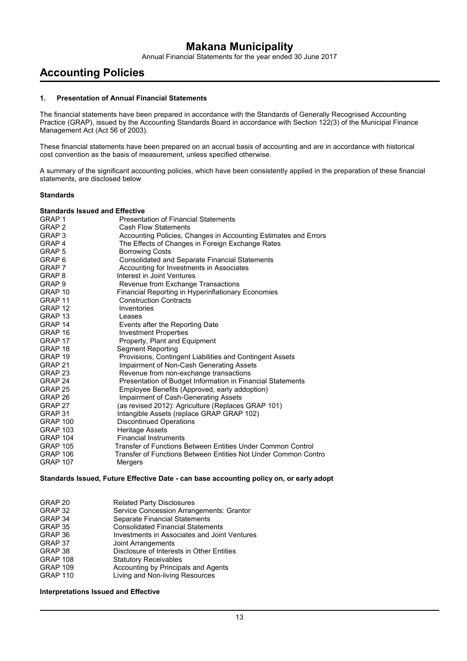Annual Financial Statements for the year ended 30 June 2017

## **Accounting Policies**

#### **1. Presentation of Annual Financial Statements**

The financial statements have been prepared in accordance with the Standards of Generally Recognised Accounting Practice (GRAP), issued by the Accounting Standards Board in accordance with Section 122(3) of the Municipal Finance Management Act (Act 56 of 2003).

These financial statements have been prepared on an accrual basis of accounting and are in accordance with historical cost convention as the basis of measurement, unless specified otherwise.

A summary of the significant accounting policies, which have been consistently applied in the preparation of these financial statements, are disclosed below

#### **Standards**

#### **Standards Issued and Effective**

| GRAP 1             | <b>Presentation of Financial Statements</b>                     |
|--------------------|-----------------------------------------------------------------|
| GRAP <sub>2</sub>  | <b>Cash Flow Statements</b>                                     |
| GRAP <sub>3</sub>  | Accounting Policies, Changes in Accounting Estimates and Errors |
| GRAP <sub>4</sub>  | The Effects of Changes in Foreign Exchange Rates                |
| GRAP 5             | <b>Borrowing Costs</b>                                          |
| GRAP <sub>6</sub>  | Consolidated and Separate Financial Statements                  |
| GRAP 7             | Accounting for Investments in Associates                        |
| GRAP 8             | Interest in Joint Ventures                                      |
| GRAP <sub>9</sub>  | Revenue from Exchange Transactions                              |
| GRAP 10            | Financial Reporting in Hyperinflationary Economies              |
| GRAP 11            | <b>Construction Contracts</b>                                   |
| GRAP <sub>12</sub> | Inventories                                                     |
| GRAP <sub>13</sub> | Leases                                                          |
| GRAP 14            | Events after the Reporting Date                                 |
| GRAP 16            | <b>Investment Properties</b>                                    |
| GRAP 17            | Property, Plant and Equipment                                   |
| GRAP 18            | <b>Segment Reporting</b>                                        |
| GRAP 19            | Provisions, Contingent Liabilities and Contingent Assets        |
| GRAP 21            | Impairment of Non-Cash Generating Assets                        |
| GRAP 23            | Revenue from non-exchange transactions                          |
| GRAP 24            | Presentation of Budget Information in Financial Statements      |
| GRAP 25            | Employee Benefits (Approved, early addoption)                   |
| GRAP 26            | Impairment of Cash-Generating Assets                            |
| GRAP 27            | (as revised 2012): Agriculture (Replaces GRAP 101)              |
| GRAP 31            | Intangible Assets (replace GRAP GRAP 102)                       |
| <b>GRAP 100</b>    | <b>Discontinued Operations</b>                                  |
| <b>GRAP 103</b>    | <b>Heritage Assets</b>                                          |
| <b>GRAP 104</b>    | <b>Financial Instruments</b>                                    |
| <b>GRAP 105</b>    | Transfer of Functions Between Entities Under Common Control     |
| <b>GRAP 106</b>    | Transfer of Functions Between Entities Not Under Common Contro  |
| <b>GRAP 107</b>    | Mergers                                                         |

#### **Standards Issued, Future Effective Date - can base accounting policy on, or early adopt**

| GRAP 20         | <b>Related Party Disclosures</b>             |
|-----------------|----------------------------------------------|
| GRAP 32         | Service Concession Arrangements: Grantor     |
| GRAP 34         | Separate Financial Statements                |
| GRAP 35         | <b>Consolidated Financial Statements</b>     |
| GRAP 36         | Investments in Associates and Joint Ventures |
| GRAP 37         | Joint Arrangements                           |
| GRAP 38         | Disclosure of Interests in Other Entities    |
| <b>GRAP 108</b> | <b>Statutory Receivables</b>                 |
| <b>GRAP 109</b> | Accounting by Principals and Agents          |
| <b>GRAP 110</b> | Living and Non-living Resources              |
|                 |                                              |

#### **Interpretations Issued and Effective**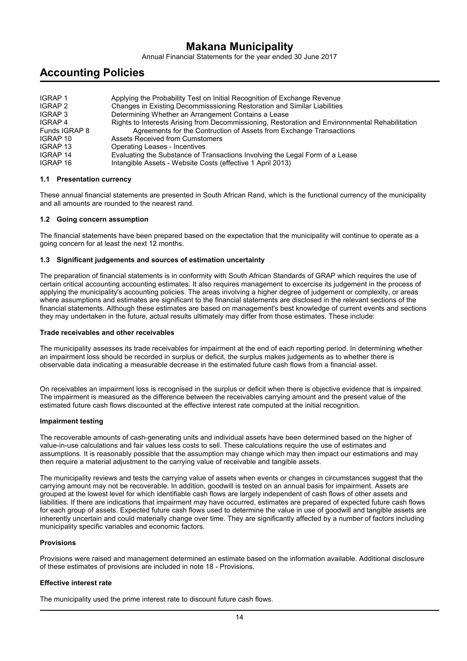Annual Financial Statements for the year ended 30 June 2017

## **Accounting Policies**

| <b>IGRAP1</b><br>IGRAP 2 | Applying the Probability Test on Initial Recognition of Exchange Revenue<br>Changes in Existing Decommisssioning Restoration and Similar Liabilities |
|--------------------------|------------------------------------------------------------------------------------------------------------------------------------------------------|
| IGRAP 3                  | Determining Whether an Arrangement Contains a Lease                                                                                                  |
| IGRAP 4                  | Rights to Interests Arising from Decommissioning, Restoration and Environnmental Rehabilitation                                                      |
| Funds IGRAP 8            | Agreements for the Contruction of Assets from Exchange Transactions                                                                                  |
| IGRAP 10                 | Assets Received from Cumstomers                                                                                                                      |
| IGRAP 13                 | Operating Leases - Incentives                                                                                                                        |
| <b>IGRAP 14</b>          | Evaluating the Substance of Transactions Involving the Legal Form of a Lease                                                                         |
| <b>IGRAP 16</b>          | Intangible Assets - Website Costs (effective 1 April 2013)                                                                                           |

#### **1.1 Presentation currency**

These annual financial statements are presented in South African Rand, which is the functional currency of the municipality and all amounts are rounded to the nearest rand.

#### **1.2 Going concern assumption**

The financial statements have been prepared based on the expectation that the municipality will continue to operate as a going concern for at least the next 12 months.

#### **1.3 Significant judgements and sources of estimation uncertainty**

The preparation of financial statements is in conformity with South African Standards of GRAP which requires the use of certain critical accounting accounting estimates. It also requires management to excercise its judgement in the process of applying the municipality's accounting policies. The areas involving a higher degree of judgement or complexity, or areas where assumptions and estimates are significant to the financial statements are disclosed in the relevant sections of the financial statements. Although these estimates are based on management's best knowledge of current events and sections they may undertaken in the future, actual results ultimately may differ from those estimates. These include:

#### **Trade receivables and other receivables**

The municipality assesses its trade receivables for impairment at the end of each reporting period. In determining whether an impairment loss should be recorded in surplus or deficit, the surplus makes judgements as to whether there is observable data indicating a measurable decrease in the estimated future cash flows from a financial asset.

On receivables an impairment loss is recognised in the surplus or deficit when there is objective evidence that is impaired. The impairment is measured as the difference between the receivables carrying amount and the present value of the estimated future cash flows discounted at the effective interest rate computed at the initial recognition.

#### **Impairment testing**

The recoverable amounts of cash-generating units and individual assets have been determined based on the higher of value-in-use calculations and fair values less costs to sell. These calculations require the use of estimates and assumptions. It is reasonably possible that the assumption may change which may then impact our estimations and may then require a material adjustment to the carrying value of receivable and tangible assets.

The municipality reviews and tests the carrying value of assets when events or changes in circumstances suggest that the carrying amount may not be recoverable. In addition, goodwill is tested on an annual basis for impairment. Assets are grouped at the lowest level for which identifiable cash flows are largely independent of cash flows of other assets and liabilities. If there are indications that impairment may have occurred, estimates are prepared of expected future cash flows for each group of assets. Expected future cash flows used to determine the value in use of goodwill and tangible assets are inherently uncertain and could materially change over time. They are significantly affected by a number of factors including municipality specific variables and economic factors.

#### **Provisions**

Provisions were raised and management determined an estimate based on the information available. Additional disclosure of these estimates of provisions are included in note 18 - Provisions.

#### **Effective interest rate**

The municipality used the prime interest rate to discount future cash flows.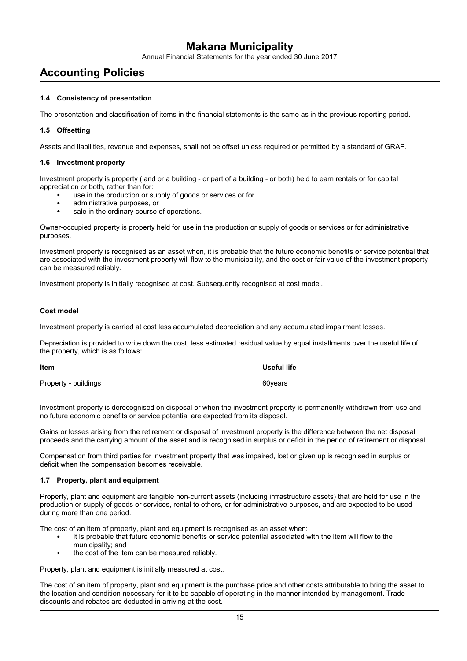Annual Financial Statements for the year ended 30 June 2017

## **Accounting Policies**

#### **1.4 Consistency of presentation**

The presentation and classification of items in the financial statements is the same as in the previous reporting period.

#### **1.5 Offsetting**

Assets and liabilities, revenue and expenses, shall not be offset unless required or permitted by a standard of GRAP.

#### **1.6 Investment property**

Investment property is property (land or a building - or part of a building - or both) held to earn rentals or for capital appreciation or both, rather than for:

- use in the production or supply of goods or services or for
- administrative purposes, or
- sale in the ordinary course of operations.

Owner-occupied property is property held for use in the production or supply of goods or services or for administrative purposes.

Investment property is recognised as an asset when, it is probable that the future economic benefits or service potential that are associated with the investment property will flow to the municipality, and the cost or fair value of the investment property can be measured reliably.

Investment property is initially recognised at cost. Subsequently recognised at cost model.

#### **Cost model**

Investment property is carried at cost less accumulated depreciation and any accumulated impairment losses.

Depreciation is provided to write down the cost, less estimated residual value by equal installments over the useful life of the property, which is as follows:

| Item                 | Useful life |
|----------------------|-------------|
| Property - buildings | 60years     |

Investment property is derecognised on disposal or when the investment property is permanently withdrawn from use and no future economic benefits or service potential are expected from its disposal.

Gains or losses arising from the retirement or disposal of investment property is the difference between the net disposal proceeds and the carrying amount of the asset and is recognised in surplus or deficit in the period of retirement or disposal.

Compensation from third parties for investment property that was impaired, lost or given up is recognised in surplus or deficit when the compensation becomes receivable.

#### **1.7 Property, plant and equipment**

Property, plant and equipment are tangible non-current assets (including infrastructure assets) that are held for use in the production or supply of goods or services, rental to others, or for administrative purposes, and are expected to be used during more than one period.

The cost of an item of property, plant and equipment is recognised as an asset when:

- it is probable that future economic benefits or service potential associated with the item will flow to the municipality; and
- the cost of the item can be measured reliably.

Property, plant and equipment is initially measured at cost.

The cost of an item of property, plant and equipment is the purchase price and other costs attributable to bring the asset to the location and condition necessary for it to be capable of operating in the manner intended by management. Trade discounts and rebates are deducted in arriving at the cost.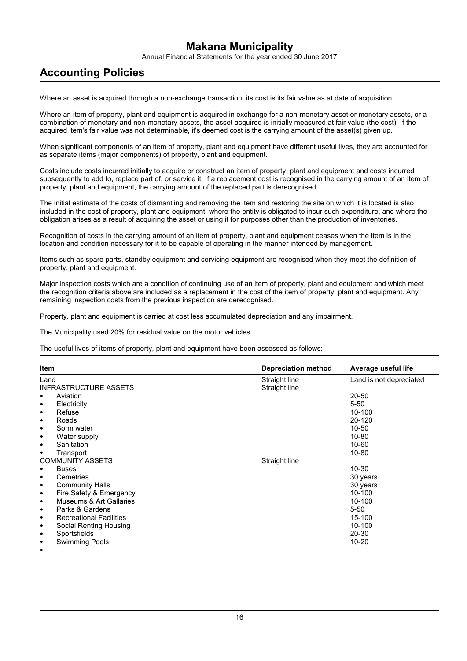Annual Financial Statements for the year ended 30 June 2017

## **Accounting Policies**

Where an asset is acquired through a non-exchange transaction, its cost is its fair value as at date of acquisition.

Where an item of property, plant and equipment is acquired in exchange for a non-monetary asset or monetary assets, or a combination of monetary and non-monetary assets, the asset acquired is initially measured at fair value (the cost). If the acquired item's fair value was not determinable, it's deemed cost is the carrying amount of the asset(s) given up.

When significant components of an item of property, plant and equipment have different useful lives, they are accounted for as separate items (major components) of property, plant and equipment.

Costs include costs incurred initially to acquire or construct an item of property, plant and equipment and costs incurred subsequently to add to, replace part of, or service it. If a replacement cost is recognised in the carrying amount of an item of property, plant and equipment, the carrying amount of the replaced part is derecognised.

The initial estimate of the costs of dismantling and removing the item and restoring the site on which it is located is also included in the cost of property, plant and equipment, where the entity is obligated to incur such expenditure, and where the obligation arises as a result of acquiring the asset or using it for purposes other than the production of inventories.

Recognition of costs in the carrying amount of an item of property, plant and equipment ceases when the item is in the location and condition necessary for it to be capable of operating in the manner intended by management.

Items such as spare parts, standby equipment and servicing equipment are recognised when they meet the definition of property, plant and equipment.

Major inspection costs which are a condition of continuing use of an item of property, plant and equipment and which meet the recognition criteria above are included as a replacement in the cost of the item of property, plant and equipment. Any remaining inspection costs from the previous inspection are derecognised.

Property, plant and equipment is carried at cost less accumulated depreciation and any impairment.

The Municipality used 20% for residual value on the motor vehicles.

The useful lives of items of property, plant and equipment have been assessed as follows:

| Item                                  | <b>Depreciation method</b> | Average useful life     |
|---------------------------------------|----------------------------|-------------------------|
| Land                                  | Straight line              | Land is not depreciated |
| <b>INFRASTRUCTURE ASSETS</b>          | Straight line              |                         |
| Aviation<br>٠                         |                            | $20 - 50$               |
| Electricity<br>٠                      |                            | $5 - 50$                |
| Refuse<br>٠                           |                            | $10 - 100$              |
| Roads<br>٠                            |                            | 20-120                  |
| Sorm water<br>٠                       |                            | $10 - 50$               |
| Water supply<br>٠                     |                            | $10 - 80$               |
| Sanitation<br>$\bullet$               |                            | $10 - 60$               |
| Transport<br>٠                        |                            | $10 - 80$               |
| <b>COMMUNITY ASSETS</b>               | Straight line              |                         |
| <b>Buses</b><br>٠                     |                            | $10 - 30$               |
| Cemetries<br>٠                        |                            | 30 years                |
| <b>Community Halls</b><br>$\bullet$   |                            | 30 years                |
| Fire, Safety & Emergency<br>$\bullet$ |                            | $10 - 100$              |
| Museums & Art Gallaries<br>$\bullet$  |                            | 10-100                  |
| Parks & Gardens<br>٠                  |                            | $5 - 50$                |
| <b>Recreational Facilities</b><br>٠   |                            | 15-100                  |
| Social Renting Housing<br>٠           |                            | 10-100                  |
| Sportsfields<br>٠                     |                            | 20-30                   |
| <b>Swimming Pools</b><br>٠            |                            | $10 - 20$               |
| ٠                                     |                            |                         |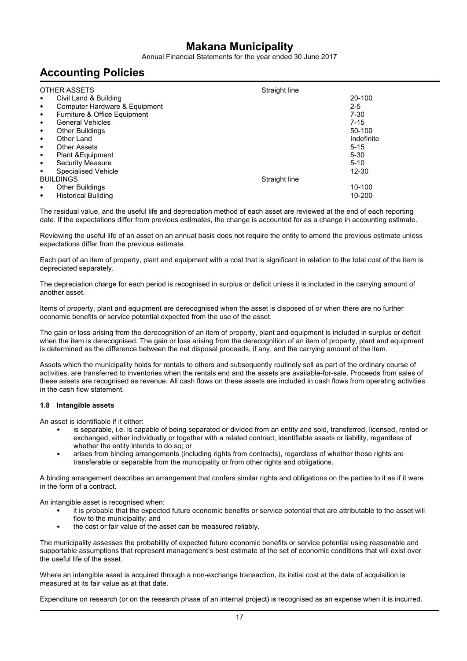Annual Financial Statements for the year ended 30 June 2017

## **Accounting Policies**

| OTHER ASSETS                              | Straight line |            |
|-------------------------------------------|---------------|------------|
| Civil Land & Building<br>٠                |               | 20-100     |
| Computer Hardware & Equipment<br>٠        |               | $2 - 5$    |
| Furniture & Office Equipment<br>$\bullet$ |               | $7-30$     |
| <b>General Vehicles</b><br>٠              |               | $7 - 15$   |
| <b>Other Buildings</b><br>٠               |               | 50-100     |
| Other Land<br>٠                           |               | Indefinite |
| <b>Other Assets</b><br>٠                  |               | $5 - 15$   |
| Plant & Equipment<br>$\bullet$            |               | $5 - 30$   |
| Security Measure<br>٠                     |               | $5 - 10$   |
| Specialised Vehicle<br>٠                  |               | $12 - 30$  |
| <b>BUILDINGS</b>                          | Straight line |            |
| <b>Other Buildings</b><br>٠               |               | 10-100     |
| <b>Historical Building</b><br>٠           |               | 10-200     |

The residual value, and the useful life and depreciation method of each asset are reviewed at the end of each reporting date. If the expectations differ from previous estimates, the change is accounted for as a change in accounting estimate.

Reviewing the useful life of an asset on an annual basis does not require the entity to amend the previous estimate unless expectations differ from the previous estimate.

Each part of an item of property, plant and equipment with a cost that is significant in relation to the total cost of the item is depreciated separately.

The depreciation charge for each period is recognised in surplus or deficit unless it is included in the carrying amount of another asset.

Items of property, plant and equipment are derecognised when the asset is disposed of or when there are no further economic benefits or service potential expected from the use of the asset.

The gain or loss arising from the derecognition of an item of property, plant and equipment is included in surplus or deficit when the item is derecognised. The gain or loss arising from the derecognition of an item of property, plant and equipment is determined as the difference between the net disposal proceeds, if any, and the carrying amount of the item.

Assets which the municipality holds for rentals to others and subsequently routinely sell as part of the ordinary course of activities, are transferred to inventories when the rentals end and the assets are available-for-sale. Proceeds from sales of these assets are recognised as revenue. All cash flows on these assets are included in cash flows from operating activities in the cash flow statement.

#### **1.8 Intangible assets**

An asset is identifiable if it either:

- is separable, i.e. is capable of being separated or divided from an entity and sold, transferred, licensed, rented or exchanged, either individually or together with a related contract, identifiable assets or liability, regardless of whether the entity intends to do so; or
- arises from binding arrangements (including rights from contracts), regardless of whether those rights are transferable or separable from the municipality or from other rights and obligations.

A binding arrangement describes an arrangement that confers similar rights and obligations on the parties to it as if it were in the form of a contract.

An intangible asset is recognised when:

- it is probable that the expected future economic benefits or service potential that are attributable to the asset will flow to the municipality; and
- the cost or fair value of the asset can be measured reliably.

The municipality assesses the probability of expected future economic benefits or service potential using reasonable and supportable assumptions that represent management's best estimate of the set of economic conditions that will exist over the useful life of the asset.

Where an intangible asset is acquired through a non-exchange transaction, its initial cost at the date of acquisition is measured at its fair value as at that date.

Expenditure on research (or on the research phase of an internal project) is recognised as an expense when it is incurred.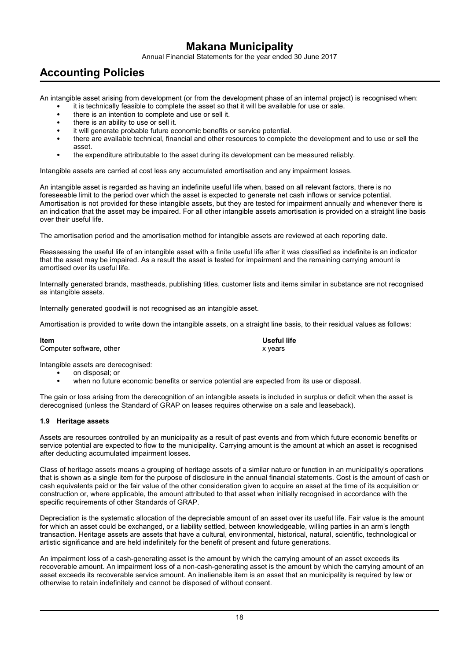Annual Financial Statements for the year ended 30 June 2017

## **Accounting Policies**

An intangible asset arising from development (or from the development phase of an internal project) is recognised when:

- it is technically feasible to complete the asset so that it will be available for use or sale.
- there is an intention to complete and use or sell it.
- there is an ability to use or sell it.
- it will generate probable future economic benefits or service potential.
- there are available technical, financial and other resources to complete the development and to use or sell the asset.
- the expenditure attributable to the asset during its development can be measured reliably.

Intangible assets are carried at cost less any accumulated amortisation and any impairment losses.

An intangible asset is regarded as having an indefinite useful life when, based on all relevant factors, there is no foreseeable limit to the period over which the asset is expected to generate net cash inflows or service potential. Amortisation is not provided for these intangible assets, but they are tested for impairment annually and whenever there is an indication that the asset may be impaired. For all other intangible assets amortisation is provided on a straight line basis over their useful life.

The amortisation period and the amortisation method for intangible assets are reviewed at each reporting date.

Reassessing the useful life of an intangible asset with a finite useful life after it was classified as indefinite is an indicator that the asset may be impaired. As a result the asset is tested for impairment and the remaining carrying amount is amortised over its useful life.

Internally generated brands, mastheads, publishing titles, customer lists and items similar in substance are not recognised as intangible assets.

Internally generated goodwill is not recognised as an intangible asset.

Amortisation is provided to write down the intangible assets, on a straight line basis, to their residual values as follows:

**Item Useful life** Computer software, other x years

Intangible assets are derecognised:

- on disposal; or
- when no future economic benefits or service potential are expected from its use or disposal.

The gain or loss arising from the derecognition of an intangible assets is included in surplus or deficit when the asset is derecognised (unless the Standard of GRAP on leases requires otherwise on a sale and leaseback).

#### **1.9 Heritage assets**

Assets are resources controlled by an municipality as a result of past events and from which future economic benefits or service potential are expected to flow to the municipality. Carrying amount is the amount at which an asset is recognised after deducting accumulated impairment losses.

Class of heritage assets means a grouping of heritage assets of a similar nature or function in an municipality's operations that is shown as a single item for the purpose of disclosure in the annual financial statements. Cost is the amount of cash or cash equivalents paid or the fair value of the other consideration given to acquire an asset at the time of its acquisition or construction or, where applicable, the amount attributed to that asset when initially recognised in accordance with the specific requirements of other Standards of GRAP.

Depreciation is the systematic allocation of the depreciable amount of an asset over its useful life. Fair value is the amount for which an asset could be exchanged, or a liability settled, between knowledgeable, willing parties in an arm's length transaction. Heritage assets are assets that have a cultural, environmental, historical, natural, scientific, technological or artistic significance and are held indefinitely for the benefit of present and future generations.

An impairment loss of a cash-generating asset is the amount by which the carrying amount of an asset exceeds its recoverable amount. An impairment loss of a non-cash-generating asset is the amount by which the carrying amount of an asset exceeds its recoverable service amount. An inalienable item is an asset that an municipality is required by law or otherwise to retain indefinitely and cannot be disposed of without consent.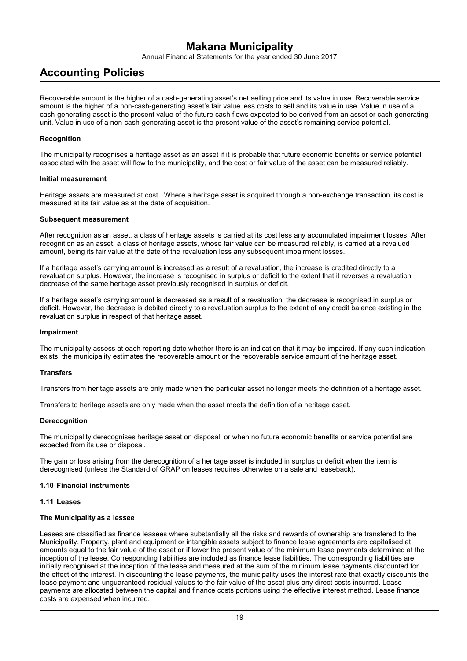Annual Financial Statements for the year ended 30 June 2017

## **Accounting Policies**

Recoverable amount is the higher of a cash-generating asset's net selling price and its value in use. Recoverable service amount is the higher of a non-cash-generating asset's fair value less costs to sell and its value in use. Value in use of a cash-generating asset is the present value of the future cash flows expected to be derived from an asset or cash-generating unit. Value in use of a non-cash-generating asset is the present value of the asset's remaining service potential.

#### **Recognition**

The municipality recognises a heritage asset as an asset if it is probable that future economic benefits or service potential associated with the asset will flow to the municipality, and the cost or fair value of the asset can be measured reliably.

#### **Initial measurement**

Heritage assets are measured at cost. Where a heritage asset is acquired through a non-exchange transaction, its cost is measured at its fair value as at the date of acquisition.

#### **Subsequent measurement**

After recognition as an asset, a class of heritage assets is carried at its cost less any accumulated impairment losses. After recognition as an asset, a class of heritage assets, whose fair value can be measured reliably, is carried at a revalued amount, being its fair value at the date of the revaluation less any subsequent impairment losses.

If a heritage asset's carrying amount is increased as a result of a revaluation, the increase is credited directly to a revaluation surplus. However, the increase is recognised in surplus or deficit to the extent that it reverses a revaluation decrease of the same heritage asset previously recognised in surplus or deficit.

If a heritage asset's carrying amount is decreased as a result of a revaluation, the decrease is recognised in surplus or deficit. However, the decrease is debited directly to a revaluation surplus to the extent of any credit balance existing in the revaluation surplus in respect of that heritage asset.

#### **Impairment**

The municipality assess at each reporting date whether there is an indication that it may be impaired. If any such indication exists, the municipality estimates the recoverable amount or the recoverable service amount of the heritage asset.

#### **Transfers**

Transfers from heritage assets are only made when the particular asset no longer meets the definition of a heritage asset.

Transfers to heritage assets are only made when the asset meets the definition of a heritage asset.

#### **Derecognition**

The municipality derecognises heritage asset on disposal, or when no future economic benefits or service potential are expected from its use or disposal.

The gain or loss arising from the derecognition of a heritage asset is included in surplus or deficit when the item is derecognised (unless the Standard of GRAP on leases requires otherwise on a sale and leaseback).

#### **1.10 Financial instruments**

#### **1.11 Leases**

#### **The Municipality as a lessee**

Leases are classified as finance leasees where substantially all the risks and rewards of ownership are transfered to the Municipality. Property, plant and equipment or intangible assets subject to finance lease agreements are capitalised at amounts equal to the fair value of the asset or if lower the present value of the minimum lease payments determined at the inception of the lease. Corresponding liabilities are included as finance lease liabilities. The corresponding liabilities are initially recognised at the inception of the lease and measured at the sum of the minimum lease payments discounted for the effect of the interest. In discounting the lease payments, the municipality uses the interest rate that exactly discounts the lease payment and unguaranteed residual values to the fair value of the asset plus any direct costs incurred. Lease payments are allocated between the capital and finance costs portions using the effective interest method. Lease finance costs are expensed when incurred.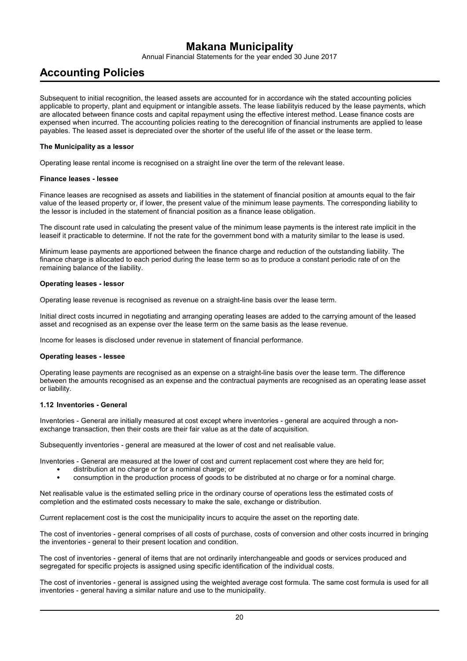Annual Financial Statements for the year ended 30 June 2017

## **Accounting Policies**

Subsequent to initial recognition, the leased assets are accounted for in accordance wih the stated accounting policies applicable to property, plant and equipment or intangible assets. The lease liabilityis reduced by the lease payments, which are allocated between finance costs and capital repayment using the effective interest method. Lease finance costs are expensed when incurred. The accounting policies reating to the derecognition of financial instruments are applied to lease payables. The leased asset is depreciated over the shorter of the useful life of the asset or the lease term.

#### **The Municipality as a lessor**

Operating lease rental income is recognised on a straight line over the term of the relevant lease.

#### **Finance leases - lessee**

Finance leases are recognised as assets and liabilities in the statement of financial position at amounts equal to the fair value of the leased property or, if lower, the present value of the minimum lease payments. The corresponding liability to the lessor is included in the statement of financial position as a finance lease obligation.

The discount rate used in calculating the present value of the minimum lease payments is the interest rate implicit in the leaseif it practicable to determine. If not the rate for the government bond with a maturity similar to the lease is used.

Minimum lease payments are apportioned between the finance charge and reduction of the outstanding liability. The finance charge is allocated to each period during the lease term so as to produce a constant periodic rate of on the remaining balance of the liability.

#### **Operating leases - lessor**

Operating lease revenue is recognised as revenue on a straight-line basis over the lease term.

Initial direct costs incurred in negotiating and arranging operating leases are added to the carrying amount of the leased asset and recognised as an expense over the lease term on the same basis as the lease revenue.

Income for leases is disclosed under revenue in statement of financial performance.

#### **Operating leases - lessee**

Operating lease payments are recognised as an expense on a straight-line basis over the lease term. The difference between the amounts recognised as an expense and the contractual payments are recognised as an operating lease asset or liability.

#### **1.12 Inventories - General**

Inventories - General are initially measured at cost except where inventories - general are acquired through a nonexchange transaction, then their costs are their fair value as at the date of acquisition.

Subsequently inventories - general are measured at the lower of cost and net realisable value.

Inventories - General are measured at the lower of cost and current replacement cost where they are held for;

- distribution at no charge or for a nominal charge; or
- consumption in the production process of goods to be distributed at no charge or for a nominal charge.

Net realisable value is the estimated selling price in the ordinary course of operations less the estimated costs of completion and the estimated costs necessary to make the sale, exchange or distribution.

Current replacement cost is the cost the municipality incurs to acquire the asset on the reporting date.

The cost of inventories - general comprises of all costs of purchase, costs of conversion and other costs incurred in bringing the inventories - general to their present location and condition.

The cost of inventories - general of items that are not ordinarily interchangeable and goods or services produced and segregated for specific projects is assigned using specific identification of the individual costs.

The cost of inventories - general is assigned using the weighted average cost formula. The same cost formula is used for all inventories - general having a similar nature and use to the municipality.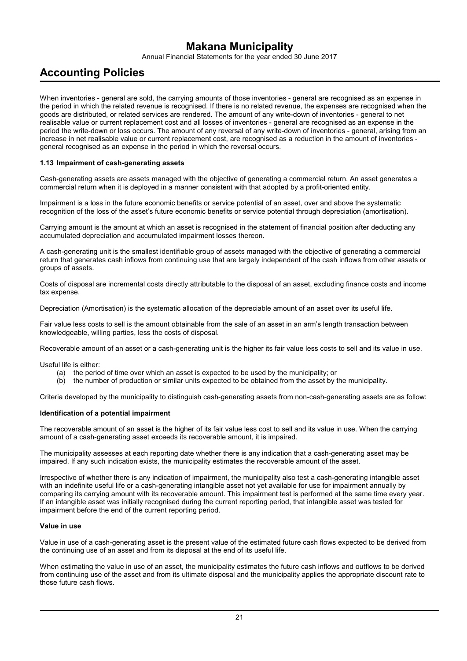Annual Financial Statements for the year ended 30 June 2017

## **Accounting Policies**

When inventories - general are sold, the carrying amounts of those inventories - general are recognised as an expense in the period in which the related revenue is recognised. If there is no related revenue, the expenses are recognised when the goods are distributed, or related services are rendered. The amount of any write-down of inventories - general to net realisable value or current replacement cost and all losses of inventories - general are recognised as an expense in the period the write-down or loss occurs. The amount of any reversal of any write-down of inventories - general, arising from an increase in net realisable value or current replacement cost, are recognised as a reduction in the amount of inventories general recognised as an expense in the period in which the reversal occurs.

#### **1.13 Impairment of cash-generating assets**

Cash-generating assets are assets managed with the objective of generating a commercial return. An asset generates a commercial return when it is deployed in a manner consistent with that adopted by a profit-oriented entity.

Impairment is a loss in the future economic benefits or service potential of an asset, over and above the systematic recognition of the loss of the asset's future economic benefits or service potential through depreciation (amortisation).

Carrying amount is the amount at which an asset is recognised in the statement of financial position after deducting any accumulated depreciation and accumulated impairment losses thereon.

A cash-generating unit is the smallest identifiable group of assets managed with the objective of generating a commercial return that generates cash inflows from continuing use that are largely independent of the cash inflows from other assets or groups of assets.

Costs of disposal are incremental costs directly attributable to the disposal of an asset, excluding finance costs and income tax expense.

Depreciation (Amortisation) is the systematic allocation of the depreciable amount of an asset over its useful life.

Fair value less costs to sell is the amount obtainable from the sale of an asset in an arm's length transaction between knowledgeable, willing parties, less the costs of disposal.

Recoverable amount of an asset or a cash-generating unit is the higher its fair value less costs to sell and its value in use.

Useful life is either:

- (a) the period of time over which an asset is expected to be used by the municipality; or
- (b) the number of production or similar units expected to be obtained from the asset by the municipality.

Criteria developed by the municipality to distinguish cash-generating assets from non-cash-generating assets are as follow:

#### **Identification of a potential impairment**

The recoverable amount of an asset is the higher of its fair value less cost to sell and its value in use. When the carrying amount of a cash-generating asset exceeds its recoverable amount, it is impaired.

The municipality assesses at each reporting date whether there is any indication that a cash-generating asset may be impaired. If any such indication exists, the municipality estimates the recoverable amount of the asset.

Irrespective of whether there is any indication of impairment, the municipality also test a cash-generating intangible asset with an indefinite useful life or a cash-generating intangible asset not yet available for use for impairment annually by comparing its carrying amount with its recoverable amount. This impairment test is performed at the same time every year. If an intangible asset was initially recognised during the current reporting period, that intangible asset was tested for impairment before the end of the current reporting period.

#### **Value in use**

Value in use of a cash-generating asset is the present value of the estimated future cash flows expected to be derived from the continuing use of an asset and from its disposal at the end of its useful life.

When estimating the value in use of an asset, the municipality estimates the future cash inflows and outflows to be derived from continuing use of the asset and from its ultimate disposal and the municipality applies the appropriate discount rate to those future cash flows.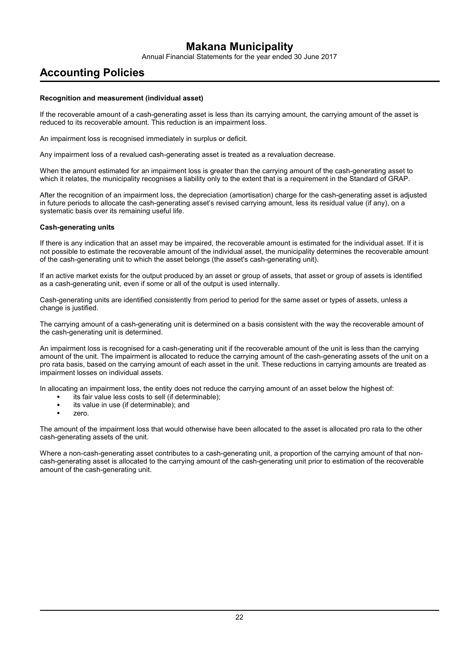Annual Financial Statements for the year ended 30 June 2017

## **Accounting Policies**

#### **Recognition and measurement (individual asset)**

If the recoverable amount of a cash-generating asset is less than its carrying amount, the carrying amount of the asset is reduced to its recoverable amount. This reduction is an impairment loss.

An impairment loss is recognised immediately in surplus or deficit.

Any impairment loss of a revalued cash-generating asset is treated as a revaluation decrease.

When the amount estimated for an impairment loss is greater than the carrying amount of the cash-generating asset to which it relates, the municipality recognises a liability only to the extent that is a requirement in the Standard of GRAP.

After the recognition of an impairment loss, the depreciation (amortisation) charge for the cash-generating asset is adjusted in future periods to allocate the cash-generating asset's revised carrying amount, less its residual value (if any), on a systematic basis over its remaining useful life.

#### **Cash-generating units**

If there is any indication that an asset may be impaired, the recoverable amount is estimated for the individual asset. If it is not possible to estimate the recoverable amount of the individual asset, the municipality determines the recoverable amount of the cash-generating unit to which the asset belongs (the asset's cash-generating unit).

If an active market exists for the output produced by an asset or group of assets, that asset or group of assets is identified as a cash-generating unit, even if some or all of the output is used internally.

Cash-generating units are identified consistently from period to period for the same asset or types of assets, unless a change is justified.

The carrying amount of a cash-generating unit is determined on a basis consistent with the way the recoverable amount of the cash-generating unit is determined.

An impairment loss is recognised for a cash-generating unit if the recoverable amount of the unit is less than the carrying amount of the unit. The impairment is allocated to reduce the carrying amount of the cash-generating assets of the unit on a pro rata basis, based on the carrying amount of each asset in the unit. These reductions in carrying amounts are treated as impairment losses on individual assets.

In allocating an impairment loss, the entity does not reduce the carrying amount of an asset below the highest of:

- its fair value less costs to sell (if determinable);
- its value in use (if determinable); and
- zero.

The amount of the impairment loss that would otherwise have been allocated to the asset is allocated pro rata to the other cash-generating assets of the unit.

Where a non-cash-generating asset contributes to a cash-generating unit, a proportion of the carrying amount of that noncash-generating asset is allocated to the carrying amount of the cash-generating unit prior to estimation of the recoverable amount of the cash-generating unit.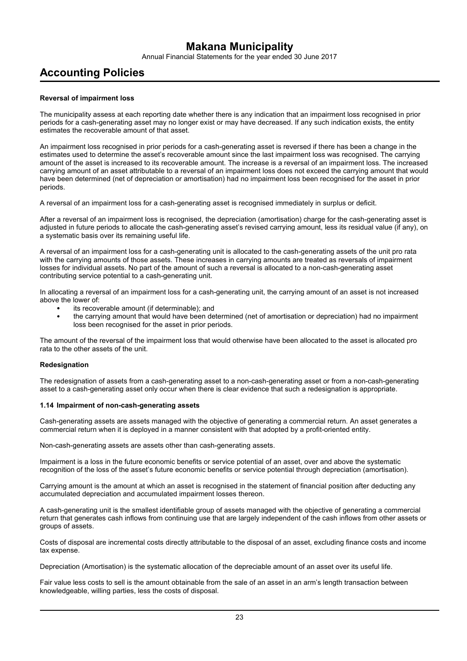Annual Financial Statements for the year ended 30 June 2017

## **Accounting Policies**

#### **Reversal of impairment loss**

The municipality assess at each reporting date whether there is any indication that an impairment loss recognised in prior periods for a cash-generating asset may no longer exist or may have decreased. If any such indication exists, the entity estimates the recoverable amount of that asset.

An impairment loss recognised in prior periods for a cash-generating asset is reversed if there has been a change in the estimates used to determine the asset's recoverable amount since the last impairment loss was recognised. The carrying amount of the asset is increased to its recoverable amount. The increase is a reversal of an impairment loss. The increased carrying amount of an asset attributable to a reversal of an impairment loss does not exceed the carrying amount that would have been determined (net of depreciation or amortisation) had no impairment loss been recognised for the asset in prior periods.

A reversal of an impairment loss for a cash-generating asset is recognised immediately in surplus or deficit.

After a reversal of an impairment loss is recognised, the depreciation (amortisation) charge for the cash-generating asset is adjusted in future periods to allocate the cash-generating asset's revised carrying amount, less its residual value (if any), on a systematic basis over its remaining useful life.

A reversal of an impairment loss for a cash-generating unit is allocated to the cash-generating assets of the unit pro rata with the carrying amounts of those assets. These increases in carrying amounts are treated as reversals of impairment losses for individual assets. No part of the amount of such a reversal is allocated to a non-cash-generating asset contributing service potential to a cash-generating unit.

In allocating a reversal of an impairment loss for a cash-generating unit, the carrying amount of an asset is not increased above the lower of:

- its recoverable amount (if determinable); and
- the carrying amount that would have been determined (net of amortisation or depreciation) had no impairment loss been recognised for the asset in prior periods.

The amount of the reversal of the impairment loss that would otherwise have been allocated to the asset is allocated pro rata to the other assets of the unit.

#### **Redesignation**

The redesignation of assets from a cash-generating asset to a non-cash-generating asset or from a non-cash-generating asset to a cash-generating asset only occur when there is clear evidence that such a redesignation is appropriate.

#### **1.14 Impairment of non-cash-generating assets**

Cash-generating assets are assets managed with the objective of generating a commercial return. An asset generates a commercial return when it is deployed in a manner consistent with that adopted by a profit-oriented entity.

Non-cash-generating assets are assets other than cash-generating assets.

Impairment is a loss in the future economic benefits or service potential of an asset, over and above the systematic recognition of the loss of the asset's future economic benefits or service potential through depreciation (amortisation).

Carrying amount is the amount at which an asset is recognised in the statement of financial position after deducting any accumulated depreciation and accumulated impairment losses thereon.

A cash-generating unit is the smallest identifiable group of assets managed with the objective of generating a commercial return that generates cash inflows from continuing use that are largely independent of the cash inflows from other assets or groups of assets.

Costs of disposal are incremental costs directly attributable to the disposal of an asset, excluding finance costs and income tax expense.

Depreciation (Amortisation) is the systematic allocation of the depreciable amount of an asset over its useful life.

Fair value less costs to sell is the amount obtainable from the sale of an asset in an arm's length transaction between knowledgeable, willing parties, less the costs of disposal.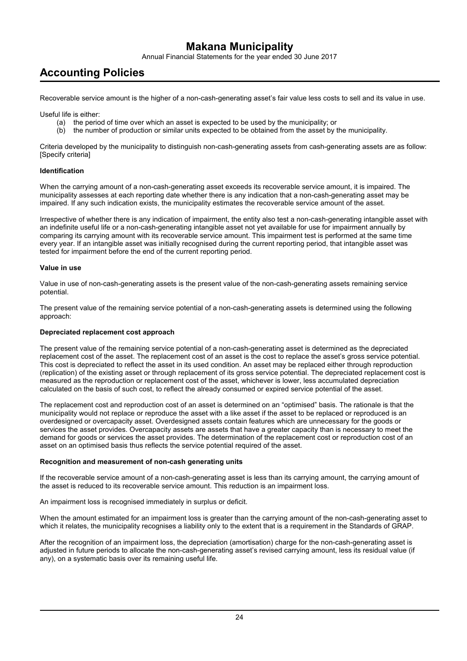Annual Financial Statements for the year ended 30 June 2017

## **Accounting Policies**

Recoverable service amount is the higher of a non-cash-generating asset's fair value less costs to sell and its value in use.

Useful life is either:

- (a) the period of time over which an asset is expected to be used by the municipality; or
- (b) the number of production or similar units expected to be obtained from the asset by the municipality.

Criteria developed by the municipality to distinguish non-cash-generating assets from cash-generating assets are as follow: [Specify criteria]

#### **Identification**

When the carrying amount of a non-cash-generating asset exceeds its recoverable service amount, it is impaired. The municipality assesses at each reporting date whether there is any indication that a non-cash-generating asset may be impaired. If any such indication exists, the municipality estimates the recoverable service amount of the asset.

Irrespective of whether there is any indication of impairment, the entity also test a non-cash-generating intangible asset with an indefinite useful life or a non-cash-generating intangible asset not yet available for use for impairment annually by comparing its carrying amount with its recoverable service amount. This impairment test is performed at the same time every year. If an intangible asset was initially recognised during the current reporting period, that intangible asset was tested for impairment before the end of the current reporting period.

#### **Value in use**

Value in use of non-cash-generating assets is the present value of the non-cash-generating assets remaining service potential.

The present value of the remaining service potential of a non-cash-generating assets is determined using the following approach:

#### **Depreciated replacement cost approach**

The present value of the remaining service potential of a non-cash-generating asset is determined as the depreciated replacement cost of the asset. The replacement cost of an asset is the cost to replace the asset's gross service potential. This cost is depreciated to reflect the asset in its used condition. An asset may be replaced either through reproduction (replication) of the existing asset or through replacement of its gross service potential. The depreciated replacement cost is measured as the reproduction or replacement cost of the asset, whichever is lower, less accumulated depreciation calculated on the basis of such cost, to reflect the already consumed or expired service potential of the asset.

The replacement cost and reproduction cost of an asset is determined on an "optimised" basis. The rationale is that the municipality would not replace or reproduce the asset with a like asset if the asset to be replaced or reproduced is an overdesigned or overcapacity asset. Overdesigned assets contain features which are unnecessary for the goods or services the asset provides. Overcapacity assets are assets that have a greater capacity than is necessary to meet the demand for goods or services the asset provides. The determination of the replacement cost or reproduction cost of an asset on an optimised basis thus reflects the service potential required of the asset.

#### **Recognition and measurement of non-cash generating units**

If the recoverable service amount of a non-cash-generating asset is less than its carrying amount, the carrying amount of the asset is reduced to its recoverable service amount. This reduction is an impairment loss.

An impairment loss is recognised immediately in surplus or deficit.

When the amount estimated for an impairment loss is greater than the carrying amount of the non-cash-generating asset to which it relates, the municipality recognises a liability only to the extent that is a requirement in the Standards of GRAP.

After the recognition of an impairment loss, the depreciation (amortisation) charge for the non-cash-generating asset is adjusted in future periods to allocate the non-cash-generating asset's revised carrying amount, less its residual value (if any), on a systematic basis over its remaining useful life.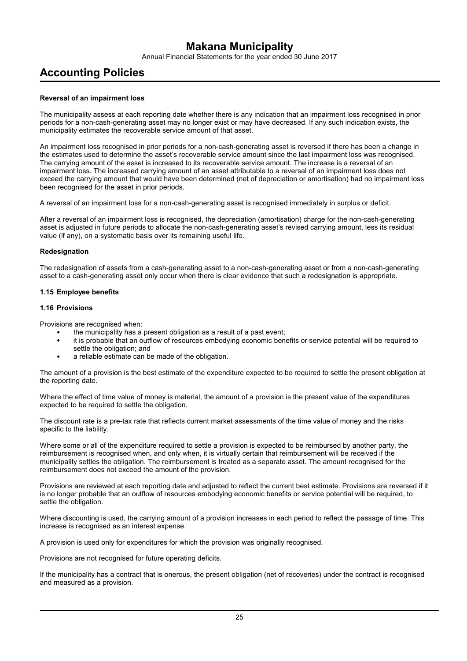Annual Financial Statements for the year ended 30 June 2017

## **Accounting Policies**

#### **Reversal of an impairment loss**

The municipality assess at each reporting date whether there is any indication that an impairment loss recognised in prior periods for a non-cash-generating asset may no longer exist or may have decreased. If any such indication exists, the municipality estimates the recoverable service amount of that asset.

An impairment loss recognised in prior periods for a non-cash-generating asset is reversed if there has been a change in the estimates used to determine the asset's recoverable service amount since the last impairment loss was recognised. The carrying amount of the asset is increased to its recoverable service amount. The increase is a reversal of an impairment loss. The increased carrying amount of an asset attributable to a reversal of an impairment loss does not exceed the carrying amount that would have been determined (net of depreciation or amortisation) had no impairment loss been recognised for the asset in prior periods.

A reversal of an impairment loss for a non-cash-generating asset is recognised immediately in surplus or deficit.

After a reversal of an impairment loss is recognised, the depreciation (amortisation) charge for the non-cash-generating asset is adjusted in future periods to allocate the non-cash-generating asset's revised carrying amount, less its residual value (if any), on a systematic basis over its remaining useful life.

#### **Redesignation**

The redesignation of assets from a cash-generating asset to a non-cash-generating asset or from a non-cash-generating asset to a cash-generating asset only occur when there is clear evidence that such a redesignation is appropriate.

#### **1.15 Employee benefits**

#### **1.16 Provisions**

Provisions are recognised when:

- the municipality has a present obligation as a result of a past event;
- it is probable that an outflow of resources embodying economic benefits or service potential will be required to settle the obligation; and
- a reliable estimate can be made of the obligation.

The amount of a provision is the best estimate of the expenditure expected to be required to settle the present obligation at the reporting date.

Where the effect of time value of money is material, the amount of a provision is the present value of the expenditures expected to be required to settle the obligation.

The discount rate is a pre-tax rate that reflects current market assessments of the time value of money and the risks specific to the liability.

Where some or all of the expenditure required to settle a provision is expected to be reimbursed by another party, the reimbursement is recognised when, and only when, it is virtually certain that reimbursement will be received if the municipality settles the obligation. The reimbursement is treated as a separate asset. The amount recognised for the reimbursement does not exceed the amount of the provision.

Provisions are reviewed at each reporting date and adjusted to reflect the current best estimate. Provisions are reversed if it is no longer probable that an outflow of resources embodying economic benefits or service potential will be required, to settle the obligation.

Where discounting is used, the carrying amount of a provision increases in each period to reflect the passage of time. This increase is recognised as an interest expense.

A provision is used only for expenditures for which the provision was originally recognised.

Provisions are not recognised for future operating deficits.

If the municipality has a contract that is onerous, the present obligation (net of recoveries) under the contract is recognised and measured as a provision.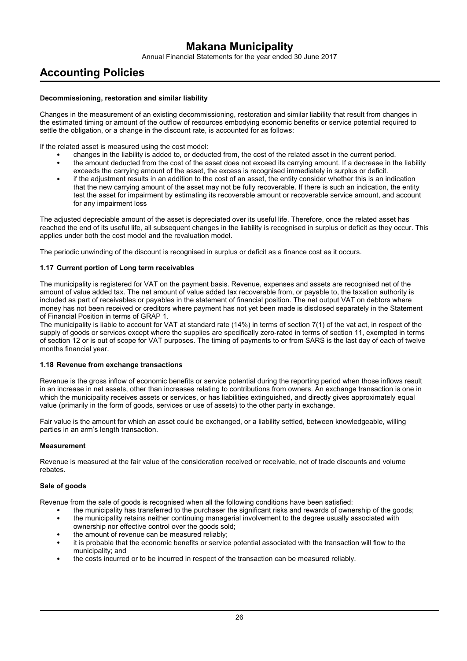Annual Financial Statements for the year ended 30 June 2017

## **Accounting Policies**

#### **Decommissioning, restoration and similar liability**

Changes in the measurement of an existing decommissioning, restoration and similar liability that result from changes in the estimated timing or amount of the outflow of resources embodying economic benefits or service potential required to settle the obligation, or a change in the discount rate, is accounted for as follows:

If the related asset is measured using the cost model:

- changes in the liability is added to, or deducted from, the cost of the related asset in the current period.
- the amount deducted from the cost of the asset does not exceed its carrying amount. If a decrease in the liability exceeds the carrying amount of the asset, the excess is recognised immediately in surplus or deficit.
- if the adjustment results in an addition to the cost of an asset, the entity consider whether this is an indication that the new carrying amount of the asset may not be fully recoverable. If there is such an indication, the entity test the asset for impairment by estimating its recoverable amount or recoverable service amount, and account for any impairment loss

The adjusted depreciable amount of the asset is depreciated over its useful life. Therefore, once the related asset has reached the end of its useful life, all subsequent changes in the liability is recognised in surplus or deficit as they occur. This applies under both the cost model and the revaluation model.

The periodic unwinding of the discount is recognised in surplus or deficit as a finance cost as it occurs.

#### **1.17 Current portion of Long term receivables**

The municipality is registered for VAT on the payment basis. Revenue, expenses and assets are recognised net of the amount of value added tax. The net amount of value added tax recoverable from, or payable to, the taxation authority is included as part of receivables or payables in the statement of financial position. The net output VAT on debtors where money has not been received or creditors where payment has not yet been made is disclosed separately in the Statement of Financial Position in terms of GRAP 1.

The municipality is liable to account for VAT at standard rate (14%) in terms of section 7(1) of the vat act, in respect of the supply of goods or services except where the supplies are specifically zero-rated in terms of section 11, exempted in terms of section 12 or is out of scope for VAT purposes. The timing of payments to or from SARS is the last day of each of twelve months financial year.

#### **1.18 Revenue from exchange transactions**

Revenue is the gross inflow of economic benefits or service potential during the reporting period when those inflows result in an increase in net assets, other than increases relating to contributions from owners. An exchange transaction is one in which the municipality receives assets or services, or has liabilities extinguished, and directly gives approximately equal value (primarily in the form of goods, services or use of assets) to the other party in exchange.

Fair value is the amount for which an asset could be exchanged, or a liability settled, between knowledgeable, willing parties in an arm's length transaction.

#### **Measurement**

Revenue is measured at the fair value of the consideration received or receivable, net of trade discounts and volume rebates.

#### **Sale of goods**

Revenue from the sale of goods is recognised when all the following conditions have been satisfied:

- the municipality has transferred to the purchaser the significant risks and rewards of ownership of the goods;
- the municipality retains neither continuing managerial involvement to the degree usually associated with
- ownership nor effective control over the goods sold; the amount of revenue can be measured reliably;
- it is probable that the economic benefits or service potential associated with the transaction will flow to the municipality; and
- the costs incurred or to be incurred in respect of the transaction can be measured reliably.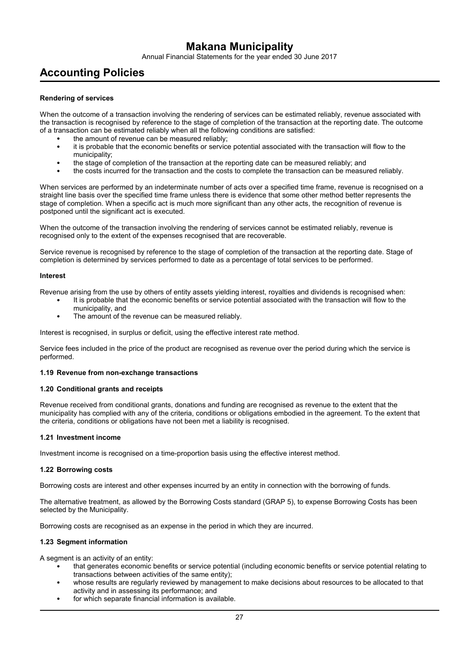Annual Financial Statements for the year ended 30 June 2017

## **Accounting Policies**

#### **Rendering of services**

When the outcome of a transaction involving the rendering of services can be estimated reliably, revenue associated with the transaction is recognised by reference to the stage of completion of the transaction at the reporting date. The outcome of a transaction can be estimated reliably when all the following conditions are satisfied:

- the amount of revenue can be measured reliably;
- it is probable that the economic benefits or service potential associated with the transaction will flow to the municipality;
- the stage of completion of the transaction at the reporting date can be measured reliably; and
- the costs incurred for the transaction and the costs to complete the transaction can be measured reliably.

When services are performed by an indeterminate number of acts over a specified time frame, revenue is recognised on a straight line basis over the specified time frame unless there is evidence that some other method better represents the stage of completion. When a specific act is much more significant than any other acts, the recognition of revenue is postponed until the significant act is executed.

When the outcome of the transaction involving the rendering of services cannot be estimated reliably, revenue is recognised only to the extent of the expenses recognised that are recoverable.

Service revenue is recognised by reference to the stage of completion of the transaction at the reporting date. Stage of completion is determined by services performed to date as a percentage of total services to be performed.

#### **Interest**

Revenue arising from the use by others of entity assets yielding interest, royalties and dividends is recognised when:

- It is probable that the economic benefits or service potential associated with the transaction will flow to the municipality, and
- The amount of the revenue can be measured reliably.

Interest is recognised, in surplus or deficit, using the effective interest rate method.

Service fees included in the price of the product are recognised as revenue over the period during which the service is performed.

#### **1.19 Revenue from non-exchange transactions**

#### **1.20 Conditional grants and receipts**

Revenue received from conditional grants, donations and funding are recognised as revenue to the extent that the municipality has complied with any of the criteria, conditions or obligations embodied in the agreement. To the extent that the criteria, conditions or obligations have not been met a liability is recognised.

#### **1.21 Investment income**

Investment income is recognised on a time-proportion basis using the effective interest method.

#### **1.22 Borrowing costs**

Borrowing costs are interest and other expenses incurred by an entity in connection with the borrowing of funds.

The alternative treatment, as allowed by the Borrowing Costs standard (GRAP 5), to expense Borrowing Costs has been selected by the Municipality.

Borrowing costs are recognised as an expense in the period in which they are incurred.

#### **1.23 Segment information**

A segment is an activity of an entity:

- that generates economic benefits or service potential (including economic benefits or service potential relating to transactions between activities of the same entity);
- whose results are regularly reviewed by management to make decisions about resources to be allocated to that activity and in assessing its performance; and
- for which separate financial information is available.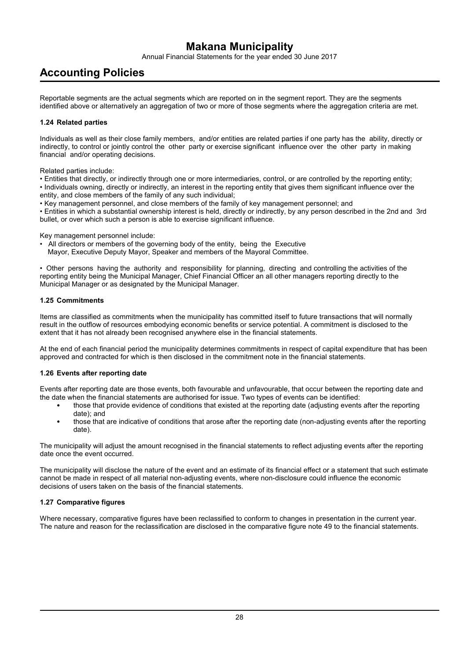Annual Financial Statements for the year ended 30 June 2017

## **Accounting Policies**

Reportable segments are the actual segments which are reported on in the segment report. They are the segments identified above or alternatively an aggregation of two or more of those segments where the aggregation criteria are met.

#### **1.24 Related parties**

Individuals as well as their close family members, and/or entities are related parties if one party has the ability, directly or indirectly, to control or jointly control the other party or exercise significant influence over the other party in making financial and/or operating decisions.

Related parties include:

• Entities that directly, or indirectly through one or more intermediaries, control, or are controlled by the reporting entity;

• Individuals owning, directly or indirectly, an interest in the reporting entity that gives them significant influence over the entity, and close members of the family of any such individual;

• Key management personnel, and close members of the family of key management personnel; and

• Entities in which a substantial ownership interest is held, directly or indirectly, by any person described in the 2nd and 3rd bullet, or over which such a person is able to exercise significant influence.

Key management personnel include:

- All directors or members of the governing body of the entity, being the Executive
- Mayor, Executive Deputy Mayor, Speaker and members of the Mayoral Committee.

• Other persons having the authority and responsibility for planning, directing and controlling the activities of the reporting entity being the Municipal Manager, Chief Financial Officer an all other managers reporting directly to the Municipal Manager or as designated by the Municipal Manager.

#### **1.25 Commitments**

Items are classified as commitments when the municipality has committed itself to future transactions that will normally result in the outflow of resources embodying economic benefits or service potential. A commitment is disclosed to the extent that it has not already been recognised anywhere else in the financial statements.

At the end of each financial period the municipality determines commitments in respect of capital expenditure that has been approved and contracted for which is then disclosed in the commitment note in the financial statements.

#### **1.26 Events after reporting date**

Events after reporting date are those events, both favourable and unfavourable, that occur between the reporting date and the date when the financial statements are authorised for issue. Two types of events can be identified:

- those that provide evidence of conditions that existed at the reporting date (adjusting events after the reporting date); and
- those that are indicative of conditions that arose after the reporting date (non-adjusting events after the reporting date).

The municipality will adjust the amount recognised in the financial statements to reflect adjusting events after the reporting date once the event occurred.

The municipality will disclose the nature of the event and an estimate of its financial effect or a statement that such estimate cannot be made in respect of all material non-adjusting events, where non-disclosure could influence the economic decisions of users taken on the basis of the financial statements.

#### **1.27 Comparative figures**

Where necessary, comparative figures have been reclassified to conform to changes in presentation in the current year. The nature and reason for the reclassification are disclosed in the comparative figure note 49 to the financial statements.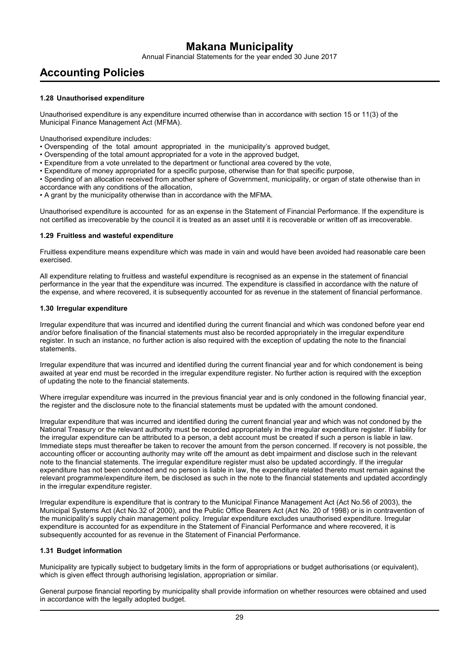Annual Financial Statements for the year ended 30 June 2017

## **Accounting Policies**

#### **1.28 Unauthorised expenditure**

Unauthorised expenditure is any expenditure incurred otherwise than in accordance with section 15 or 11(3) of the Municipal Finance Management Act (MFMA).

Unauthorised expenditure includes:

- Overspending of the total amount appropriated in the municipality's approved budget,
- Overspending of the total amount appropriated for a vote in the approved budget,
- Expenditure from a vote unrelated to the department or functional area covered by the vote,
- Expenditure of money appropriated for a specific purpose, otherwise than for that specific purpose,

• Spending of an allocation received from another sphere of Government, municipality, or organ of state otherwise than in accordance with any conditions of the allocation,

• A grant by the municipality otherwise than in accordance with the MFMA.

Unauthorised expenditure is accounted for as an expense in the Statement of Financial Performance. If the expenditure is not certified as irrecoverable by the council it is treated as an asset until it is recoverable or written off as irrecoverable.

#### **1.29 Fruitless and wasteful expenditure**

Fruitless expenditure means expenditure which was made in vain and would have been avoided had reasonable care been exercised.

All expenditure relating to fruitless and wasteful expenditure is recognised as an expense in the statement of financial performance in the year that the expenditure was incurred. The expenditure is classified in accordance with the nature of the expense, and where recovered, it is subsequently accounted for as revenue in the statement of financial performance.

#### **1.30 Irregular expenditure**

Irregular expenditure that was incurred and identified during the current financial and which was condoned before year end and/or before finalisation of the financial statements must also be recorded appropriately in the irregular expenditure register. In such an instance, no further action is also required with the exception of updating the note to the financial statements.

Irregular expenditure that was incurred and identified during the current financial year and for which condonement is being awaited at year end must be recorded in the irregular expenditure register. No further action is required with the exception of updating the note to the financial statements.

Where irregular expenditure was incurred in the previous financial year and is only condoned in the following financial year, the register and the disclosure note to the financial statements must be updated with the amount condoned.

Irregular expenditure that was incurred and identified during the current financial year and which was not condoned by the National Treasury or the relevant authority must be recorded appropriately in the irregular expenditure register. If liability for the irregular expenditure can be attributed to a person, a debt account must be created if such a person is liable in law. Immediate steps must thereafter be taken to recover the amount from the person concerned. If recovery is not possible, the accounting officer or accounting authority may write off the amount as debt impairment and disclose such in the relevant note to the financial statements. The irregular expenditure register must also be updated accordingly. If the irregular expenditure has not been condoned and no person is liable in law, the expenditure related thereto must remain against the relevant programme/expenditure item, be disclosed as such in the note to the financial statements and updated accordingly in the irregular expenditure register.

Irregular expenditure is expenditure that is contrary to the Municipal Finance Management Act (Act No.56 of 2003), the Municipal Systems Act (Act No.32 of 2000), and the Public Office Bearers Act (Act No. 20 of 1998) or is in contravention of the municipality's supply chain management policy. Irregular expenditure excludes unauthorised expenditure. Irregular expenditure is accounted for as expenditure in the Statement of Financial Performance and where recovered, it is subsequently accounted for as revenue in the Statement of Financial Performance.

#### **1.31 Budget information**

Municipality are typically subject to budgetary limits in the form of appropriations or budget authorisations (or equivalent), which is given effect through authorising legislation, appropriation or similar.

General purpose financial reporting by municipality shall provide information on whether resources were obtained and used in accordance with the legally adopted budget.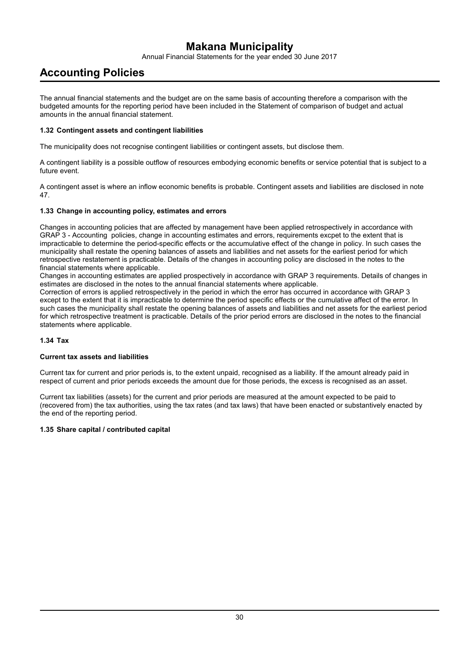Annual Financial Statements for the year ended 30 June 2017

## **Accounting Policies**

The annual financial statements and the budget are on the same basis of accounting therefore a comparison with the budgeted amounts for the reporting period have been included in the Statement of comparison of budget and actual amounts in the annual financial statement.

#### **1.32 Contingent assets and contingent liabilities**

The municipality does not recognise contingent liabilities or contingent assets, but disclose them.

A contingent liability is a possible outflow of resources embodying economic benefits or service potential that is subject to a future event.

A contingent asset is where an inflow economic benefits is probable. Contingent assets and liabilities are disclosed in note 47.

#### **1.33 Change in accounting policy, estimates and errors**

Changes in accounting policies that are affected by management have been applied retrospectively in accordance with GRAP 3 - Accounting policies, change in accounting estimates and errors, requirements excpet to the extent that is impracticable to determine the period-specific effects or the accumulative effect of the change in policy. In such cases the municipality shall restate the opening balances of assets and liabilities and net assets for the earliest period for which retrospective restatement is practicable. Details of the changes in accounting policy are disclosed in the notes to the financial statements where applicable.

Changes in accounting estimates are applied prospectively in accordance with GRAP 3 requirements. Details of changes in estimates are disclosed in the notes to the annual financial statements where applicable.

Correction of errors is applied retrospectively in the period in which the error has occurred in accordance with GRAP 3 except to the extent that it is impracticable to determine the period specific effects or the cumulative affect of the error. In such cases the municipality shall restate the opening balances of assets and liabilities and net assets for the earliest period for which retrospective treatment is practicable. Details of the prior period errors are disclosed in the notes to the financial statements where applicable.

#### **1.34 Tax**

#### **Current tax assets and liabilities**

Current tax for current and prior periods is, to the extent unpaid, recognised as a liability. If the amount already paid in respect of current and prior periods exceeds the amount due for those periods, the excess is recognised as an asset.

Current tax liabilities (assets) for the current and prior periods are measured at the amount expected to be paid to (recovered from) the tax authorities, using the tax rates (and tax laws) that have been enacted or substantively enacted by the end of the reporting period.

#### **1.35 Share capital / contributed capital**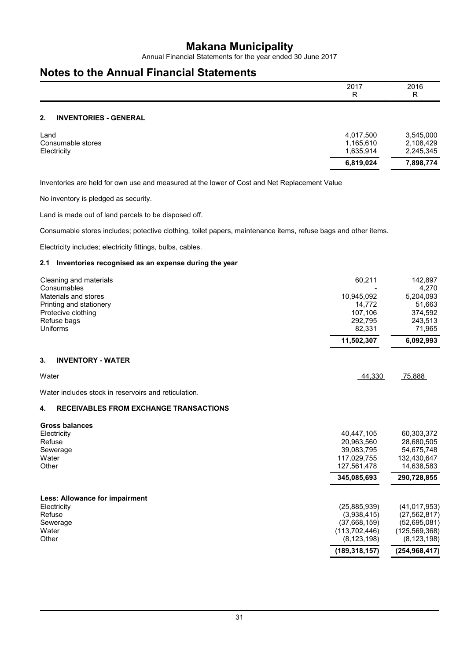Annual Financial Statements for the year ended 30 June 2017

## **Notes to the Annual Financial Statements**

|    |                              | 2017<br>R | 2016<br>R |
|----|------------------------------|-----------|-----------|
| 2. | <b>INVENTORIES - GENERAL</b> |           |           |

|                                  | 6,819,024              | 7,898,774              |
|----------------------------------|------------------------|------------------------|
| Consumable stores<br>Electricity | 1,165,610<br>1,635,914 | 2,108,429<br>2,245,345 |
| ∟and                             | 4,017,500              | 3,545,000              |

Inventories are held for own use and measured at the lower of Cost and Net Replacement Value

No inventory is pledged as security.

Land is made out of land parcels to be disposed off.

Consumable stores includes; potective clothing, toilet papers, maintenance items, refuse bags and other items.

Electricity includes; electricity fittings, bulbs, cables.

#### **2.1 Inventories recognised as an expense during the year**

| Cleaning and materials<br>Consumables<br>Materials and stores<br>Printing and stationery<br>Protecive clothing<br>Refuse bags<br>Uniforms | 60,211<br>10,945,092<br>14,772<br>107,106<br>292,795<br>82,331<br>11,502,307                         | 142,897<br>4,270<br>5,204,093<br>51,663<br>374,592<br>243,513<br>71,965<br>6,092,993                    |
|-------------------------------------------------------------------------------------------------------------------------------------------|------------------------------------------------------------------------------------------------------|---------------------------------------------------------------------------------------------------------|
| 3.<br><b>INVENTORY - WATER</b>                                                                                                            |                                                                                                      |                                                                                                         |
| Water                                                                                                                                     | 44,330                                                                                               | 75,888                                                                                                  |
| Water includes stock in reservoirs and reticulation.                                                                                      |                                                                                                      |                                                                                                         |
| <b>RECEIVABLES FROM EXCHANGE TRANSACTIONS</b><br>4.                                                                                       |                                                                                                      |                                                                                                         |
| <b>Gross balances</b><br>Electricity<br>Refuse<br>Sewerage<br>Water<br>Other                                                              | 40,447,105<br>20,963,560<br>39,083,795<br>117,029,755<br>127,561,478<br>345,085,693                  | 60,303,372<br>28,680,505<br>54,675,748<br>132,430,647<br>14,638,583<br>290,728,855                      |
| <b>Less: Allowance for impairment</b><br>Electricity<br>Refuse<br>Sewerage<br>Water<br>Other                                              | (25, 885, 939)<br>(3,938,415)<br>(37,668,159)<br>(113, 702, 446)<br>(8, 123, 198)<br>(189, 318, 157) | (41, 017, 953)<br>(27, 562, 817)<br>(52,695,081)<br>(125, 569, 368)<br>(8, 123, 198)<br>(254, 968, 417) |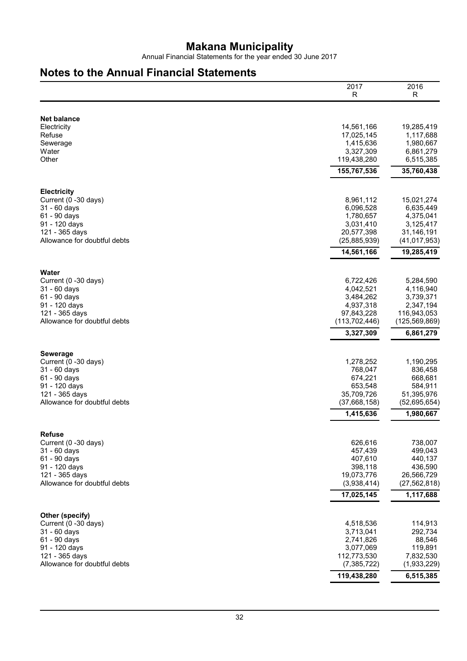Annual Financial Statements for the year ended 30 June 2017

## **Notes to the Annual Financial Statements**

|                                                                                                                                               | 2017<br>R                                                                                      | 2016<br>R                                                                             |
|-----------------------------------------------------------------------------------------------------------------------------------------------|------------------------------------------------------------------------------------------------|---------------------------------------------------------------------------------------|
|                                                                                                                                               |                                                                                                |                                                                                       |
| <b>Net balance</b><br>Electricity<br>Refuse<br>Sewerage<br>Water<br>Other                                                                     | 14,561,166<br>17,025,145<br>1,415,636<br>3,327,309<br>119,438,280                              | 19,285,419<br>1,117,688<br>1,980,667<br>6,861,279<br>6,515,385                        |
|                                                                                                                                               | 155,767,536                                                                                    | 35,760,438                                                                            |
| <b>Electricity</b><br>Current (0 -30 days)<br>31 - 60 days<br>61 - 90 days<br>91 - 120 days<br>121 - 365 days<br>Allowance for doubtful debts | 8,961,112<br>6,096,528<br>1,780,657<br>3,031,410<br>20,577,398<br>(25, 885, 939)<br>14,561,166 | 15,021,274<br>6,635,449<br>4,375,041<br>3,125,417<br>31,146,191<br>(41, 017, 953)     |
|                                                                                                                                               |                                                                                                | 19,285,419                                                                            |
| Water<br>Current (0 -30 days)<br>31 - 60 days<br>61 - 90 days<br>91 - 120 days<br>121 - 365 days<br>Allowance for doubtful debts              | 6,722,426<br>4,042,521<br>3,484,262<br>4,937,318<br>97,843,228<br>(113, 702, 446)              | 5,284,590<br>4,116,940<br>3,739,371<br>2,347,194<br>116,943,053<br>(125, 569, 869)    |
|                                                                                                                                               | 3,327,309                                                                                      | 6,861,279                                                                             |
| <b>Sewerage</b><br>Current (0 -30 days)<br>31 - 60 days<br>61 - 90 days<br>91 - 120 days<br>121 - 365 days<br>Allowance for doubtful debts    | 1,278,252<br>768,047<br>674,221<br>653,548<br>35,709,726<br>(37,668,158)                       | 1,190,295<br>836,458<br>668,681<br>584,911<br>51,395,976<br>(52,695,654)              |
|                                                                                                                                               | 1,415,636                                                                                      | 1,980,667                                                                             |
| <b>Refuse</b><br>Current (0 -30 days)<br>31 - 60 days<br>61 - 90 days<br>91 - 120 days<br>121 - 365 days<br>Allowance for doubtful debts      | 626,616<br>457,439<br>407,610<br>398,118<br>19,073,776<br>(3,938,414)<br>17,025,145            | 738,007<br>499,043<br>440,137<br>436,590<br>26,566,729<br>(27, 562, 818)<br>1,117,688 |
| Other (specify)                                                                                                                               |                                                                                                |                                                                                       |
| Current (0 -30 days)<br>31 - 60 days<br>61 - 90 days<br>91 - 120 days<br>121 - 365 days<br>Allowance for doubtful debts                       | 4,518,536<br>3,713,041<br>2,741,826<br>3,077,069<br>112,773,530<br>(7, 385, 722)               | 114,913<br>292,734<br>88,546<br>119,891<br>7,832,530<br>(1,933,229)                   |
|                                                                                                                                               | 119,438,280                                                                                    | 6,515,385                                                                             |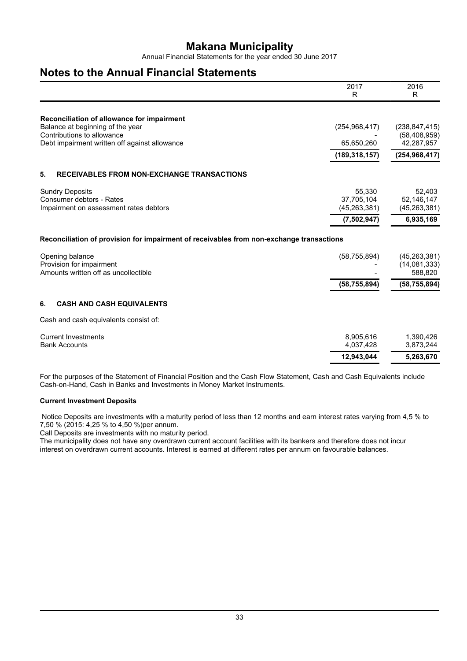Annual Financial Statements for the year ended 30 June 2017

### **Notes to the Annual Financial Statements**

|                                                                                          | 2017            | 2016                         |
|------------------------------------------------------------------------------------------|-----------------|------------------------------|
|                                                                                          | R               | R                            |
| Reconciliation of allowance for impairment                                               |                 |                              |
| Balance at beginning of the year                                                         | (254, 968, 417) | (238, 847, 415)              |
| Contributions to allowance<br>Debt impairment written off against allowance              | 65,650,260      | (58, 408, 959)<br>42,287,957 |
|                                                                                          | (189, 318, 157) | (254, 968, 417)              |
| 5.<br><b>RECEIVABLES FROM NON-EXCHANGE TRANSACTIONS</b>                                  |                 |                              |
| <b>Sundry Deposits</b>                                                                   | 55,330          | 52,403                       |
| Consumer debtors - Rates                                                                 | 37,705,104      | 52,146,147                   |
| Impairment on assessment rates debtors                                                   | (45, 263, 381)  | (45, 263, 381)               |
|                                                                                          | (7,502,947)     | 6,935,169                    |
| Reconciliation of provision for impairment of receivables from non-exchange transactions |                 |                              |
| Opening balance                                                                          | (58, 755, 894)  | (45, 263, 381)               |
| Provision for impairment<br>Amounts written off as uncollectible                         |                 | (14,081,333)<br>588,820      |
|                                                                                          | (58, 755, 894)  | (58, 755, 894)               |
| 6.<br><b>CASH AND CASH EQUIVALENTS</b>                                                   |                 |                              |
| Cash and cash equivalents consist of:                                                    |                 |                              |
| <b>Current Investments</b>                                                               | 8,905,616       | 1,390,426                    |
| <b>Bank Accounts</b>                                                                     | 4,037,428       | 3,873,244                    |
|                                                                                          | 12,943,044      | 5,263,670                    |
|                                                                                          |                 |                              |

For the purposes of the Statement of Financial Position and the Cash Flow Statement, Cash and Cash Equivalents include Cash-on-Hand, Cash in Banks and Investments in Money Market Instruments.

#### **Current Investment Deposits**

 Notice Deposits are investments with a maturity period of less than 12 months and earn interest rates varying from 4,5 % to 7,50 % (2015: 4,25 % to 4,50 %)per annum.

Call Deposits are investments with no maturity period.

The municipality does not have any overdrawn current account facilities with its bankers and therefore does not incur interest on overdrawn current accounts. Interest is earned at different rates per annum on favourable balances.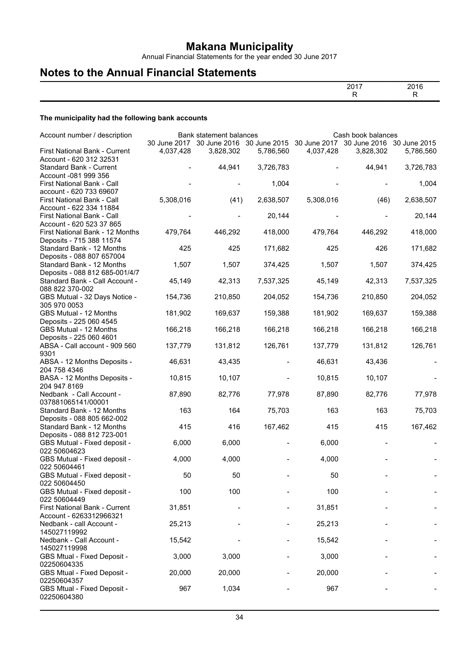Annual Financial Statements for the year ended 30 June 2017

## **Notes to the Annual Financial Statements**

#### **The municipality had the following bank accounts**

|                                                          |           |                                                                   |           |           | Cash book balances                     |           |
|----------------------------------------------------------|-----------|-------------------------------------------------------------------|-----------|-----------|----------------------------------------|-----------|
| Account number / description                             |           | Bank statement balances<br>30 June 2017 30 June 2016 30 June 2015 |           |           | 30 June 2017 30 June 2016 30 June 2015 |           |
| First National Bank - Current<br>Account - 620 312 32531 | 4,037,428 | 3,828,302                                                         | 5,786,560 | 4,037,428 | 3,828,302                              | 5,786,560 |
| Standard Bank - Current                                  |           | 44,941                                                            | 3,726,783 |           | 44,941                                 | 3,726,783 |
| Account -081 999 356<br>First National Bank - Call       |           |                                                                   | 1,004     |           |                                        | 1,004     |
| account - 620 733 69607<br>First National Bank - Call    | 5,308,016 | (41)                                                              | 2,638,507 | 5,308,016 | (46)                                   | 2,638,507 |
| Account - 622 334 11884                                  |           |                                                                   |           |           |                                        |           |
| First National Bank - Call<br>Account - 620 523 37 865   |           |                                                                   | 20,144    |           |                                        | 20,144    |
| First National Bank - 12 Months                          | 479,764   | 446,292                                                           | 418,000   | 479,764   | 446,292                                | 418,000   |
| Deposits - 715 388 11574<br>Standard Bank - 12 Months    | 425       | 425                                                               | 171,682   | 425       | 426                                    | 171,682   |
| Deposits - 088 807 657004<br>Standard Bank - 12 Months   | 1,507     | 1,507                                                             | 374,425   | 1,507     | 1,507                                  | 374,425   |
| Deposits - 088 812 685-001/4/7                           |           |                                                                   |           |           |                                        |           |
| Standard Bank - Call Account -<br>088 822 370-002        | 45,149    | 42,313                                                            | 7,537,325 | 45,149    | 42,313                                 | 7,537,325 |
| GBS Mutual - 32 Days Notice -<br>305 970 0053            | 154,736   | 210,850                                                           | 204,052   | 154,736   | 210,850                                | 204,052   |
| <b>GBS Mutual - 12 Months</b>                            | 181,902   | 169,637                                                           | 159,388   | 181,902   | 169,637                                | 159,388   |
| Deposits - 225 060 4545<br>GBS Mutual - 12 Months        | 166,218   | 166,218                                                           | 166,218   | 166,218   | 166,218                                | 166,218   |
| Deposits - 225 060 4601<br>ABSA - Call account - 909 560 | 137,779   | 131,812                                                           | 126,761   | 137,779   | 131,812                                | 126,761   |
| 9301                                                     |           |                                                                   |           |           |                                        |           |
| ABSA - 12 Months Deposits -<br>204 758 4346              | 46,631    | 43,435                                                            |           | 46,631    | 43,436                                 |           |
| BASA - 12 Months Deposits -<br>204 947 8169              | 10,815    | 10,107                                                            |           | 10,815    | 10,107                                 |           |
| Nedbank - Call Account -                                 | 87,890    | 82,776                                                            | 77,978    | 87,890    | 82,776                                 | 77,978    |
| 037881065141/00001<br>Standard Bank - 12 Months          | 163       | 164                                                               | 75,703    | 163       | 163                                    | 75,703    |
| Deposits - 088 805 662-002                               |           |                                                                   |           |           |                                        |           |
| Standard Bank - 12 Months<br>Deposits - 088 812 723-001  | 415       | 416                                                               | 167,462   | 415       | 415                                    | 167,462   |
| GBS Mutual - Fixed deposit -                             | 6,000     | 6,000                                                             |           | 6,000     |                                        |           |
| 022 50604623<br>GBS Mutual - Fixed deposit -             | 4.000     | 4,000                                                             |           | 4,000     |                                        |           |
| 022 50604461<br>GBS Mutual - Fixed deposit -             | 50        | 50                                                                |           | 50        |                                        |           |
| 022 50604450<br>GBS Mutual - Fixed deposit -             | 100       | 100                                                               |           | 100       |                                        |           |
| 022 50604449                                             |           |                                                                   |           |           |                                        |           |
| First National Bank - Current<br>Account - 6263312966321 | 31,851    |                                                                   |           | 31,851    |                                        |           |
| Nedbank - call Account -<br>145027119992                 | 25,213    |                                                                   |           | 25,213    |                                        |           |
| Nedbank - Call Account -                                 | 15,542    |                                                                   |           | 15,542    |                                        |           |
| 145027119998<br>GBS Mtual - Fixed Deposit -              | 3,000     | 3,000                                                             |           | 3,000     |                                        |           |
| 02250604335<br>GBS Mtual - Fixed Deposit -               | 20,000    | 20,000                                                            |           | 20,000    |                                        |           |
| 02250604357                                              |           |                                                                   |           |           |                                        |           |
| GBS Mtual - Fixed Deposit -<br>02250604380               | 967       | 1,034                                                             |           | 967       |                                        |           |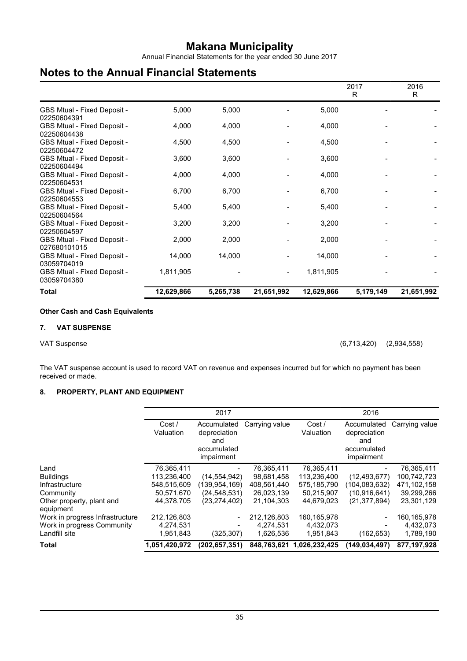Annual Financial Statements for the year ended 30 June 2017

## **Notes to the Annual Financial Statements**

|                                             |            |           |            |            | 2017<br>R | 2016<br>R  |
|---------------------------------------------|------------|-----------|------------|------------|-----------|------------|
| GBS Mtual - Fixed Deposit -<br>02250604391  | 5,000      | 5,000     |            | 5,000      |           |            |
| GBS Mtual - Fixed Deposit -<br>02250604438  | 4,000      | 4,000     |            | 4,000      |           |            |
| GBS Mtual - Fixed Deposit -<br>02250604472  | 4,500      | 4,500     |            | 4,500      |           |            |
| GBS Mtual - Fixed Deposit -<br>02250604494  | 3,600      | 3,600     |            | 3,600      |           |            |
| GBS Mtual - Fixed Deposit -<br>02250604531  | 4,000      | 4,000     |            | 4,000      |           |            |
| GBS Mtual - Fixed Deposit -<br>02250604553  | 6,700      | 6,700     |            | 6,700      |           |            |
| GBS Mtual - Fixed Deposit -<br>02250604564  | 5,400      | 5,400     |            | 5,400      |           |            |
| GBS Mtual - Fixed Deposit -<br>02250604597  | 3,200      | 3,200     |            | 3,200      |           |            |
| GBS Mtual - Fixed Deposit -<br>027680101015 | 2,000      | 2,000     |            | 2,000      |           |            |
| GBS Mtual - Fixed Deposit -<br>03059704019  | 14,000     | 14,000    |            | 14,000     |           |            |
| GBS Mtual - Fixed Deposit -<br>03059704380  | 1,811,905  |           |            | 1,811,905  |           |            |
| <b>Total</b>                                | 12,629,866 | 5,265,738 | 21,651,992 | 12,629,866 | 5,179,149 | 21,651,992 |

#### **Other Cash and Cash Equivalents**

#### **7. VAT SUSPENSE**

VAT Suspense (6,713,420) (2,934,558)

The VAT suspense account is used to record VAT on revenue and expenses incurred but for which no payment has been received or made.

#### **8. PROPERTY, PLANT AND EQUIPMENT**

| <b>Total</b>                                 | 1,051,420,972       | (202, 657, 351)                  |                | 848,763,621 1,026,232,425 | (149.034.497)                    | 877,197,928    |
|----------------------------------------------|---------------------|----------------------------------|----------------|---------------------------|----------------------------------|----------------|
| Landfill site                                | 1,951,843           | (325, 307)                       | 1,626,536      | 1,951,843                 | (162, 653)                       | 1,789,190      |
| Work in progress Community                   | 4,274,531           |                                  | 4,274,531      | 4,432,073                 |                                  | 4,432,073      |
| equipment<br>Work in progress Infrastructure | 212,126,803         |                                  | 212,126,803    | 160, 165, 978             |                                  | 160,165,978    |
| Other property, plant and                    | 44,378,705          | (23, 274, 402)                   | 21,104,303     | 44,679,023                | (21, 377, 894)                   | 23,301,129     |
| Community                                    | 50,571,670          | (24, 548, 531)                   | 26,023,139     | 50,215,907                | (10.916.641)                     | 39,299,266     |
| Infrastructure                               | 548,515,609         | (139.954.169)                    | 408.561.440    | 575.185.790               | (104,083,632)                    | 471,102,158    |
| <b>Buildings</b>                             | 113,236,400         | (14, 554, 942)                   | 98,681,458     | 113,236,400               | (12, 493, 677)                   | 100,742,723    |
| Land                                         | 76,365,411          |                                  | 76,365,411     | 76,365,411                |                                  | 76,365,411     |
|                                              |                     | and<br>accumulated<br>impairment |                |                           | and<br>accumulated<br>impairment |                |
|                                              | Cost /<br>Valuation | Accumulated<br>depreciation      | Carrying value | Cost/<br>Valuation        | Accumulated<br>depreciation      | Carrying value |
|                                              |                     | 2017                             |                |                           | 2016                             |                |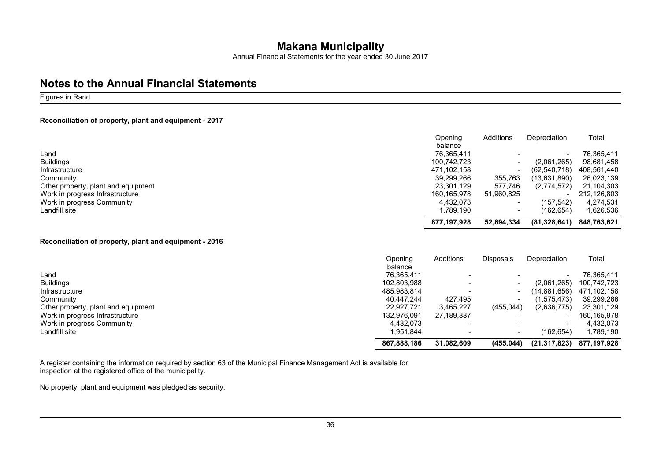Annual Financial Statements for the year ended 30 June 2017

### **Notes to the Annual Financial Statements**

#### Figures in Rand

#### **Reconciliation of property, plant and equipment - 2017**

|                                     | Opening     | Additions                | Depreciation   | Total       |
|-------------------------------------|-------------|--------------------------|----------------|-------------|
|                                     | balance     |                          |                |             |
| Land                                | 76.365.411  |                          |                | 76.365.411  |
| <b>Buildings</b>                    | 100.742.723 |                          | (2,061,265)    | 98,681,458  |
| Infrastructure                      | 471.102.158 |                          | (62, 540, 718) | 408,561,440 |
| Community                           | 39,299,266  | 355,763                  | (13,631,890)   | 26,023,139  |
| Other property, plant and equipment | 23.301.129  | 577.746                  | (2,774,572)    | 21,104,303  |
| Work in progress Infrastructure     | 160.165.978 | 51,960,825               |                | 212.126.803 |
| Work in progress Community          | 4.432.073   | $\overline{\phantom{a}}$ | (157.542)      | 4,274,531   |
| Landfill site                       | 1.789.190   | $\overline{\phantom{a}}$ | (162.654)      | 1,626,536   |
|                                     | 877.197.928 | 52,894,334               | (81,328,641)   | 848.763.621 |

#### **Reconciliation of property, plant and equipment - 2016**

|                                     | Openina     | Additions                | <b>Disposals</b> | Depreciation   | Total       |
|-------------------------------------|-------------|--------------------------|------------------|----------------|-------------|
|                                     | balance     |                          |                  |                |             |
| Land                                | 76.365.411  | $\overline{\phantom{0}}$ |                  |                | 76.365.411  |
| <b>Buildings</b>                    | 102,803,988 | $\overline{\phantom{0}}$ |                  | (2,061,265)    | 100,742,723 |
| Infrastructure                      | 485,983,814 | $\overline{\phantom{a}}$ |                  | (14,881,656)   | 471,102,158 |
| Community                           | 40.447.244  | 427,495                  |                  | (1,575,473)    | 39,299,266  |
| Other property, plant and equipment | 22.927.721  | 3,465,227                | (455, 044)       | (2,636,775)    | 23,301,129  |
| Work in progress Infrastructure     | 132.976.091 | 27,189,887               |                  |                | 160.165.978 |
| Work in progress Community          | 4.432.073   | $\overline{\phantom{0}}$ |                  |                | 4.432.073   |
| Landfill site                       | 1.951.844   | $\overline{\phantom{a}}$ |                  | (162,654)      | 1,789,190   |
|                                     | 867.888.186 | 31.082.609               | (455,044)        | (21, 317, 823) | 877.197.928 |

A register containing the information required by section 63 of the Municipal Finance Management Act is available for inspection at the registered office of the municipality.

No property, plant and equipment was pledged as security.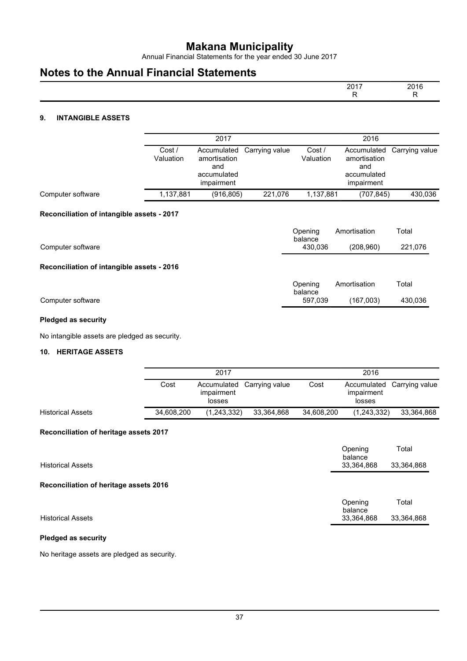Annual Financial Statements for the year ended 30 June 2017

## **Notes to the Annual Financial Statements**

| 0.047 | 2016<br>– ∪   |
|-------|---------------|
| . .   | $\sim$ $\sim$ |

### **9. INTANGIBLE ASSETS**

|                                            |                     | 2017                                                            |                | 2016                |                                                                 |                |  |
|--------------------------------------------|---------------------|-----------------------------------------------------------------|----------------|---------------------|-----------------------------------------------------------------|----------------|--|
|                                            | Cost /<br>Valuation | Accumulated<br>amortisation<br>and<br>accumulated<br>impairment | Carrying value | Cost /<br>Valuation | Accumulated<br>amortisation<br>and<br>accumulated<br>impairment | Carrying value |  |
| Computer software                          | 1,137,881           | (916, 805)                                                      | 221,076        | 1,137,881           | (707, 845)                                                      | 430,036        |  |
| Reconciliation of intangible assets - 2017 |                     |                                                                 |                |                     |                                                                 |                |  |
|                                            |                     |                                                                 |                | Opening<br>balance  | Amortisation                                                    | Total          |  |
| Computer software                          |                     |                                                                 |                | 430,036             | (208, 960)                                                      | 221,076        |  |
| Reconciliation of intangible assets - 2016 |                     |                                                                 |                |                     |                                                                 |                |  |
|                                            |                     |                                                                 |                | Opening<br>balance  | Amortisation                                                    | Total          |  |
| Computer software                          |                     |                                                                 |                | 597,039             | (167,003)                                                       | 430,036        |  |

#### **Pledged as security**

No intangible assets are pledged as security.

#### **10. HERITAGE ASSETS**

|                          |            | 2017                 |                            |            | 2016                 |                            |  |
|--------------------------|------------|----------------------|----------------------------|------------|----------------------|----------------------------|--|
|                          | Cost       | impairment<br>losses | Accumulated Carrying value | Cost       | impairment<br>losses | Accumulated Carrying value |  |
| <b>Historical Assets</b> | 34.608.200 | (1,243,332)          | 33,364,868                 | 34,608,200 | (1,243,332)          | 33,364,868                 |  |

#### **Reconciliation of heritage assets 2017**

| <b>Historical Assets</b>               | Opening<br>balance<br>33,364,868 | Total<br>33,364,868 |
|----------------------------------------|----------------------------------|---------------------|
| Reconciliation of heritage assets 2016 |                                  |                     |
|                                        | Opening<br>balance               | Total               |
| <b>Historical Assets</b>               | 33,364,868                       | 33,364,868          |
| $\mathbf{z}$                           |                                  |                     |

#### **Pledged as security**

No heritage assets are pledged as security.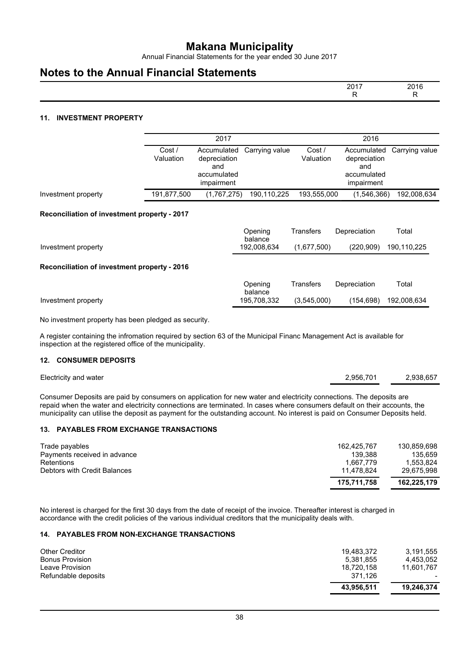Annual Financial Statements for the year ended 30 June 2017

### **Notes to the Annual Financial Statements**

| 2017<br>— U | 2016<br>$\sim$ |
|-------------|----------------|
|             | $\cdot$ .      |

#### **11. INVESTMENT PROPERTY**

|                                                      |                     | 2017                                                            |                    | 2016                |                                                                 |                |  |
|------------------------------------------------------|---------------------|-----------------------------------------------------------------|--------------------|---------------------|-----------------------------------------------------------------|----------------|--|
|                                                      | Cost /<br>Valuation | Accumulated<br>depreciation<br>and<br>accumulated<br>impairment | Carrying value     | Cost /<br>Valuation | Accumulated<br>depreciation<br>and<br>accumulated<br>impairment | Carrying value |  |
| Investment property                                  | 191,877,500         | (1,767,275)                                                     | 190,110,225        | 193,555,000         | (1,546,366)                                                     | 192,008,634    |  |
| Reconciliation of investment property - 2017         |                     |                                                                 |                    |                     |                                                                 |                |  |
|                                                      |                     |                                                                 | Opening<br>balance | <b>Transfers</b>    | Depreciation                                                    | Total          |  |
| Investment property                                  |                     |                                                                 | 192,008,634        | (1,677,500)         | (220, 909)                                                      | 190,110,225    |  |
| Reconciliation of investment property - 2016         |                     |                                                                 |                    |                     |                                                                 |                |  |
|                                                      |                     |                                                                 | Opening<br>balance | <b>Transfers</b>    | Depreciation                                                    | Total          |  |
| Investment property                                  |                     |                                                                 | 195,708,332        | (3,545,000)         | (154, 698)                                                      | 192,008,634    |  |
| No investment property has been pledged as security. |                     |                                                                 |                    |                     |                                                                 |                |  |

A register containing the infromation required by section 63 of the Municipal Financ Management Act is available for inspection at the registered office of the municipality.

#### **12. CONSUMER DEPOSITS**

| Electricity and water | 2,956,701 | 2,938,657 |
|-----------------------|-----------|-----------|
|                       |           |           |

Consumer Deposits are paid by consumers on application for new water and electricity connections. The deposits are repaid when the water and electricity connections are terminated. In cases where consumers default on their accounts, the municipality can utilise the deposit as payment for the outstanding account. No interest is paid on Consumer Deposits held.

#### **13. PAYABLES FROM EXCHANGE TRANSACTIONS**

| Trade payables               | 162.425.767 | 130.859.698 |
|------------------------------|-------------|-------------|
| Payments received in advance | 139.388     | 135.659     |
| Retentions                   | 1.667.779   | 1.553.824   |
| Debtors with Credit Balances | 11.478.824  | 29.675.998  |
|                              | 175.711.758 | 162.225.179 |

No interest is charged for the first 30 days from the date of receipt of the invoice. Thereafter interest is charged in accordance with the credit policies of the various individual creditors that the municipality deals with.

#### **14. PAYABLES FROM NON-EXCHANGE TRANSACTIONS**

| Leave Provision<br>Refundable deposits | 18.720.158<br>371.126<br>43.956.511 | 11.601.767<br>19.246.374 |
|----------------------------------------|-------------------------------------|--------------------------|
| <b>Other Creditor</b>                  | 19.483.372                          | 3,191,555                |
| <b>Bonus Provision</b>                 | 5.381.855                           | 4.453.052                |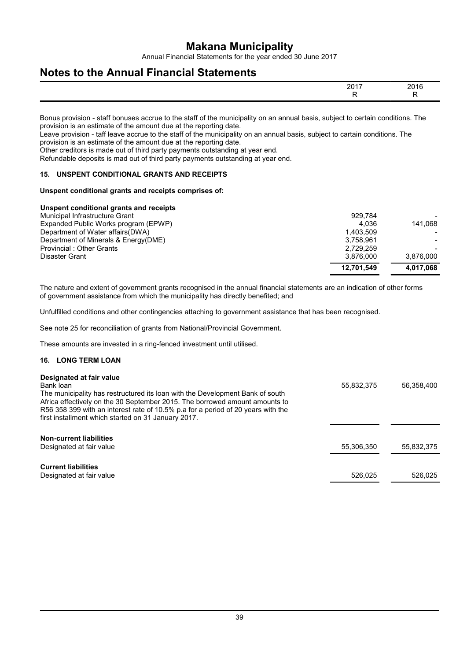Annual Financial Statements for the year ended 30 June 2017

## **Notes to the Annual Financial Statements**

| ,,<br>-- | - - -<br>201<br>$\sim$ |
|----------|------------------------|
|          | $\sim$ $\sim$          |

Bonus provision - staff bonuses accrue to the staff of the municipality on an annual basis, subject to certain conditions. The provision is an estimate of the amount due at the reporting date.

Leave provision - taff leave accrue to the staff of the municipality on an annual basis, subject to cartain conditions. The provision is an estimate of the amount due at the reporting date.

Other creditors is made out of third party payments outstanding at year end.

Refundable deposits is mad out of third party payments outstanding at year end.

#### **15. UNSPENT CONDITIONAL GRANTS AND RECEIPTS**

#### **Unspent conditional grants and receipts comprises of:**

#### **Unspent conditional grants and receipts**

|                                      | 12.701.549 | 4.017.068 |
|--------------------------------------|------------|-----------|
| Disaster Grant                       | 3.876.000  | 3.876.000 |
| Provincial: Other Grants             | 2.729.259  |           |
| Department of Minerals & Energy(DME) | 3.758.961  |           |
| Department of Water affairs (DWA)    | 1.403.509  |           |
| Expanded Public Works program (EPWP) | 4.036      | 141.068   |
| Municipal Infrastructure Grant       | 929.784    |           |
|                                      |            |           |

The nature and extent of government grants recognised in the annual financial statements are an indication of other forms of government assistance from which the municipality has directly benefited; and

Unfulfilled conditions and other contingencies attaching to government assistance that has been recognised.

See note 25 for reconciliation of grants from National/Provincial Government.

These amounts are invested in a ring-fenced investment until utilised.

#### **16. LONG TERM LOAN**

| Designated at fair value<br>Bank loan<br>The municipality has restructured its loan with the Development Bank of south<br>Africa effectively on the 30 September 2015. The borrowed amount amounts to<br>R56 358 399 with an interest rate of 10.5% p.a for a period of 20 years with the<br>first installment which started on 31 January 2017. | 55,832,375 | 56,358,400 |
|--------------------------------------------------------------------------------------------------------------------------------------------------------------------------------------------------------------------------------------------------------------------------------------------------------------------------------------------------|------------|------------|
| <b>Non-current liabilities</b><br>Designated at fair value                                                                                                                                                                                                                                                                                       | 55,306,350 | 55,832,375 |
| <b>Current liabilities</b><br>Designated at fair value                                                                                                                                                                                                                                                                                           | 526,025    | 526.025    |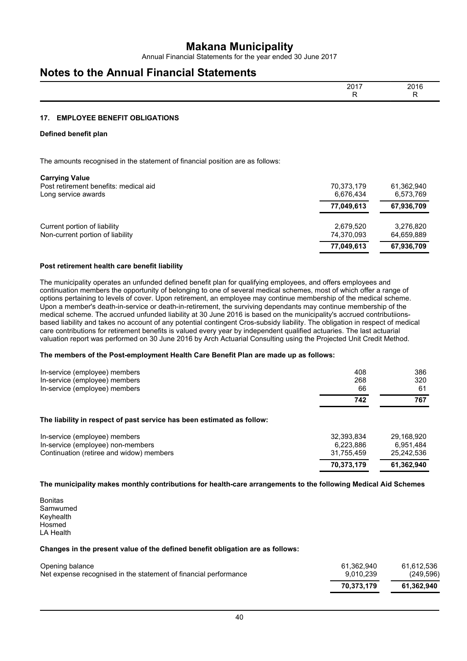Annual Financial Statements for the year ended 30 June 2017

## **Notes to the Annual Financial Statements**

| 2017<br>--<br>. . | 2016<br>$- - -$ |
|-------------------|-----------------|
|                   | $\sim$          |

#### **17. EMPLOYEE BENEFIT OBLIGATIONS**

#### **Defined benefit plan**

The amounts recognised in the statement of financial position are as follows:

| <b>Carrying Value</b>                 |            |            |
|---------------------------------------|------------|------------|
| Post retirement benefits: medical aid | 70.373.179 | 61,362,940 |
| Long service awards                   | 6,676,434  | 6,573,769  |
|                                       | 77,049,613 | 67,936,709 |
| Current portion of liability          | 2.679.520  | 3,276,820  |
| Non-current portion of liability      | 74.370.093 | 64.659.889 |
|                                       | 77,049,613 | 67,936,709 |

#### **Post retirement health care benefit liability**

The municipality operates an unfunded defined benefit plan for qualifying employees, and offers employees and continuation members the opportunity of belonging to one of several medical schemes, most of which offer a range of options pertaining to levels of cover. Upon retirement, an employee may continue membership of the medical scheme. Upon a member's death-in-service or death-in-retirement, the surviving dependants may continue membership of the medical scheme. The accrued unfunded liability at 30 June 2016 is based on the municipality's accrued contributiionsbased liability and takes no account of any potential contingent Cros-subsidy liability. The obligation in respect of medical care contributions for retirement benefits is valued every year by independent qualified actuaries. The last actuarial valuation report was performed on 30 June 2016 by Arch Actuarial Consulting using the Projected Unit Credit Method.

#### **The members of the Post-employment Health Care Benefit Plan are made up as follows:**

| In-service (employee) members<br>In-service (employee) members<br>In-service (employee) members                | 408<br>268<br>66                      | 386<br>320<br>61                      |
|----------------------------------------------------------------------------------------------------------------|---------------------------------------|---------------------------------------|
|                                                                                                                | 742                                   | 767                                   |
| The liability in respect of past service has been estimated as follow:                                         |                                       |                                       |
| In-service (employee) members<br>In-service (employee) non-members<br>Continuation (retiree and widow) members | 32,393,834<br>6,223,886<br>31.755.459 | 29.168.920<br>6,951,484<br>25,242,536 |
|                                                                                                                | 70,373,179                            | 61,362,940                            |

**The municipality makes monthly contributions for health-care arrangements to the following Medical Aid Schemes**

Bonitas Samwumed Keyhealth Hosmed LA Health

#### **Changes in the present value of the defined benefit obligation are as follows:**

| Opening balance                                                  | 61.362.940 | 61.612.536 |
|------------------------------------------------------------------|------------|------------|
| Net expense recognised in the statement of financial performance | 9.010.239  | (249.596)  |
|                                                                  | 70.373.179 | 61.362.940 |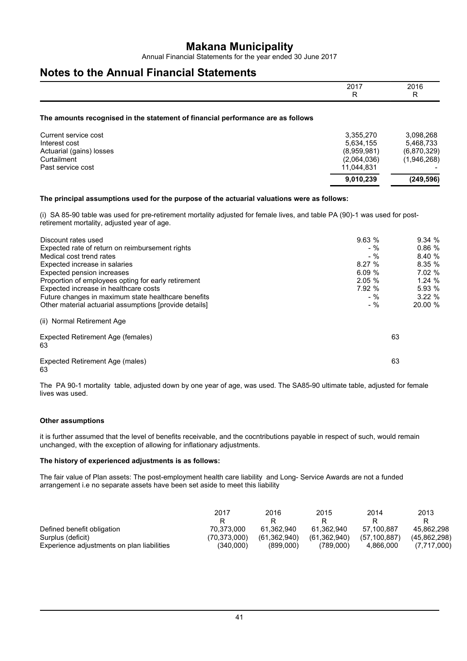Annual Financial Statements for the year ended 30 June 2017

## **Notes to the Annual Financial Statements**

|                                                                                                                                                                                                                                                                                                                                                                                    | 2017<br>R                                                                       | 2016<br>R.                                                                           |
|------------------------------------------------------------------------------------------------------------------------------------------------------------------------------------------------------------------------------------------------------------------------------------------------------------------------------------------------------------------------------------|---------------------------------------------------------------------------------|--------------------------------------------------------------------------------------|
| The amounts recognised in the statement of financial performance are as follows                                                                                                                                                                                                                                                                                                    |                                                                                 |                                                                                      |
| Current service cost<br>Interest cost<br>Actuarial (gains) losses<br>Curtailment<br>Past service cost                                                                                                                                                                                                                                                                              | 3,355,270<br>5,634,155<br>(8.959.981)<br>(2,064,036)<br>11,044,831<br>9,010,239 | 3,098,268<br>5,468,733<br>(6,870,329)<br>(1,946,268)<br>(249, 596)                   |
| The principal assumptions used for the purpose of the actuarial valuations were as follows:                                                                                                                                                                                                                                                                                        |                                                                                 |                                                                                      |
| (i) SA 85-90 table was used for pre-retirement mortality adjusted for female lives, and table PA (90)-1 was used for post-<br>retirement mortality, adjusted year of age.                                                                                                                                                                                                          |                                                                                 |                                                                                      |
| Discount rates used<br>Expected rate of return on reimbursement rights<br>Medical cost trend rates<br>Expected increase in salaries<br>Expected pension increases<br>Proportion of employees opting for early retirement<br>Expected increase in healthcare costs<br>Future changes in maximum state healthcare benefits<br>Other material actuarial assumptions [provide details] | 9.63%<br>$-$ %<br>$-$ %<br>8.27%<br>6.09%<br>2.05%<br>7.92 %<br>$-$ %<br>$-$ %  | 9.34%<br>0.86%<br>8.40 %<br>8.35 %<br>7.02 %<br>1.24 %<br>5.93 %<br>3.22%<br>20.00 % |
| (ii) Normal Retirement Age<br>Expected Retirement Age (females)<br>63                                                                                                                                                                                                                                                                                                              |                                                                                 | 63                                                                                   |

Expected Retirement Age (males) 63 63

The PA 90-1 mortality table, adjusted down by one year of age, was used. The SA85-90 ultimate table, adjusted for female lives was used.

#### **Other assumptions**

it is further assumed that the level of benefits receivable, and the cocntributions payable in respect of such, would remain unchanged, with the exception of allowing for inflationary adjustments.

#### **The history of experienced adjustments is as follows:**

The fair value of Plan assets: The post-employment health care liability and Long- Service Awards are not a funded arrangement i.e no separate assets have been set aside to meet this liability

|                                            | 2017         | 2016           | 2015         | 2014         | 2013<br>R    |
|--------------------------------------------|--------------|----------------|--------------|--------------|--------------|
| Defined benefit obligation                 | 70.373.000   | 61.362.940     | 61.362.940   | 57.100.887   | 45.862.298   |
| Surplus (deficit)                          | (70.373.000) | (61, 362, 940) | (61.362.940) | (57.100.887) | (45.862.298) |
| Experience adjustments on plan liabilities | (340.000)    | (899.000)      | (789.000)    | 4.866.000    | (7,717,000)  |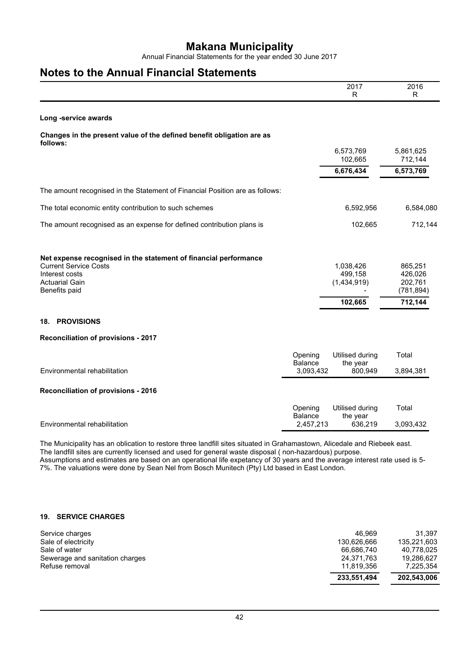Annual Financial Statements for the year ended 30 June 2017

## **Notes to the Annual Financial Statements**

|                                                                                                                    |                                        | 2017<br>R                              | 2016<br>R             |
|--------------------------------------------------------------------------------------------------------------------|----------------------------------------|----------------------------------------|-----------------------|
| Long -service awards                                                                                               |                                        |                                        |                       |
| Changes in the present value of the defined benefit obligation are as<br>follows:                                  |                                        |                                        |                       |
|                                                                                                                    |                                        | 6,573,769<br>102,665                   | 5,861,625<br>712,144  |
|                                                                                                                    |                                        | 6,676,434                              | 6,573,769             |
| The amount recognised in the Statement of Financial Position are as follows:                                       |                                        |                                        |                       |
| The total economic entity contribution to such schemes                                                             |                                        | 6,592,956                              | 6,584,080             |
| The amount recognised as an expense for defined contribution plans is                                              |                                        | 102,665                                | 712,144               |
| Net expense recognised in the statement of financial performance<br><b>Current Service Costs</b><br>Interest costs |                                        | 1,038,426<br>499,158                   | 865,251<br>426,026    |
| <b>Actuarial Gain</b><br>Benefits paid                                                                             |                                        | (1,434,919)                            | 202,761<br>(781, 894) |
|                                                                                                                    |                                        | 102,665                                | 712,144               |
| <b>PROVISIONS</b><br>18.                                                                                           |                                        |                                        |                       |
| Reconciliation of provisions - 2017                                                                                |                                        |                                        |                       |
| Environmental rehabilitation                                                                                       | Opening<br><b>Balance</b>              | Utilised during<br>the year            | Total                 |
|                                                                                                                    | 3,093,432                              | 800,949                                | 3,894,381             |
| Reconciliation of provisions - 2016                                                                                |                                        |                                        |                       |
| Environmental rehabilitation                                                                                       | Opening<br><b>Balance</b><br>2,457,213 | Utilised during<br>the year<br>636,219 | Total<br>3,093,432    |

The Municipality has an oblication to restore three landfill sites situated in Grahamastown, Alicedale and Riebeek east. The landfill sites are currently licensed and used for general waste disposal ( non-hazardous) purpose. Assumptions and estimates are based on an operational life expetancy of 30 years and the average interest rate used is 5-

7%. The valuations were done by Sean Nel from Bosch Munitech (Pty) Ltd based in East London.

#### **19. SERVICE CHARGES**

| 46.969<br>Service charges<br>Sale of electricity<br>130.626.666<br>Sale of water<br>66.686.740<br>Sewerage and sanitation charges<br>24.371.763<br>Refuse removal<br>11.819.356 | 233,551,494 | 202,543,006 |
|---------------------------------------------------------------------------------------------------------------------------------------------------------------------------------|-------------|-------------|
|                                                                                                                                                                                 |             |             |
|                                                                                                                                                                                 |             | 7,225,354   |
|                                                                                                                                                                                 |             | 19.286.627  |
|                                                                                                                                                                                 |             | 40,778,025  |
|                                                                                                                                                                                 |             | 135.221.603 |
|                                                                                                                                                                                 |             | 31.397      |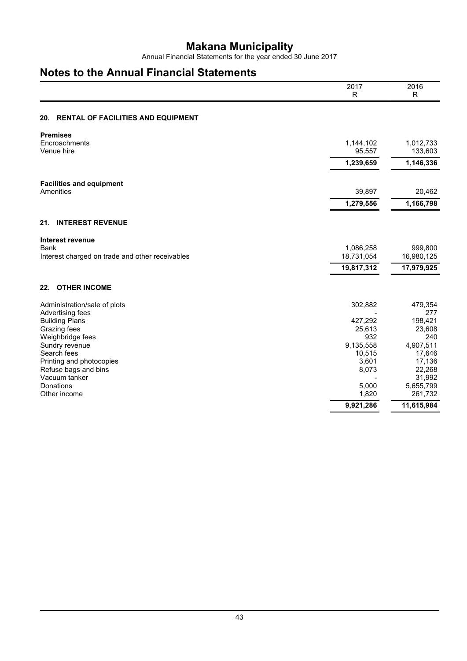Annual Financial Statements for the year ended 30 June 2017

## **Notes to the Annual Financial Statements**

|                                                                | 2017<br>R               | 2016<br>R             |
|----------------------------------------------------------------|-------------------------|-----------------------|
|                                                                |                         |                       |
| <b>RENTAL OF FACILITIES AND EQUIPMENT</b><br>20.               |                         |                       |
| <b>Premises</b>                                                |                         |                       |
| Encroachments<br>Venue hire                                    | 1,144,102<br>95,557     | 1,012,733<br>133,603  |
|                                                                | 1,239,659               | 1,146,336             |
| <b>Facilities and equipment</b>                                |                         |                       |
| Amenities                                                      | 39,897                  | 20,462                |
|                                                                | 1,279,556               | 1,166,798             |
| <b>INTEREST REVENUE</b><br>21.                                 |                         |                       |
| Interest revenue                                               |                         |                       |
| <b>Bank</b><br>Interest charged on trade and other receivables | 1,086,258<br>18,731,054 | 999,800<br>16,980,125 |
|                                                                | 19,817,312              | 17,979,925            |
| <b>OTHER INCOME</b><br>22.                                     |                         |                       |
| Administration/sale of plots                                   | 302,882                 | 479,354               |
| Advertising fees<br><b>Building Plans</b>                      | 427,292                 | 277<br>198,421        |
| Grazing fees                                                   | 25,613                  | 23,608                |
| Weighbridge fees                                               | 932                     | 240                   |
| Sundry revenue                                                 | 9,135,558               | 4,907,511             |
| Search fees<br>Printing and photocopies                        | 10,515<br>3,601         | 17,646<br>17,136      |
| Refuse bags and bins                                           | 8,073                   | 22,268                |
| Vacuum tanker                                                  |                         | 31,992                |
| Donations                                                      | 5,000                   | 5,655,799             |
| Other income                                                   | 1,820                   | 261,732               |
|                                                                | 9,921,286               | 11,615,984            |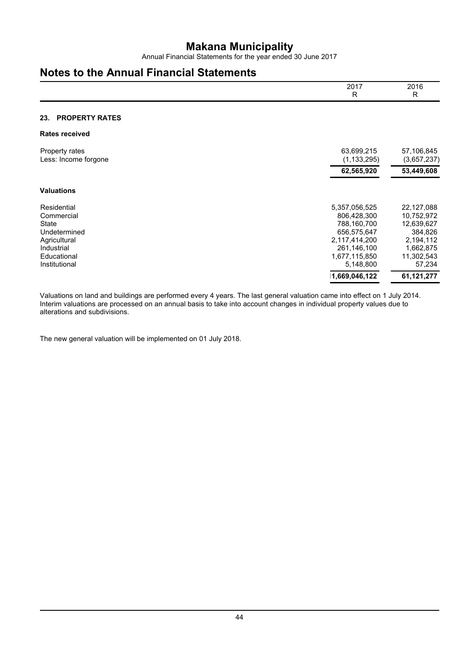Annual Financial Statements for the year ended 30 June 2017

## **Notes to the Annual Financial Statements**

|                                                                                                                  | 2017<br>R                                                                                                                | 2016<br>R                                                                                           |
|------------------------------------------------------------------------------------------------------------------|--------------------------------------------------------------------------------------------------------------------------|-----------------------------------------------------------------------------------------------------|
| <b>PROPERTY RATES</b><br>23.                                                                                     |                                                                                                                          |                                                                                                     |
| <b>Rates received</b>                                                                                            |                                                                                                                          |                                                                                                     |
| Property rates<br>Less: Income forgone                                                                           | 63,699,215<br>(1, 133, 295)                                                                                              | 57,106,845<br>(3,657,237)                                                                           |
|                                                                                                                  | 62,565,920                                                                                                               | 53,449,608                                                                                          |
| <b>Valuations</b>                                                                                                |                                                                                                                          |                                                                                                     |
| Residential<br>Commercial<br>State<br>Undetermined<br>Agricultural<br>Industrial<br>Educational<br>Institutional | 5,357,056,525<br>806,428,300<br>788,160,700<br>656,575,647<br>2,117,414,200<br>261,146,100<br>1,677,115,850<br>5,148,800 | 22,127,088<br>10,752,972<br>12,639,627<br>384,826<br>2,194,112<br>1,662,875<br>11,302,543<br>57,234 |
|                                                                                                                  | 1,669,046,122                                                                                                            | 61,121,277                                                                                          |

Valuations on land and buildings are performed every 4 years. The last general valuation came into effect on 1 July 2014. Interim valuations are processed on an annual basis to take into account changes in individual property values due to alterations and subdivisions.

The new general valuation will be implemented on 01 July 2018.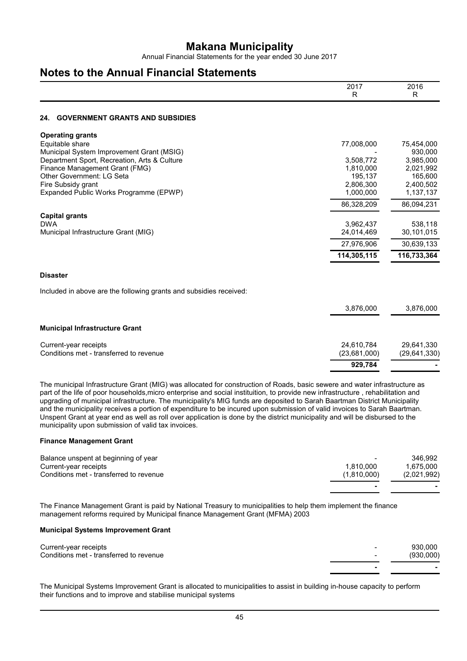Annual Financial Statements for the year ended 30 June 2017

## **Notes to the Annual Financial Statements**

|                                                                                | 2017<br>R              | 2016<br>R              |
|--------------------------------------------------------------------------------|------------------------|------------------------|
| <b>GOVERNMENT GRANTS AND SUBSIDIES</b><br>24.                                  |                        |                        |
| <b>Operating grants</b>                                                        |                        |                        |
| Equitable share                                                                | 77,008,000             | 75,454,000             |
| Municipal System Improvement Grant (MSIG)                                      |                        | 930,000                |
| Department Sport, Recreation, Arts & Culture<br>Finance Management Grant (FMG) | 3,508,772<br>1,810,000 | 3,985,000<br>2,021,992 |
| Other Government: LG Seta                                                      | 195,137                | 165,600                |
| Fire Subsidy grant                                                             | 2,806,300              | 2,400,502              |
| Expanded Public Works Programme (EPWP)                                         | 1,000,000              | 1,137,137              |
|                                                                                | 86,328,209             | 86,094,231             |
| <b>Capital grants</b>                                                          |                        |                        |
| <b>DWA</b>                                                                     | 3,962,437              | 538,118                |
| Municipal Infrastructure Grant (MIG)                                           | 24,014,469             | 30,101,015             |
|                                                                                | 27,976,906             | 30,639,133             |
|                                                                                | 114,305,115            | 116,733,364            |
| <b>Disaster</b>                                                                |                        |                        |
| Included in above are the following grants and subsidies received:             |                        |                        |
|                                                                                | 3,876,000              | 3,876,000              |
| <b>Municipal Infrastructure Grant</b>                                          |                        |                        |
| Current-year receipts                                                          | 24,610,784             | 29,641,330             |
| Conditions met - transferred to revenue                                        | (23,681,000)           | (29, 641, 330)         |
|                                                                                | 929,784                |                        |

The municipal Infrastructure Grant (MIG) was allocated for construction of Roads, basic sewere and water infrastructure as part of the life of poor households,micro enterprise and social instituition, to provide new infrastructure , rehabilitation and upgrading of municipal infrastructure. The municipality's MIG funds are deposited to Sarah Baartman District Municipality and the municipality receives a portion of expenditure to be incured upon submission of valid invoices to Sarah Baartman. Unspent Grant at year end as well as roll over application is done by the district municipality and will be disbursed to the municipality upon submission of valid tax invoices.

#### **Finance Management Grant**

| Balance unspent at beginning of year    | $\overline{\phantom{0}}$ | 346.992     |
|-----------------------------------------|--------------------------|-------------|
| Current-year receipts                   | 1.810.000                | 1.675.000   |
| Conditions met - transferred to revenue | (1.810.000)              | (2,021,992) |
|                                         |                          |             |

The Finance Management Grant is paid by National Treasury to municipalities to help them implement the finance management reforms required by Municipal finance Management Grant (MFMA) 2003

#### **Municipal Systems Improvement Grant**

| Current-year receipts                   | $\overline{\phantom{a}}$ | 930.000   |
|-----------------------------------------|--------------------------|-----------|
| Conditions met - transferred to revenue | $\overline{\phantom{0}}$ | (930,000) |
|                                         |                          |           |

The Municipal Systems Improvement Grant is allocated to municipalities to assist in building in-house capacity to perform their functions and to improve and stabilise municipal systems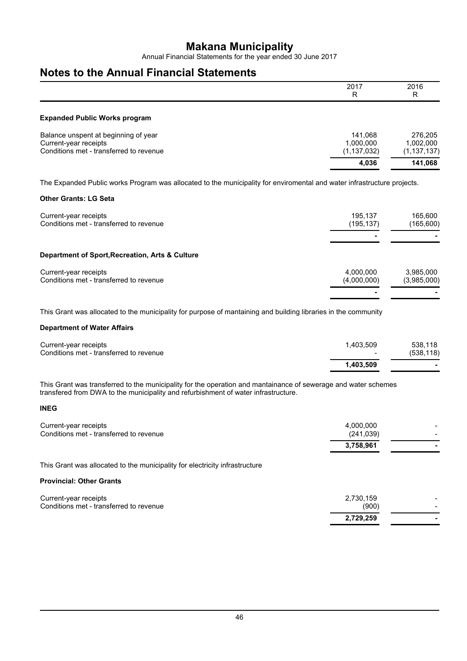Annual Financial Statements for the year ended 30 June 2017

## **Notes to the Annual Financial Statements**

|                                                                                                                                                         | 2017<br>R                             | 2016<br>R                             |
|---------------------------------------------------------------------------------------------------------------------------------------------------------|---------------------------------------|---------------------------------------|
| <b>Expanded Public Works program</b>                                                                                                                    |                                       |                                       |
| Balance unspent at beginning of year<br>Current-year receipts<br>Conditions met - transferred to revenue                                                | 141,068<br>1,000,000<br>(1, 137, 032) | 276,205<br>1,002,000<br>(1, 137, 137) |
|                                                                                                                                                         | 4,036                                 | 141,068                               |
| The Expanded Public works Program was allocated to the municipality for enviromental and water infrastructure projects.<br><b>Other Grants: LG Seta</b> |                                       |                                       |
| Current-year receipts<br>Conditions met - transferred to revenue                                                                                        | 195,137<br>(195, 137)                 | 165,600<br>(165,600)                  |
| Department of Sport, Recreation, Arts & Culture                                                                                                         |                                       |                                       |
| Current-year receipts<br>Conditions met - transferred to revenue                                                                                        | 4,000,000<br>(4,000,000)              | 3,985,000<br>(3,985,000)              |

This Grant was allocated to the municipality for purpose of mantaining and building libraries in the community

#### **Department of Water Affairs**

| Conditions met - transferred to revenue | $\overline{\phantom{0}}$<br>1.403.509 | (538, 118) |
|-----------------------------------------|---------------------------------------|------------|
| Current-year receipts                   | 1.403.509                             | 538.118    |

This Grant was transferred to the municipality for the operation and mantainance of sewerage and water schemes transfered from DWA to the municipality and refurbishment of water infrastructure.

#### **INEG**

| 3,758,961  | -                        |
|------------|--------------------------|
| (241, 039) |                          |
| 4.000.000  | $\overline{\phantom{0}}$ |
|            |                          |

This Grant was allocated to the municipality for electricity infrastructure

#### **Provincial: Other Grants**

| Current-year receipts                   | 2.730.159 | $\sim$                   |
|-----------------------------------------|-----------|--------------------------|
| Conditions met - transferred to revenue | (900)     | $\overline{\phantom{0}}$ |
|                                         | 2,729,259 |                          |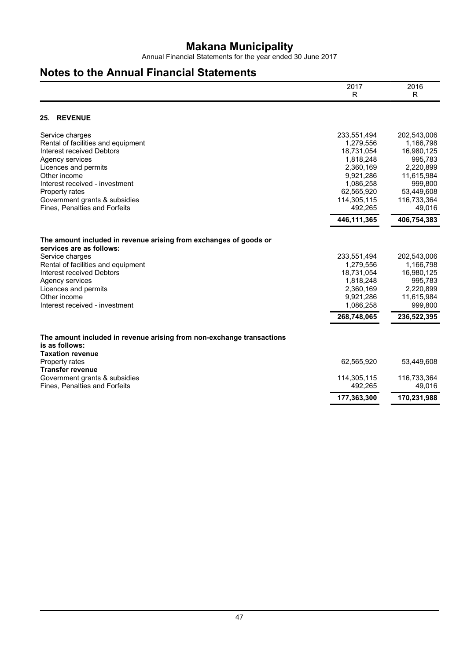Annual Financial Statements for the year ended 30 June 2017

## **Notes to the Annual Financial Statements**

|                                                                                         | 2017                   | 2016                 |
|-----------------------------------------------------------------------------------------|------------------------|----------------------|
|                                                                                         | R                      | R                    |
| <b>REVENUE</b><br>25.                                                                   |                        |                      |
|                                                                                         |                        |                      |
| Service charges                                                                         | 233,551,494            | 202,543,006          |
| Rental of facilities and equipment                                                      | 1,279,556              | 1,166,798            |
| Interest received Debtors                                                               | 18,731,054             | 16,980,125           |
| Agency services<br>Licences and permits                                                 | 1,818,248<br>2,360,169 | 995,783<br>2,220,899 |
| Other income                                                                            | 9,921,286              | 11,615,984           |
| Interest received - investment                                                          | 1,086,258              | 999,800              |
| Property rates                                                                          | 62,565,920             | 53,449,608           |
| Government grants & subsidies                                                           | 114,305,115            | 116,733,364          |
| Fines, Penalties and Forfeits                                                           | 492,265                | 49,016               |
|                                                                                         | 446, 111, 365          | 406,754,383          |
| The amount included in revenue arising from exchanges of goods or                       |                        |                      |
| services are as follows:                                                                |                        |                      |
| Service charges                                                                         | 233,551,494            | 202,543,006          |
| Rental of facilities and equipment                                                      | 1,279,556              | 1,166,798            |
| Interest received Debtors                                                               | 18,731,054             | 16,980,125           |
| Agency services                                                                         | 1,818,248<br>2,360,169 | 995,783<br>2,220,899 |
| Licences and permits<br>Other income                                                    | 9,921,286              | 11,615,984           |
| Interest received - investment                                                          | 1,086,258              | 999,800              |
|                                                                                         | 268,748,065            | 236,522,395          |
|                                                                                         |                        |                      |
| The amount included in revenue arising from non-exchange transactions<br>is as follows: |                        |                      |
| <b>Taxation revenue</b>                                                                 |                        |                      |
| Property rates                                                                          | 62,565,920             | 53,449,608           |
| <b>Transfer revenue</b>                                                                 |                        |                      |
| Government grants & subsidies                                                           | 114,305,115            | 116,733,364          |
| Fines, Penalties and Forfeits                                                           | 492,265                | 49,016               |
|                                                                                         | 177,363,300            | 170,231,988          |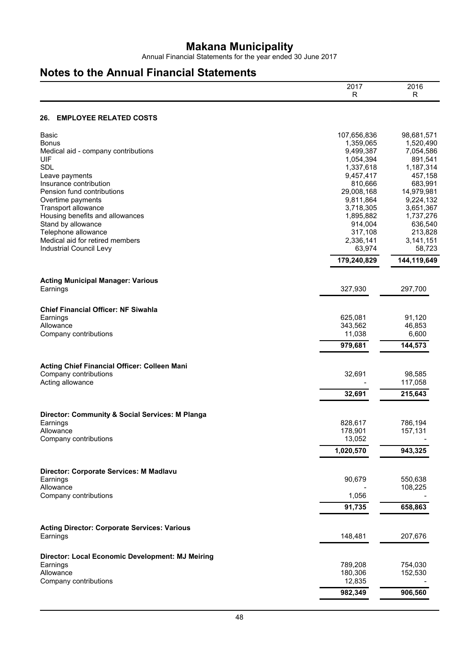Annual Financial Statements for the year ended 30 June 2017

## **Notes to the Annual Financial Statements**

| <b>EMPLOYEE RELATED COSTS</b><br>26.<br><b>Basic</b><br>107,656,836<br>98,681,571<br><b>Bonus</b><br>1,359,065<br>1,520,490<br>9,499,387<br>7,054,586<br>Medical aid - company contributions<br>UIF<br>1,054,394<br>891,541<br><b>SDL</b><br>1,337,618<br>1,187,314<br>9,457,417<br>457,158<br>Leave payments<br>683,991<br>Insurance contribution<br>810,666<br>29,008,168<br>14,979,981<br>Pension fund contributions<br>Overtime payments<br>9,811,864<br>9,224,132<br>Transport allowance<br>3,718,305<br>3,651,367<br>Housing benefits and allowances<br>1,895,882<br>1,737,276<br>Stand by allowance<br>636,540<br>914,004<br>Telephone allowance<br>317,108<br>213,828<br>Medical aid for retired members<br>2,336,141<br>3,141,151<br>63,974<br>Industrial Council Levy<br>58,723<br>179,240,829<br>144,119,649<br><b>Acting Municipal Manager: Various</b><br>327,930<br>297,700<br>Earnings<br><b>Chief Financial Officer: NF Siwahla</b><br>625,081<br>Earnings<br>91,120<br>Allowance<br>343,562<br>46,853<br>11,038<br>6,600<br>Company contributions<br>979,681<br>144,573<br>Acting Chief Financial Officer: Colleen Mani<br>Company contributions<br>32,691<br>98,585<br>Acting allowance<br>117,058<br>32,691<br>215,643<br>Director: Community & Social Services: M Planga<br>828,617<br>786,194<br>Earnings<br>178,901<br>157,131<br>Allowance<br>Company contributions<br>13,052<br>1,020,570<br>943,325<br>Director: Corporate Services: M Madlavu<br>90,679<br>550,638<br>Earnings<br>Allowance<br>108,225<br>Company contributions<br>1,056<br>91,735<br>658,863<br><b>Acting Director: Corporate Services: Various</b><br>148,481<br>207,676<br>Earnings<br>Director: Local Economic Development: MJ Meiring<br>789,208<br>Earnings<br>754,030<br>Allowance<br>180,306<br>152,530<br>Company contributions<br>12,835<br>982,349<br>906,560 | 2017<br>R | 2016<br>R |
|--------------------------------------------------------------------------------------------------------------------------------------------------------------------------------------------------------------------------------------------------------------------------------------------------------------------------------------------------------------------------------------------------------------------------------------------------------------------------------------------------------------------------------------------------------------------------------------------------------------------------------------------------------------------------------------------------------------------------------------------------------------------------------------------------------------------------------------------------------------------------------------------------------------------------------------------------------------------------------------------------------------------------------------------------------------------------------------------------------------------------------------------------------------------------------------------------------------------------------------------------------------------------------------------------------------------------------------------------------------------------------------------------------------------------------------------------------------------------------------------------------------------------------------------------------------------------------------------------------------------------------------------------------------------------------------------------------------------------------------------------------------------------------------------------------------------------------------------------------------------|-----------|-----------|
|                                                                                                                                                                                                                                                                                                                                                                                                                                                                                                                                                                                                                                                                                                                                                                                                                                                                                                                                                                                                                                                                                                                                                                                                                                                                                                                                                                                                                                                                                                                                                                                                                                                                                                                                                                                                                                                                    |           |           |
|                                                                                                                                                                                                                                                                                                                                                                                                                                                                                                                                                                                                                                                                                                                                                                                                                                                                                                                                                                                                                                                                                                                                                                                                                                                                                                                                                                                                                                                                                                                                                                                                                                                                                                                                                                                                                                                                    |           |           |
|                                                                                                                                                                                                                                                                                                                                                                                                                                                                                                                                                                                                                                                                                                                                                                                                                                                                                                                                                                                                                                                                                                                                                                                                                                                                                                                                                                                                                                                                                                                                                                                                                                                                                                                                                                                                                                                                    |           |           |
|                                                                                                                                                                                                                                                                                                                                                                                                                                                                                                                                                                                                                                                                                                                                                                                                                                                                                                                                                                                                                                                                                                                                                                                                                                                                                                                                                                                                                                                                                                                                                                                                                                                                                                                                                                                                                                                                    |           |           |
|                                                                                                                                                                                                                                                                                                                                                                                                                                                                                                                                                                                                                                                                                                                                                                                                                                                                                                                                                                                                                                                                                                                                                                                                                                                                                                                                                                                                                                                                                                                                                                                                                                                                                                                                                                                                                                                                    |           |           |
|                                                                                                                                                                                                                                                                                                                                                                                                                                                                                                                                                                                                                                                                                                                                                                                                                                                                                                                                                                                                                                                                                                                                                                                                                                                                                                                                                                                                                                                                                                                                                                                                                                                                                                                                                                                                                                                                    |           |           |
|                                                                                                                                                                                                                                                                                                                                                                                                                                                                                                                                                                                                                                                                                                                                                                                                                                                                                                                                                                                                                                                                                                                                                                                                                                                                                                                                                                                                                                                                                                                                                                                                                                                                                                                                                                                                                                                                    |           |           |
|                                                                                                                                                                                                                                                                                                                                                                                                                                                                                                                                                                                                                                                                                                                                                                                                                                                                                                                                                                                                                                                                                                                                                                                                                                                                                                                                                                                                                                                                                                                                                                                                                                                                                                                                                                                                                                                                    |           |           |
|                                                                                                                                                                                                                                                                                                                                                                                                                                                                                                                                                                                                                                                                                                                                                                                                                                                                                                                                                                                                                                                                                                                                                                                                                                                                                                                                                                                                                                                                                                                                                                                                                                                                                                                                                                                                                                                                    |           |           |
|                                                                                                                                                                                                                                                                                                                                                                                                                                                                                                                                                                                                                                                                                                                                                                                                                                                                                                                                                                                                                                                                                                                                                                                                                                                                                                                                                                                                                                                                                                                                                                                                                                                                                                                                                                                                                                                                    |           |           |
|                                                                                                                                                                                                                                                                                                                                                                                                                                                                                                                                                                                                                                                                                                                                                                                                                                                                                                                                                                                                                                                                                                                                                                                                                                                                                                                                                                                                                                                                                                                                                                                                                                                                                                                                                                                                                                                                    |           |           |
|                                                                                                                                                                                                                                                                                                                                                                                                                                                                                                                                                                                                                                                                                                                                                                                                                                                                                                                                                                                                                                                                                                                                                                                                                                                                                                                                                                                                                                                                                                                                                                                                                                                                                                                                                                                                                                                                    |           |           |
|                                                                                                                                                                                                                                                                                                                                                                                                                                                                                                                                                                                                                                                                                                                                                                                                                                                                                                                                                                                                                                                                                                                                                                                                                                                                                                                                                                                                                                                                                                                                                                                                                                                                                                                                                                                                                                                                    |           |           |
|                                                                                                                                                                                                                                                                                                                                                                                                                                                                                                                                                                                                                                                                                                                                                                                                                                                                                                                                                                                                                                                                                                                                                                                                                                                                                                                                                                                                                                                                                                                                                                                                                                                                                                                                                                                                                                                                    |           |           |
|                                                                                                                                                                                                                                                                                                                                                                                                                                                                                                                                                                                                                                                                                                                                                                                                                                                                                                                                                                                                                                                                                                                                                                                                                                                                                                                                                                                                                                                                                                                                                                                                                                                                                                                                                                                                                                                                    |           |           |
|                                                                                                                                                                                                                                                                                                                                                                                                                                                                                                                                                                                                                                                                                                                                                                                                                                                                                                                                                                                                                                                                                                                                                                                                                                                                                                                                                                                                                                                                                                                                                                                                                                                                                                                                                                                                                                                                    |           |           |
|                                                                                                                                                                                                                                                                                                                                                                                                                                                                                                                                                                                                                                                                                                                                                                                                                                                                                                                                                                                                                                                                                                                                                                                                                                                                                                                                                                                                                                                                                                                                                                                                                                                                                                                                                                                                                                                                    |           |           |
|                                                                                                                                                                                                                                                                                                                                                                                                                                                                                                                                                                                                                                                                                                                                                                                                                                                                                                                                                                                                                                                                                                                                                                                                                                                                                                                                                                                                                                                                                                                                                                                                                                                                                                                                                                                                                                                                    |           |           |
|                                                                                                                                                                                                                                                                                                                                                                                                                                                                                                                                                                                                                                                                                                                                                                                                                                                                                                                                                                                                                                                                                                                                                                                                                                                                                                                                                                                                                                                                                                                                                                                                                                                                                                                                                                                                                                                                    |           |           |
|                                                                                                                                                                                                                                                                                                                                                                                                                                                                                                                                                                                                                                                                                                                                                                                                                                                                                                                                                                                                                                                                                                                                                                                                                                                                                                                                                                                                                                                                                                                                                                                                                                                                                                                                                                                                                                                                    |           |           |
|                                                                                                                                                                                                                                                                                                                                                                                                                                                                                                                                                                                                                                                                                                                                                                                                                                                                                                                                                                                                                                                                                                                                                                                                                                                                                                                                                                                                                                                                                                                                                                                                                                                                                                                                                                                                                                                                    |           |           |
|                                                                                                                                                                                                                                                                                                                                                                                                                                                                                                                                                                                                                                                                                                                                                                                                                                                                                                                                                                                                                                                                                                                                                                                                                                                                                                                                                                                                                                                                                                                                                                                                                                                                                                                                                                                                                                                                    |           |           |
|                                                                                                                                                                                                                                                                                                                                                                                                                                                                                                                                                                                                                                                                                                                                                                                                                                                                                                                                                                                                                                                                                                                                                                                                                                                                                                                                                                                                                                                                                                                                                                                                                                                                                                                                                                                                                                                                    |           |           |
|                                                                                                                                                                                                                                                                                                                                                                                                                                                                                                                                                                                                                                                                                                                                                                                                                                                                                                                                                                                                                                                                                                                                                                                                                                                                                                                                                                                                                                                                                                                                                                                                                                                                                                                                                                                                                                                                    |           |           |
|                                                                                                                                                                                                                                                                                                                                                                                                                                                                                                                                                                                                                                                                                                                                                                                                                                                                                                                                                                                                                                                                                                                                                                                                                                                                                                                                                                                                                                                                                                                                                                                                                                                                                                                                                                                                                                                                    |           |           |
|                                                                                                                                                                                                                                                                                                                                                                                                                                                                                                                                                                                                                                                                                                                                                                                                                                                                                                                                                                                                                                                                                                                                                                                                                                                                                                                                                                                                                                                                                                                                                                                                                                                                                                                                                                                                                                                                    |           |           |
|                                                                                                                                                                                                                                                                                                                                                                                                                                                                                                                                                                                                                                                                                                                                                                                                                                                                                                                                                                                                                                                                                                                                                                                                                                                                                                                                                                                                                                                                                                                                                                                                                                                                                                                                                                                                                                                                    |           |           |
|                                                                                                                                                                                                                                                                                                                                                                                                                                                                                                                                                                                                                                                                                                                                                                                                                                                                                                                                                                                                                                                                                                                                                                                                                                                                                                                                                                                                                                                                                                                                                                                                                                                                                                                                                                                                                                                                    |           |           |
|                                                                                                                                                                                                                                                                                                                                                                                                                                                                                                                                                                                                                                                                                                                                                                                                                                                                                                                                                                                                                                                                                                                                                                                                                                                                                                                                                                                                                                                                                                                                                                                                                                                                                                                                                                                                                                                                    |           |           |
|                                                                                                                                                                                                                                                                                                                                                                                                                                                                                                                                                                                                                                                                                                                                                                                                                                                                                                                                                                                                                                                                                                                                                                                                                                                                                                                                                                                                                                                                                                                                                                                                                                                                                                                                                                                                                                                                    |           |           |
|                                                                                                                                                                                                                                                                                                                                                                                                                                                                                                                                                                                                                                                                                                                                                                                                                                                                                                                                                                                                                                                                                                                                                                                                                                                                                                                                                                                                                                                                                                                                                                                                                                                                                                                                                                                                                                                                    |           |           |
|                                                                                                                                                                                                                                                                                                                                                                                                                                                                                                                                                                                                                                                                                                                                                                                                                                                                                                                                                                                                                                                                                                                                                                                                                                                                                                                                                                                                                                                                                                                                                                                                                                                                                                                                                                                                                                                                    |           |           |
|                                                                                                                                                                                                                                                                                                                                                                                                                                                                                                                                                                                                                                                                                                                                                                                                                                                                                                                                                                                                                                                                                                                                                                                                                                                                                                                                                                                                                                                                                                                                                                                                                                                                                                                                                                                                                                                                    |           |           |
|                                                                                                                                                                                                                                                                                                                                                                                                                                                                                                                                                                                                                                                                                                                                                                                                                                                                                                                                                                                                                                                                                                                                                                                                                                                                                                                                                                                                                                                                                                                                                                                                                                                                                                                                                                                                                                                                    |           |           |
|                                                                                                                                                                                                                                                                                                                                                                                                                                                                                                                                                                                                                                                                                                                                                                                                                                                                                                                                                                                                                                                                                                                                                                                                                                                                                                                                                                                                                                                                                                                                                                                                                                                                                                                                                                                                                                                                    |           |           |
|                                                                                                                                                                                                                                                                                                                                                                                                                                                                                                                                                                                                                                                                                                                                                                                                                                                                                                                                                                                                                                                                                                                                                                                                                                                                                                                                                                                                                                                                                                                                                                                                                                                                                                                                                                                                                                                                    |           |           |
|                                                                                                                                                                                                                                                                                                                                                                                                                                                                                                                                                                                                                                                                                                                                                                                                                                                                                                                                                                                                                                                                                                                                                                                                                                                                                                                                                                                                                                                                                                                                                                                                                                                                                                                                                                                                                                                                    |           |           |
|                                                                                                                                                                                                                                                                                                                                                                                                                                                                                                                                                                                                                                                                                                                                                                                                                                                                                                                                                                                                                                                                                                                                                                                                                                                                                                                                                                                                                                                                                                                                                                                                                                                                                                                                                                                                                                                                    |           |           |
|                                                                                                                                                                                                                                                                                                                                                                                                                                                                                                                                                                                                                                                                                                                                                                                                                                                                                                                                                                                                                                                                                                                                                                                                                                                                                                                                                                                                                                                                                                                                                                                                                                                                                                                                                                                                                                                                    |           |           |
|                                                                                                                                                                                                                                                                                                                                                                                                                                                                                                                                                                                                                                                                                                                                                                                                                                                                                                                                                                                                                                                                                                                                                                                                                                                                                                                                                                                                                                                                                                                                                                                                                                                                                                                                                                                                                                                                    |           |           |
|                                                                                                                                                                                                                                                                                                                                                                                                                                                                                                                                                                                                                                                                                                                                                                                                                                                                                                                                                                                                                                                                                                                                                                                                                                                                                                                                                                                                                                                                                                                                                                                                                                                                                                                                                                                                                                                                    |           |           |
|                                                                                                                                                                                                                                                                                                                                                                                                                                                                                                                                                                                                                                                                                                                                                                                                                                                                                                                                                                                                                                                                                                                                                                                                                                                                                                                                                                                                                                                                                                                                                                                                                                                                                                                                                                                                                                                                    |           |           |
|                                                                                                                                                                                                                                                                                                                                                                                                                                                                                                                                                                                                                                                                                                                                                                                                                                                                                                                                                                                                                                                                                                                                                                                                                                                                                                                                                                                                                                                                                                                                                                                                                                                                                                                                                                                                                                                                    |           |           |
|                                                                                                                                                                                                                                                                                                                                                                                                                                                                                                                                                                                                                                                                                                                                                                                                                                                                                                                                                                                                                                                                                                                                                                                                                                                                                                                                                                                                                                                                                                                                                                                                                                                                                                                                                                                                                                                                    |           |           |
|                                                                                                                                                                                                                                                                                                                                                                                                                                                                                                                                                                                                                                                                                                                                                                                                                                                                                                                                                                                                                                                                                                                                                                                                                                                                                                                                                                                                                                                                                                                                                                                                                                                                                                                                                                                                                                                                    |           |           |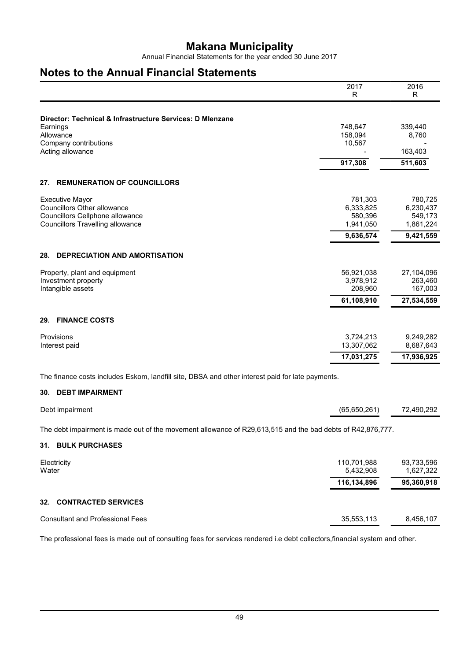Annual Financial Statements for the year ended 30 June 2017

## **Notes to the Annual Financial Statements**

|                                                           | 2017<br>R  | 2016<br>R  |
|-----------------------------------------------------------|------------|------------|
|                                                           |            |            |
| Director: Technical & Infrastructure Services: D Mlenzane |            |            |
| Earnings                                                  | 748,647    | 339,440    |
| Allowance                                                 | 158,094    | 8,760      |
| Company contributions                                     | 10,567     | 163,403    |
| Acting allowance                                          |            |            |
|                                                           | 917,308    | 511,603    |
| <b>REMUNERATION OF COUNCILLORS</b><br>27.                 |            |            |
| <b>Executive Mayor</b>                                    | 781,303    | 780,725    |
| <b>Councillors Other allowance</b>                        | 6,333,825  | 6,230,437  |
| Councillors Cellphone allowance                           | 580,396    | 549,173    |
| <b>Councillors Travelling allowance</b>                   | 1,941,050  | 1,861,224  |
|                                                           | 9,636,574  | 9,421,559  |
| <b>DEPRECIATION AND AMORTISATION</b><br>28.               |            |            |
| Property, plant and equipment                             | 56,921,038 | 27,104,096 |
| Investment property                                       | 3,978,912  | 263,460    |
| Intangible assets                                         | 208,960    | 167,003    |
|                                                           | 61,108,910 | 27,534,559 |
| <b>FINANCE COSTS</b><br>29.                               |            |            |
| Provisions                                                | 3,724,213  | 9,249,282  |
| Interest paid                                             | 13,307,062 | 8,687,643  |
|                                                           | 17,031,275 | 17,936,925 |

The finance costs includes Eskom, landfill site, DBSA and other interest paid for late payments.

#### **30. DEBT IMPAIRMENT**

| Debt impairment | (65,650,261) | 72,490,292 |
|-----------------|--------------|------------|
|                 |              |            |

The debt impairment is made out of the movement allowance of R29,613,515 and the bad debts of R42,876,777.

#### **31. BULK PURCHASES**

| Electricity<br>Water                    | 110,701,988<br>5,432,908 | 93,733,596<br>1,627,322 |
|-----------------------------------------|--------------------------|-------------------------|
|                                         | 116,134,896              | 95,360,918              |
| 32. CONTRACTED SERVICES                 |                          |                         |
| <b>Consultant and Professional Fees</b> | 35,553,113               | 8,456,107               |

The professional fees is made out of consulting fees for services rendered i.e debt collectors,financial system and other.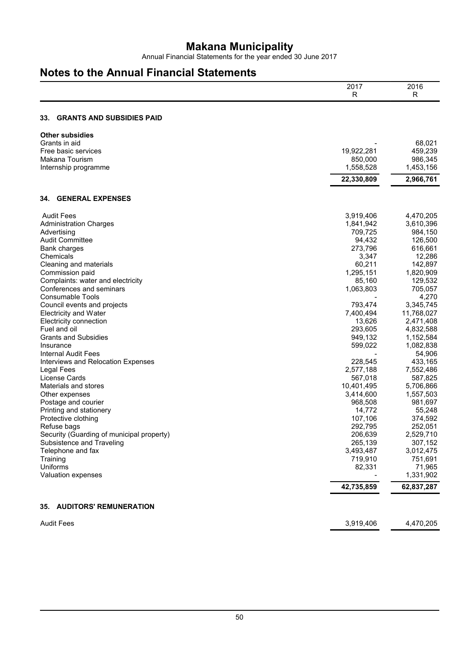Annual Financial Statements for the year ended 30 June 2017

## **Notes to the Annual Financial Statements**

|                                           | 2017<br>R  | 2016<br>R  |
|-------------------------------------------|------------|------------|
| <b>GRANTS AND SUBSIDIES PAID</b><br>33.   |            |            |
| <b>Other subsidies</b>                    |            |            |
| Grants in aid                             |            | 68,021     |
| Free basic services                       | 19,922,281 | 459,239    |
| <b>Makana Tourism</b>                     | 850,000    | 986,345    |
| Internship programme                      | 1,558,528  | 1,453,156  |
|                                           | 22,330,809 | 2,966,761  |
| <b>GENERAL EXPENSES</b><br>34.            |            |            |
| <b>Audit Fees</b>                         | 3,919,406  | 4,470,205  |
| <b>Administration Charges</b>             | 1,841,942  | 3,610,396  |
| Advertising                               | 709,725    | 984,150    |
| <b>Audit Committee</b>                    | 94,432     | 126,500    |
| Bank charges                              | 273,796    | 616,661    |
| Chemicals                                 | 3,347      | 12,286     |
| Cleaning and materials                    | 60,211     | 142,897    |
| Commission paid                           | 1,295,151  | 1,820,909  |
| Complaints: water and electricity         | 85,160     | 129,532    |
| Conferences and seminars                  | 1,063,803  | 705,057    |
| <b>Consumable Tools</b>                   |            | 4,270      |
| Council events and projects               | 793,474    | 3,345,745  |
| <b>Electricity and Water</b>              | 7,400,494  | 11,768,027 |
| Electricity connection                    | 13,626     | 2,471,408  |
| Fuel and oil                              | 293,605    | 4,832,588  |
| <b>Grants and Subsidies</b>               | 949,132    | 1,152,584  |
| Insurance                                 | 599,022    | 1,082,838  |
| Internal Audit Fees                       |            | 54,906     |
| Interviews and Relocation Expenses        | 228,545    | 433,165    |
| <b>Legal Fees</b>                         | 2,577,188  | 7,552,486  |
| License Cards                             | 567,018    | 587,825    |
| Materials and stores                      | 10,401,495 | 5,706,866  |
| Other expenses                            | 3,414,600  | 1,557,503  |
| Postage and courier                       | 968,508    | 981,697    |
| Printing and stationery                   | 14,772     | 55,248     |
| Protective clothing                       | 107,106    | 374,592    |
| Refuse bags                               | 292,795    | 252,051    |
| Security (Guarding of municipal property) | 206,639    | 2,529,710  |
| Subsistence and Traveling                 | 265,139    | 307,152    |
| Telephone and fax                         | 3,493,487  | 3,012,475  |
| Training                                  | 719,910    | 751,691    |
| Uniforms                                  | 82,331     | 71,965     |
| Valuation expenses                        |            | 1,331,902  |
|                                           | 42,735,859 | 62,837,287 |
| 35. AUDITORS' REMUNERATION                |            |            |
| <b>Audit Fees</b>                         | 3,919,406  | 4,470,205  |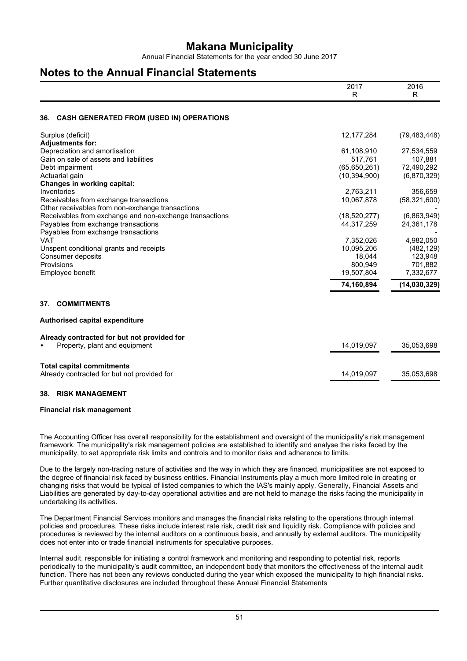Annual Financial Statements for the year ended 30 June 2017

## **Notes to the Annual Financial Statements**

|                                                                                                             | 2017<br>R                    | 2016<br>R      |
|-------------------------------------------------------------------------------------------------------------|------------------------------|----------------|
| <b>CASH GENERATED FROM (USED IN) OPERATIONS</b><br>36.                                                      |                              |                |
| Surplus (deficit)                                                                                           | 12, 177, 284                 | (79, 483, 448) |
| <b>Adjustments for:</b>                                                                                     |                              |                |
| Depreciation and amortisation                                                                               | 61,108,910                   | 27,534,559     |
| Gain on sale of assets and liabilities                                                                      | 517,761                      | 107,881        |
| Debt impairment                                                                                             | (65, 650, 261)               | 72,490,292     |
| Actuarial gain                                                                                              | (10, 394, 900)               | (6,870,329)    |
| <b>Changes in working capital:</b>                                                                          |                              |                |
| Inventories                                                                                                 | 2,763,211                    | 356,659        |
| Receivables from exchange transactions                                                                      | 10,067,878                   | (58, 321, 600) |
| Other receivables from non-exchange transactions<br>Receivables from exchange and non-exchange transactions |                              | (6,863,949)    |
| Payables from exchange transactions                                                                         | (18, 520, 277)<br>44,317,259 | 24,361,178     |
| Payables from exchange transactions                                                                         |                              |                |
| <b>VAT</b>                                                                                                  | 7,352,026                    | 4,982,050      |
| Unspent conditional grants and receipts                                                                     | 10,095,206                   | (482, 129)     |
| Consumer deposits                                                                                           | 18,044                       | 123,948        |
| Provisions                                                                                                  | 800,949                      | 701,882        |
| Employee benefit                                                                                            | 19,507,804                   | 7,332,677      |
|                                                                                                             |                              |                |
|                                                                                                             | 74,160,894                   | (14,030,329)   |
| <b>COMMITMENTS</b><br>37.                                                                                   |                              |                |
| Authorised capital expenditure                                                                              |                              |                |
| Already contracted for but not provided for                                                                 |                              |                |
| Property, plant and equipment                                                                               | 14,019,097                   | 35,053,698     |
| <b>Total capital commitments</b>                                                                            |                              |                |
| Already contracted for but not provided for                                                                 | 14,019,097                   | 35,053,698     |
|                                                                                                             |                              |                |

#### **38. RISK MANAGEMENT**

#### **Financial risk management**

The Accounting Officer has overall responsibility for the establishment and oversight of the municipality's risk management framework. The municipality's risk management policies are established to identify and analyse the risks faced by the municipality, to set appropriate risk limits and controls and to monitor risks and adherence to limits.

Due to the largely non-trading nature of activities and the way in which they are financed, municipalities are not exposed to the degree of financial risk faced by business entities. Financial Instruments play a much more limited role in creating or changing risks that would be typical of listed companies to which the IAS's mainly apply. Generally, Financial Assets and Liabilities are generated by day-to-day operational activities and are not held to manage the risks facing the municipality in undertaking its activities.

The Department Financial Services monitors and manages the financial risks relating to the operations through internal policies and procedures. These risks include interest rate risk, credit risk and liquidity risk. Compliance with policies and procedures is reviewed by the internal auditors on a continuous basis, and annually by external auditors. The municipality does not enter into or trade financial instruments for speculative purposes.

Internal audit, responsible for initiating a control framework and monitoring and responding to potential risk, reports periodically to the municipality's audit committee, an independent body that monitors the effectiveness of the internal audit function. There has not been any reviews conducted during the year which exposed the municipality to high financial risks. Further quantitative disclosures are included throughout these Annual Financial Statements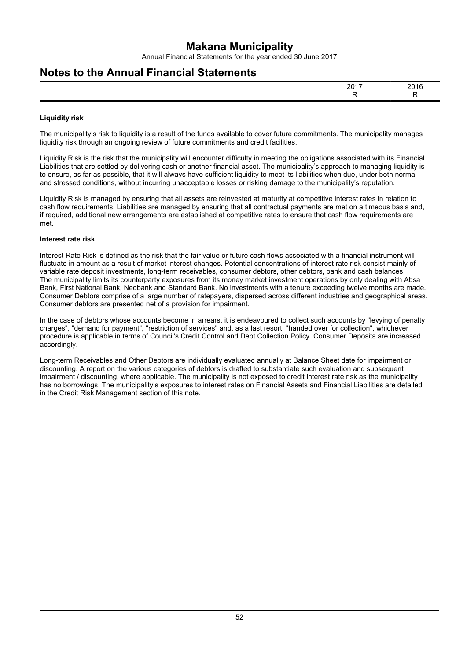Annual Financial Statements for the year ended 30 June 2017

### **Notes to the Annual Financial Statements**

| 0.017<br>∠∪<br>______ | nn, |
|-----------------------|-----|
|                       |     |

#### **Liquidity risk**

The municipality's risk to liquidity is a result of the funds available to cover future commitments. The municipality manages liquidity risk through an ongoing review of future commitments and credit facilities.

Liquidity Risk is the risk that the municipality will encounter difficulty in meeting the obligations associated with its Financial Liabilities that are settled by delivering cash or another financial asset. The municipality's approach to managing liquidity is to ensure, as far as possible, that it will always have sufficient liquidity to meet its liabilities when due, under both normal and stressed conditions, without incurring unacceptable losses or risking damage to the municipality's reputation.

Liquidity Risk is managed by ensuring that all assets are reinvested at maturity at competitive interest rates in relation to cash flow requirements. Liabilities are managed by ensuring that all contractual payments are met on a timeous basis and, if required, additional new arrangements are established at competitive rates to ensure that cash flow requirements are met.

#### **Interest rate risk**

Interest Rate Risk is defined as the risk that the fair value or future cash flows associated with a financial instrument will fluctuate in amount as a result of market interest changes. Potential concentrations of interest rate risk consist mainly of variable rate deposit investments, long-term receivables, consumer debtors, other debtors, bank and cash balances. The municipality limits its counterparty exposures from its money market investment operations by only dealing with Absa Bank, First National Bank, Nedbank and Standard Bank. No investments with a tenure exceeding twelve months are made. Consumer Debtors comprise of a large number of ratepayers, dispersed across different industries and geographical areas. Consumer debtors are presented net of a provision for impairment.

In the case of debtors whose accounts become in arrears, it is endeavoured to collect such accounts by "levying of penalty charges", "demand for payment", "restriction of services" and, as a last resort, "handed over for collection", whichever procedure is applicable in terms of Council's Credit Control and Debt Collection Policy. Consumer Deposits are increased accordingly.

Long-term Receivables and Other Debtors are individually evaluated annually at Balance Sheet date for impairment or discounting. A report on the various categories of debtors is drafted to substantiate such evaluation and subsequent impairment / discounting, where applicable. The municipality is not exposed to credit interest rate risk as the municipality has no borrowings. The municipality's exposures to interest rates on Financial Assets and Financial Liabilities are detailed in the Credit Risk Management section of this note.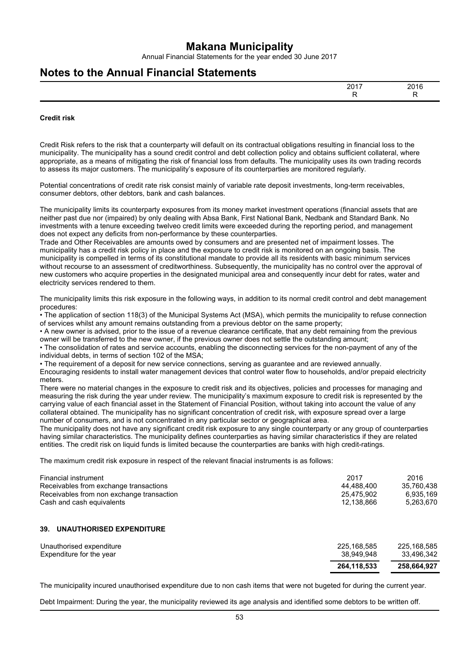Annual Financial Statements for the year ended 30 June 2017

### **Notes to the Annual Financial Statements**

|  | - |
|--|---|

#### **Credit risk**

Credit Risk refers to the risk that a counterparty will default on its contractual obligations resulting in financial loss to the municipality. The municipality has a sound credit control and debt collection policy and obtains sufficient collateral, where appropriate, as a means of mitigating the risk of financial loss from defaults. The municipality uses its own trading records to assess its major customers. The municipality's exposure of its counterparties are monitored regularly.

Potential concentrations of credit rate risk consist mainly of variable rate deposit investments, long-term receivables, consumer debtors, other debtors, bank and cash balances.

The municipality limits its counterparty exposures from its money market investment operations (financial assets that are neither past due nor (impaired) by only dealing with Absa Bank, First National Bank, Nedbank and Standard Bank. No investments with a tenure exceeding twelveo credit limits were exceeded during the reporting period, and management does not expect any deficits from non-performance by these counterparties.

Trade and Other Receivables are amounts owed by consumers and are presented net of impairment losses. The municipality has a credit risk policy in place and the exposure to credit risk is monitored on an ongoing basis. The municipality is compelled in terms of its constitutional mandate to provide all its residents with basic minimum services without recourse to an assessment of creditworthiness. Subsequently, the municipality has no control over the approval of new customers who acquire properties in the designated municipal area and consequently incur debt for rates, water and electricity services rendered to them.

The municipality limits this risk exposure in the following ways, in addition to its normal credit control and debt management procedures:

• The application of section 118(3) of the Municipal Systems Act (MSA), which permits the municipality to refuse connection of services whilst any amount remains outstanding from a previous debtor on the same property;

• A new owner is advised, prior to the issue of a revenue clearance certificate, that any debt remaining from the previous owner will be transferred to the new owner, if the previous owner does not settle the outstanding amount;

• The consolidation of rates and service accounts, enabling the disconnecting services for the non-payment of any of the individual debts, in terms of section 102 of the MSA;

• The requirement of a deposit for new service connections, serving as guarantee and are reviewed annually.

Encouraging residents to install water management devices that control water flow to households, and/or prepaid electricity meters.

There were no material changes in the exposure to credit risk and its objectives, policies and processes for managing and measuring the risk during the year under review. The municipality's maximum exposure to credit risk is represented by the carrying value of each financial asset in the Statement of Financial Position, without taking into account the value of any collateral obtained. The municipality has no significant concentration of credit risk, with exposure spread over a large number of consumers, and is not concentrated in any particular sector or geographical area.

The municipality does not have any significant credit risk exposure to any single counterparty or any group of counterparties having similar characteristics. The municipality defines counterparties as having similar characteristics if they are related entities. The credit risk on liquid funds is limited because the counterparties are banks with high credit-ratings.

The maximum credit risk exposure in respect of the relevant finacial instruments is as follows:

| Financial instrument                      | 2017       | 2016       |
|-------------------------------------------|------------|------------|
| Receivables from exchange transactions    | 44.488.400 | 35.760.438 |
| Receivables from non exchange transaction | 25.475.902 | 6.935.169  |
| Cash and cash equivalents                 | 12.138.866 | 5.263.670  |

#### **39. UNAUTHORISED EXPENDITURE**

| Unauthorised expenditure | 225.168.585 | 225.168.585 |
|--------------------------|-------------|-------------|
| Expenditure for the year | 38.949.948  | 33.496.342  |
|                          | 264.118.533 | 258.664.927 |

The municipality incured unauthorised expenditure due to non cash items that were not bugeted for during the current year.

Debt Impairment: During the year, the municipality reviewed its age analysis and identified some debtors to be written off.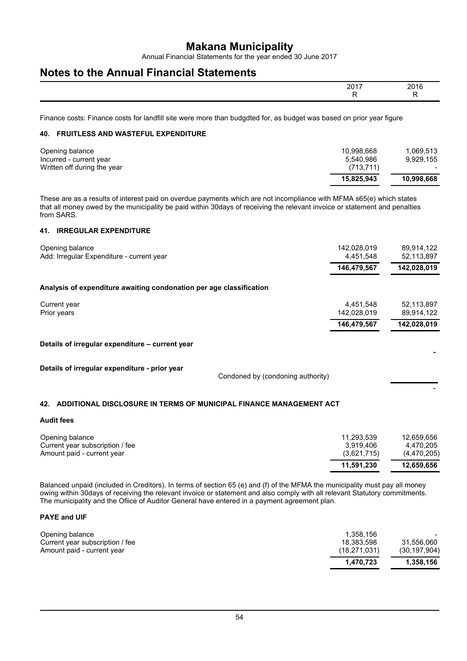Annual Financial Statements for the year ended 30 June 2017

### **Notes to the Annual Financial Statements**

| 0017 |  |
|------|--|
|      |  |

Finance costs: Finance costs for landfill site were more than budgdted for, as budget was based on prior year figure

#### **40. FRUITLESS AND WASTEFUL EXPENDITURE**

| Opening balance<br>Incurred - current year<br>Written off during the year | 10.998.668<br>5.540.986<br>(713, 711) | 1.069.513<br>9.929.155 |
|---------------------------------------------------------------------------|---------------------------------------|------------------------|
|                                                                           | 15.825.943                            | 10.998.668             |

These are as a results of interest paid on overdue payments which are not incompliance with MFMA s65(e) which states that all money owed by the municipality be paid within 30days of receiving the relevant invoice or statement and penalties from SARS.

#### **41. IRREGULAR EXPENDITURE**

| Opening balance<br>Add: Irregular Expenditure - current year                       | 142,028,019<br>4,451,548 | 89,914,122<br>52,113,897 |
|------------------------------------------------------------------------------------|--------------------------|--------------------------|
|                                                                                    | 146,479,567              | 142,028,019              |
| Analysis of expenditure awaiting condonation per age classification                |                          |                          |
| Current year<br>Prior years                                                        | 4,451,548<br>142,028,019 | 52,113,897<br>89,914,122 |
|                                                                                    | 146,479,567              | 142,028,019              |
| Details of irregular expenditure – current year                                    |                          |                          |
| Details of irregular expenditure - prior year<br>Condoned by (condoning authority) |                          |                          |

#### **42. ADDITIONAL DISCLOSURE IN TERMS OF MUNICIPAL FINANCE MANAGEMENT ACT**

#### **Audit fees**

| Opening balance                 | 11.293.539  | 12.659.656  |
|---------------------------------|-------------|-------------|
| Current year subscription / fee | 3.919.406   | 4.470.205   |
| Amount paid - current year      | (3,621,715) | (4,470,205) |
|                                 | 11.591.230  | 12,659,656  |

Balanced unpaid (included in Creditors). In terms of section 65 (e) and (f) of the MFMA the municipality must pay all money owing within 30days of receiving the relevant invoice or statement and also comply with all relevant Statutory commitments. The municipality and the Ofiice of Auditor General have entered in a payment agreement plan.

#### **PAYE and UIF**

| Opening balance                 | 1.358.156      |                |
|---------------------------------|----------------|----------------|
| Current year subscription / fee | 18.383.598     | 31.556.060     |
| Amount paid - current year      | (18, 271, 031) | (30, 197, 904) |
|                                 | 1.470.723      | 1.358.156      |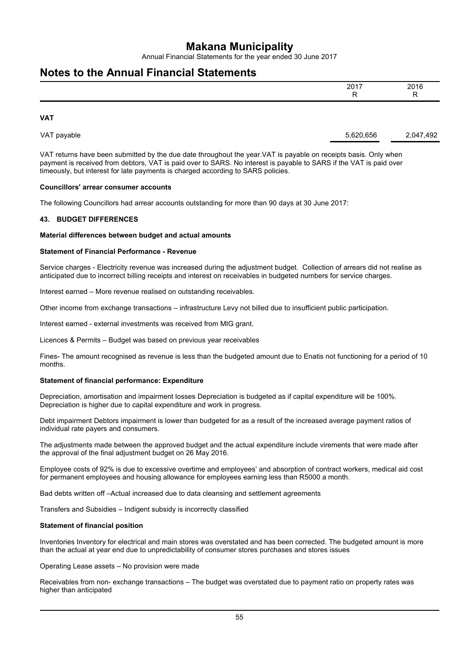Annual Financial Statements for the year ended 30 June 2017

### **Notes to the Annual Financial Statements**

| 2017<br>20 I I<br>- | 2016<br>- |
|---------------------|-----------|
|                     |           |

**VAT**

| VAT payable | 5.620.656 | 2,047,492 |
|-------------|-----------|-----------|
|             |           |           |
|             |           |           |

VAT returns have been submitted by the due date throughout the year.VAT is payable on receipts basis. Only when payment is received from debtors, VAT is paid over to SARS. No interest is payable to SARS if the VAT is paid over timeously, but interest for late payments is charged according to SARS policies.

#### **Councillors' arrear consumer accounts**

The following Councillors had arrear accounts outstanding for more than 90 days at 30 June 2017:

#### **43. BUDGET DIFFERENCES**

#### **Material differences between budget and actual amounts**

#### **Statement of Financial Performance - Revenue**

Service charges - Electricity revenue was increased during the adjustment budget. Collection of arrears did not realise as anticipated due to incorrect billing receipts and interest on receivables in budgeted numbers for service charges.

Interest earned – More revenue realised on outstanding receivables.

Other income from exchange transactions – infrastructure Levy not billed due to insufficient public participation.

Interest earned - external investments was received from MIG grant.

Licences & Permits – Budget was based on previous year receivables

Fines- The amount recognised as revenue is less than the budgeted amount due to Enatis not functioning for a period of 10 months.

#### **Statement of financial performance: Expenditure**

Depreciation, amortisation and impairment losses Depreciation is budgeted as if capital expenditure will be 100%. Depreciation is higher due to capital expenditure and work in progress.

Debt impairment Debtors impairment is lower than budgeted for as a result of the increased average payment ratios of individual rate payers and consumers.

The adjustments made between the approved budget and the actual expenditure include virements that were made after the approval of the final adjustment budget on 26 May 2016.

Employee costs of 92% is due to excessive overtime and employees' and absorption of contract workers, medical aid cost for permanent employees and housing allowance for employees earning less than R5000 a month.

Bad debts written off –Actual increased due to data cleansing and settlement agreements

Transfers and Subsidies – Indigent subsidy is incorrectly classified

#### **Statement of financial position**

Inventories Inventory for electrical and main stores was overstated and has been corrected. The budgeted amount is more than the actual at year end due to unpredictability of consumer stores purchases and stores issues

Operating Lease assets – No provision were made

Receivables from non- exchange transactions – The budget was overstated due to payment ratio on property rates was higher than anticipated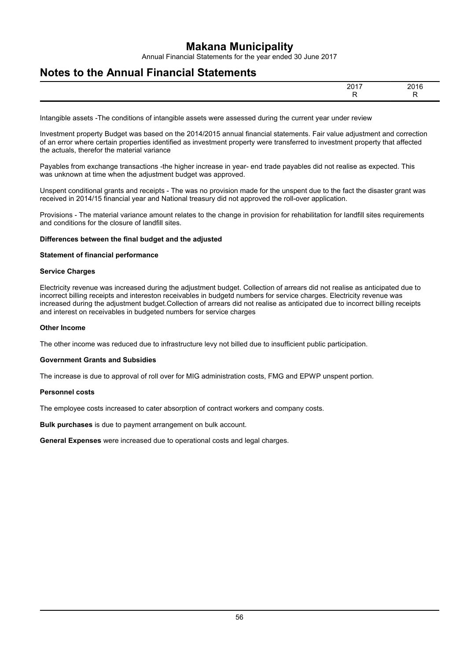Annual Financial Statements for the year ended 30 June 2017

### **Notes to the Annual Financial Statements**

| 0017<br>-- | ~~<br>20.<br>$\sim$ |
|------------|---------------------|
|            | $\cdot$ $\cdot$     |

Intangible assets -The conditions of intangible assets were assessed during the current year under review

Investment property Budget was based on the 2014/2015 annual financial statements. Fair value adjustment and correction of an error where certain properties identified as investment property were transferred to investment property that affected the actuals, therefor the material variance

Payables from exchange transactions -the higher increase in year- end trade payables did not realise as expected. This was unknown at time when the adjustment budget was approved.

Unspent conditional grants and receipts - The was no provision made for the unspent due to the fact the disaster grant was received in 2014/15 financial year and National treasury did not approved the roll-over application.

Provisions - The material variance amount relates to the change in provision for rehabilitation for landfill sites requirements and conditions for the closure of landfill sites.

#### **Differences between the final budget and the adjusted**

#### **Statement of financial performance**

#### **Service Charges**

Electricity revenue was increased during the adjustment budget. Collection of arrears did not realise as anticipated due to incorrect billing receipts and intereston receivables in budgetd numbers for service charges. Electricity revenue was increased during the adjustment budget.Collection of arrears did not realise as anticipated due to incorrect billing receipts and interest on receivables in budgeted numbers for service charges

#### **Other Income**

The other income was reduced due to infrastructure levy not billed due to insufficient public participation.

#### **Government Grants and Subsidies**

The increase is due to approval of roll over for MIG administration costs, FMG and EPWP unspent portion.

#### **Personnel costs**

The employee costs increased to cater absorption of contract workers and company costs.

**Bulk purchases** is due to payment arrangement on bulk account.

**General Expenses** were increased due to operational costs and legal charges.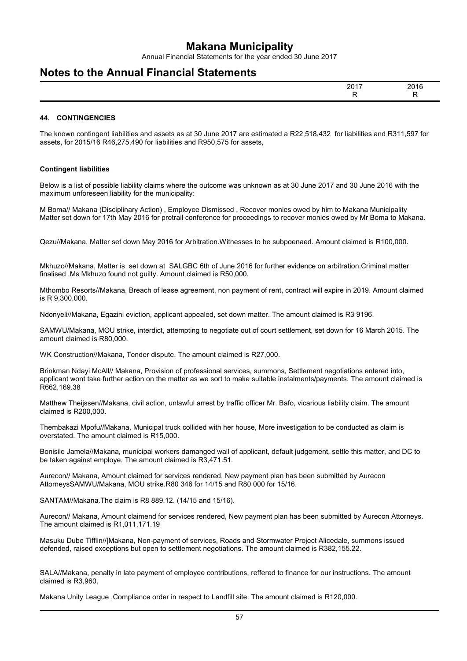Annual Financial Statements for the year ended 30 June 2017

### **Notes to the Annual Financial Statements**

| ----<br>יי<br>۰.<br>. ت ب | nn,<br>.<br>$\sim$ |
|---------------------------|--------------------|
|                           | $\sim$             |

#### **44. CONTINGENCIES**

The known contingent liabilities and assets as at 30 June 2017 are estimated a R22,518,432 for liabilities and R311,597 for assets, for 2015/16 R46,275,490 for liabilities and R950,575 for assets,

#### **Contingent liabilities**

Below is a list of possible liability claims where the outcome was unknown as at 30 June 2017 and 30 June 2016 with the maximum unforeseen liability for the municipality:

M Boma// Makana (Disciplinary Action) , Employee Dismissed , Recover monies owed by him to Makana Municipality Matter set down for 17th May 2016 for pretrail conference for proceedings to recover monies owed by Mr Boma to Makana.

Qezu//Makana, Matter set down May 2016 for Arbitration.Witnesses to be subpoenaed. Amount claimed is R100,000.

Mkhuzo//Makana, Matter is set down at SALGBC 6th of June 2016 for further evidence on arbitration.Criminal matter finalised ,Ms Mkhuzo found not guilty. Amount claimed is R50,000.

Mthombo Resorts//Makana, Breach of lease agreement, non payment of rent, contract will expire in 2019. Amount claimed is R 9,300,000.

Ndonyeli//Makana, Egazini eviction, applicant appealed, set down matter. The amount claimed is R3 9196.

SAMWU/Makana, MOU strike, interdict, attempting to negotiate out of court settlement, set down for 16 March 2015. The amount claimed is R80,000.

WK Construction//Makana, Tender dispute. The amount claimed is R27,000.

Brinkman Ndayi McAll// Makana, Provision of professional services, summons, Settlement negotiations entered into, applicant wont take further action on the matter as we sort to make suitable instalments/payments. The amount claimed is R662,169.38

Matthew Theijssen//Makana, civil action, unlawful arrest by traffic officer Mr. Bafo, vicarious liability claim. The amount claimed is R200,000.

Thembakazi Mpofu//Makana, Municipal truck collided with her house, More investigation to be conducted as claim is overstated. The amount claimed is R15,000.

Bonisile Jamela//Makana, municipal workers damanged wall of applicant, default judgement, settle this matter, and DC to be taken against employe. The amount claimed is R3,471.51.

Aurecon// Makana, Amount claimed for services rendered, New payment plan has been submitted by Aurecon AttorneysSAMWU/Makana, MOU strike.R80 346 for 14/15 and R80 000 for 15/16.

SANTAM//Makana.The claim is R8 889.12. (14/15 and 15/16).

Aurecon// Makana, Amount claimend for services rendered, New payment plan has been submitted by Aurecon Attorneys. The amount claimed is R1,011,171.19

Masuku Dube Tifflin//|Makana, Non-payment of services, Roads and Stormwater Project Alicedale, summons issued defended, raised exceptions but open to settlement negotiations. The amount claimed is R382,155.22.

SALA//Makana, penalty in late payment of employee contributions, reffered to finance for our instructions. The amount claimed is R3,960.

Makana Unity League ,Compliance order in respect to Landfill site. The amount claimed is R120,000.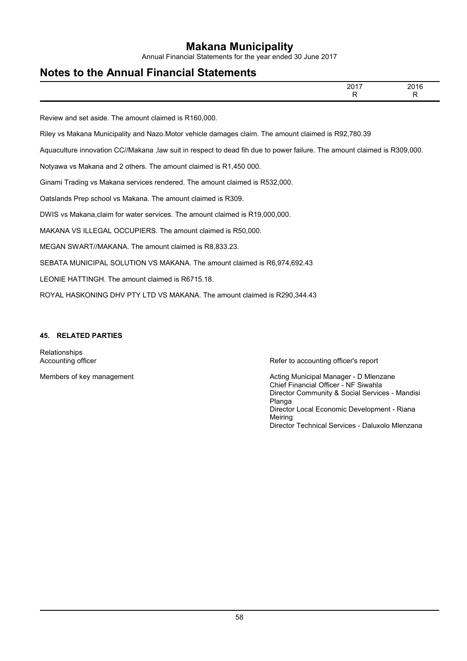Annual Financial Statements for the year ended 30 June 2017

## **Notes to the Annual Financial Statements**

|                                                                                                    | 2017 | 2016 |
|----------------------------------------------------------------------------------------------------|------|------|
| $R_{\rm{c}}$ . The state of $R_{\rm{c}}$ is the state of $R_{\rm{c}}$ is the state of $R_{\rm{c}}$ |      |      |

Review and set aside. The amount claimed is R160,000.

Riley vs Makana Municipality and Nazo.Motor vehicle damages claim. The amount claimed is R92,780.39

Aquaculture innovation CC//Makana ,law suit in respect to dead fih due to power failure. The amount claimed is R309,000.

Notyawa vs Makana and 2 others. The amount claimed is R1,450 000.

Ginami Trading vs Makana services rendered. The amount claimed is R532,000.

Oatslands Prep school vs Makana. The amount claimed is R309.

DWIS vs Makana,claim for water services. The amount claimed is R19,000,000.

MAKANA VS ILLEGAL OCCUPIERS. The amount claimed is R50,000.

MEGAN SWART//MAKANA. The amount claimed is R8,833.23.

SEBATA MUNICIPAL SOLUTION VS MAKANA. The amount claimed is R6,974,692.43

LEONIE HATTINGH. The amount claimed is R6715.18.

ROYAL HASKONING DHV PTY LTD VS MAKANA. The amount claimed is R290,344.43

#### **45. RELATED PARTIES**

Relationships

Accounting officer **Refer to accounting officer's report** Refer to accounting officer's report

Members of key management **Acting Municipal Manager - D Mlenzane** Acting Municipal Manager - D Mlenzane Chief Financial Officer - NF Siwahla Director Community & Social Services - Mandisi Planga Director Local Economic Development - Riana Meiring Director Technical Services - Daluxolo Mlenzana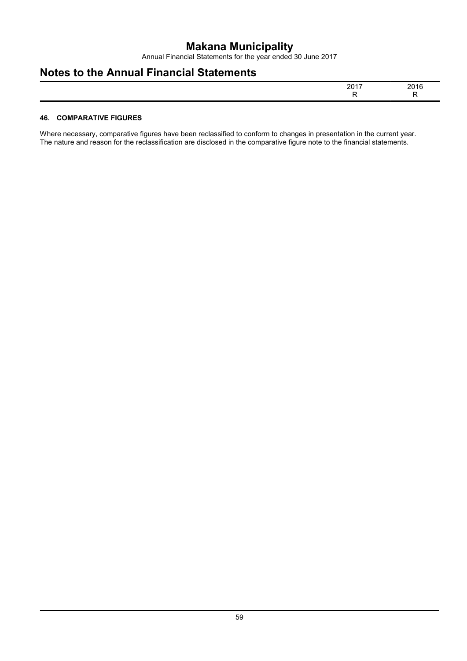Annual Financial Statements for the year ended 30 June 2017

## **Notes to the Annual Financial Statements**

| 0.047 | . ה |
|-------|-----|
|       |     |

#### **46. COMPARATIVE FIGURES**

Where necessary, comparative figures have been reclassified to conform to changes in presentation in the current year. The nature and reason for the reclassification are disclosed in the comparative figure note to the financial statements.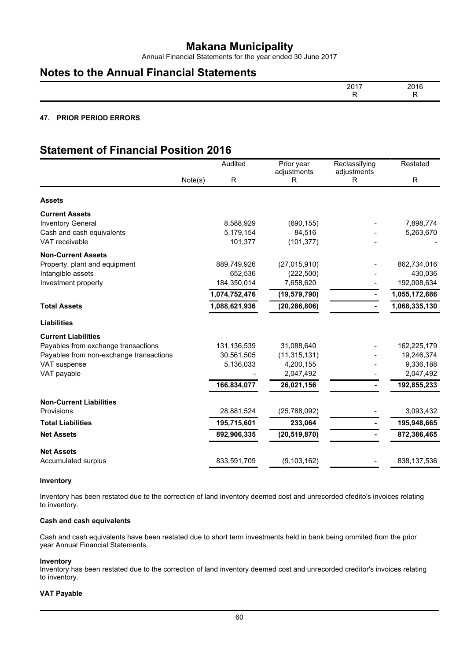Annual Financial Statements for the year ended 30 June 2017

### **Notes to the Annual Financial Statements**

| $201^-$<br>. <i>پ</i><br>. .<br>_____ | 2016 |
|---------------------------------------|------|
|                                       | . .  |

#### **47. PRIOR PERIOD ERRORS**

## **Statement of Financial Position 2016**

|                                         |         | Audited       | Prior year<br>adjustments | Reclassifying<br>adjustments | Restated      |
|-----------------------------------------|---------|---------------|---------------------------|------------------------------|---------------|
|                                         | Note(s) | R             | R                         | R                            | R             |
| <b>Assets</b>                           |         |               |                           |                              |               |
| <b>Current Assets</b>                   |         |               |                           |                              |               |
| <b>Inventory General</b>                |         | 8,588,929     | (690, 155)                |                              | 7,898,774     |
| Cash and cash equivalents               |         | 5,179,154     | 84,516                    |                              | 5,263,670     |
| VAT receivable                          |         | 101,377       | (101, 377)                |                              |               |
| <b>Non-Current Assets</b>               |         |               |                           |                              |               |
| Property, plant and equipment           |         | 889,749,926   | (27,015,910)              |                              | 862,734,016   |
| Intangible assets                       |         | 652,536       | (222, 500)                |                              | 430,036       |
| Investment property                     |         | 184,350,014   | 7,658,620                 |                              | 192,008,634   |
|                                         |         | 1,074,752,476 | (19, 579, 790)            |                              | 1,055,172,686 |
| <b>Total Assets</b>                     |         | 1,088,621,936 | (20, 286, 806)            |                              | 1,068,335,130 |
| <b>Liabilities</b>                      |         |               |                           |                              |               |
| <b>Current Liabilities</b>              |         |               |                           |                              |               |
| Payables from exchange transactions     |         | 131, 136, 539 | 31,088,640                |                              | 162,225,179   |
| Payables from non-exchange transactions |         | 30,561,505    | (11, 315, 131)            |                              | 19,246,374    |
| VAT suspense                            |         | 5,136,033     | 4,200,155                 |                              | 9,336,188     |
| VAT payable                             |         |               | 2,047,492                 |                              | 2,047,492     |
|                                         |         | 166,834,077   | 26,021,156                |                              | 192,855,233   |
| <b>Non-Current Liabilities</b>          |         |               |                           |                              |               |
| Provisions                              |         | 28,881,524    | (25, 788, 092)            |                              | 3,093,432     |
| <b>Total Liabilities</b>                |         | 195,715,601   | 233,064                   |                              | 195,948,665   |
| <b>Net Assets</b>                       |         | 892,906,335   | (20, 519, 870)            |                              | 872,386,465   |
| <b>Net Assets</b>                       |         |               |                           |                              |               |
| Accumulated surplus                     |         | 833,591,709   | (9, 103, 162)             |                              | 838,137,536   |

#### **Inventory**

Inventory has been restated due to the correction of land inventory deemed cost and unrecorded cfedito's invoices relating to inventory.

#### **Cash and cash equivalents**

Cash and cash equivalents have been restated due to short term investments held in bank being ommited from the prior year Annual Financial Statements..

#### **Inventory**

Inventory has been restated due to the correction of land inventory deemed cost and unrecorded creditor's invoices relating to inventory.

#### **VAT Payable**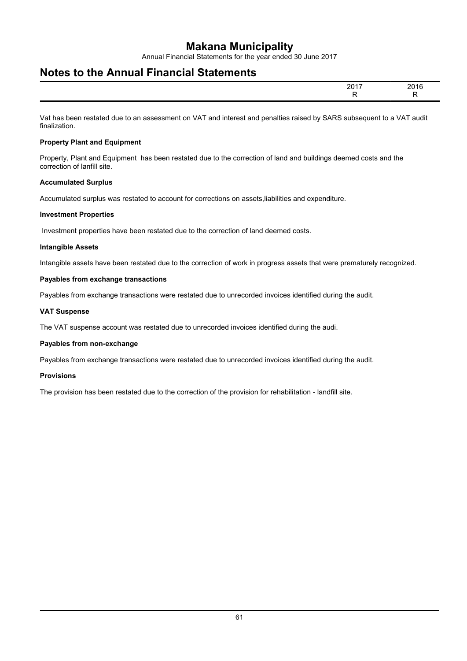Annual Financial Statements for the year ended 30 June 2017

### **Notes to the Annual Financial Statements**

| $201 -$<br>$ -$ | 201                    |
|-----------------|------------------------|
|                 | _____<br>$\sim$ $\sim$ |

Vat has been restated due to an assessment on VAT and interest and penalties raised by SARS subsequent to a VAT audit finalization.

#### **Property Plant and Equipment**

Property, Plant and Equipment has been restated due to the correction of land and buildings deemed costs and the correction of lanfill site.

#### **Accumulated Surplus**

Accumulated surplus was restated to account for corrections on assets,liabilities and expenditure.

#### **Investment Properties**

Investment properties have been restated due to the correction of land deemed costs.

#### **Intangible Assets**

Intangible assets have been restated due to the correction of work in progress assets that were prematurely recognized.

#### **Payables from exchange transactions**

Payables from exchange transactions were restated due to unrecorded invoices identified during the audit.

#### **VAT Suspense**

The VAT suspense account was restated due to unrecorded invoices identified during the audi.

#### **Payables from non-exchange**

Payables from exchange transactions were restated due to unrecorded invoices identified during the audit.

#### **Provisions**

The provision has been restated due to the correction of the provision for rehabilitation - landfill site.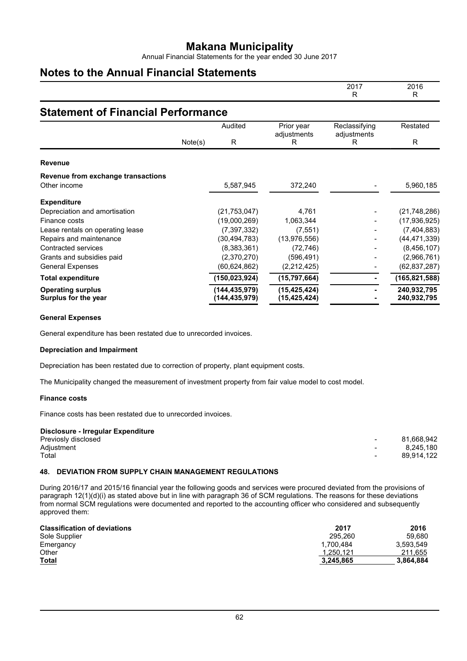Annual Financial Statements for the year ended 30 June 2017

### **Notes to the Annual Financial Statements**

|                                                  |         |                                |                                  | 2017<br>R        | 2016<br>R                  |  |  |
|--------------------------------------------------|---------|--------------------------------|----------------------------------|------------------|----------------------------|--|--|
| <b>Statement of Financial Performance</b>        |         |                                |                                  |                  |                            |  |  |
|                                                  |         | Audited                        | Prior year                       | Reclassifying    | Restated                   |  |  |
|                                                  | Note(s) | R                              | adjustments<br>R                 | adjustments<br>R | R                          |  |  |
| <b>Revenue</b>                                   |         |                                |                                  |                  |                            |  |  |
| Revenue from exchange transactions               |         |                                |                                  |                  |                            |  |  |
| Other income                                     |         | 5,587,945                      | 372,240                          |                  | 5,960,185                  |  |  |
| <b>Expenditure</b>                               |         |                                |                                  |                  |                            |  |  |
| Depreciation and amortisation                    |         | (21, 753, 047)                 | 4,761                            |                  | (21, 748, 286)             |  |  |
| Finance costs                                    |         | (19,000,269)                   | 1,063,344                        |                  | (17, 936, 925)             |  |  |
| Lease rentals on operating lease                 |         | (7, 397, 332)                  | (7, 551)                         |                  | (7, 404, 883)              |  |  |
| Repairs and maintenance                          |         | (30, 494, 783)                 | (13, 976, 556)                   |                  | (44, 471, 339)             |  |  |
| Contracted services                              |         | (8,383,361)                    | (72, 746)                        |                  | (8, 456, 107)              |  |  |
| Grants and subsidies paid                        |         | (2,370,270)                    | (596, 491)                       |                  | (2,966,761)                |  |  |
| <b>General Expenses</b>                          |         | (60, 624, 862)                 | (2,212,425)                      |                  | (62, 837, 287)             |  |  |
| <b>Total expenditure</b>                         |         | (150,023,924)                  | (15,797,664)                     |                  | (165, 821, 588)            |  |  |
| <b>Operating surplus</b><br>Surplus for the year |         | (144,435,979)<br>(144,435,979) | (15, 425, 424)<br>(15, 425, 424) |                  | 240,932,795<br>240,932,795 |  |  |

#### **General Expenses**

General expenditure has been restated due to unrecorded invoices.

#### **Depreciation and Impairment**

Depreciation has been restated due to correction of property, plant equipment costs.

The Municipality changed the measurement of investment property from fair value model to cost model.

#### **Finance costs**

Finance costs has been restated due to unrecorded invoices.

| Disclosure - Irregular Expenditure |        |            |
|------------------------------------|--------|------------|
| Previosly disclosed                | $\sim$ | 81.668.942 |
| Adjustment                         | $\sim$ | 8.245.180  |
| Total                              | $\sim$ | 89.914.122 |
|                                    |        |            |

#### **48. DEVIATION FROM SUPPLY CHAIN MANAGEMENT REGULATIONS**

During 2016/17 and 2015/16 financial year the following goods and services were procured deviated from the provisions of paragraph 12(1)(d)(i) as stated above but in line with paragraph 36 of SCM regulations. The reasons for these deviations from normal SCM regulations were documented and reported to the accounting officer who considered and subsequently approved them:

| <b>Classification of deviations</b> | 2017      | 2016      |
|-------------------------------------|-----------|-----------|
| Sole Supplier                       | 295.260   | 59.680    |
| Emergancy                           | 1.700.484 | 3.593.549 |
| Other                               | 1,250,121 | 211,655   |
| <b>Total</b>                        | 3,245,865 | 3.864.884 |